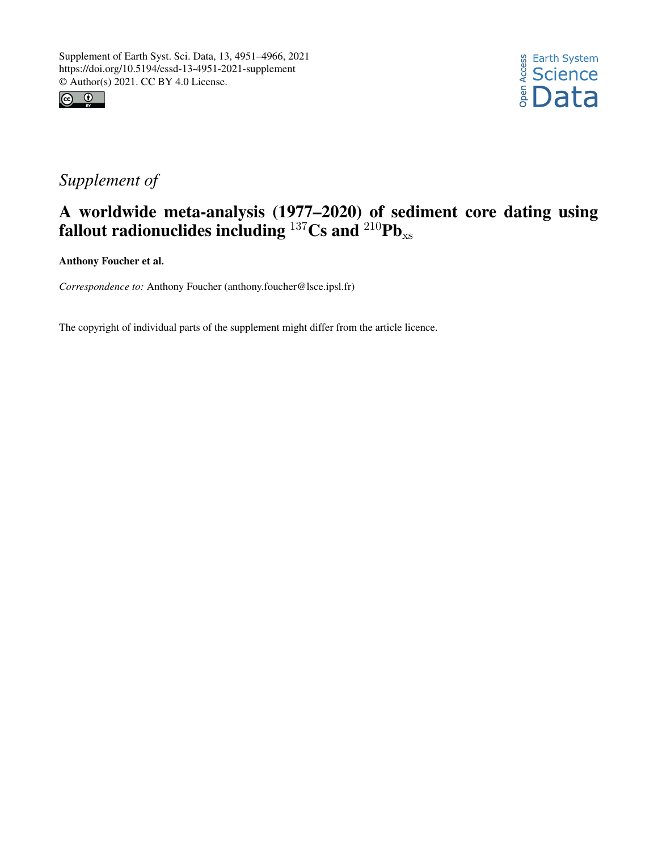



## *Supplement of*

## A worldwide meta-analysis (1977–2020) of sediment core dating using fallout radionuclides including  $^{137}\mathrm{Cs}$  and  $^{210}\mathrm{Pb}_{\mathrm{xs}}$

Anthony Foucher et al.

*Correspondence to:* Anthony Foucher (anthony.foucher@lsce.ipsl.fr)

The copyright of individual parts of the supplement might differ from the article licence.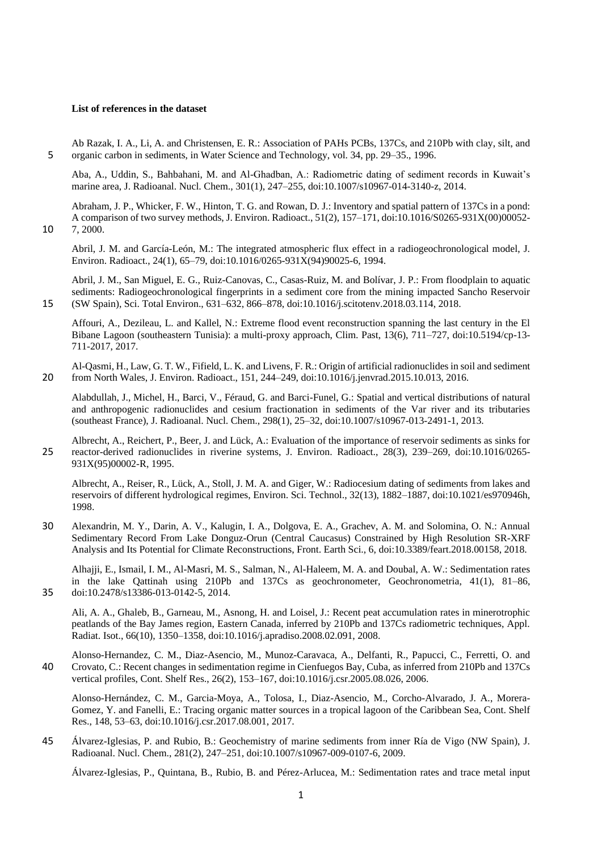## **List of references in the dataset**

Ab Razak, I. A., Li, A. and Christensen, E. R.: Association of PAHs PCBs, 137Cs, and 210Pb with clay, silt, and 5 organic carbon in sediments, in Water Science and Technology, vol. 34, pp. 29–35., 1996.

Aba, A., Uddin, S., Bahbahani, M. and Al-Ghadban, A.: Radiometric dating of sediment records in Kuwait's marine area, J. Radioanal. Nucl. Chem., 301(1), 247–255, doi:10.1007/s10967-014-3140-z, 2014.

Abraham, J. P., Whicker, F. W., Hinton, T. G. and Rowan, D. J.: Inventory and spatial pattern of 137Cs in a pond: A comparison of two survey methods, J. Environ. Radioact., 51(2), 157–171, doi:10.1016/S0265-931X(00)00052- 10 7, 2000.

Abril, J. M. and García-León, M.: The integrated atmospheric flux effect in a radiogeochronological model, J. Environ. Radioact., 24(1), 65–79, doi:10.1016/0265-931X(94)90025-6, 1994.

Abril, J. M., San Miguel, E. G., Ruiz-Canovas, C., Casas-Ruiz, M. and Bolívar, J. P.: From floodplain to aquatic sediments: Radiogeochronological fingerprints in a sediment core from the mining impacted Sancho Reservoir 15 (SW Spain), Sci. Total Environ., 631–632, 866–878, doi:10.1016/j.scitotenv.2018.03.114, 2018.

Affouri, A., Dezileau, L. and Kallel, N.: Extreme flood event reconstruction spanning the last century in the El Bibane Lagoon (southeastern Tunisia): a multi-proxy approach, Clim. Past, 13(6), 711–727, doi:10.5194/cp-13- 711-2017, 2017.

Al-Qasmi, H., Law, G. T. W., Fifield, L. K. and Livens, F. R.: Origin of artificial radionuclides in soil and sediment 20 from North Wales, J. Environ. Radioact., 151, 244–249, doi:10.1016/j.jenvrad.2015.10.013, 2016.

Alabdullah, J., Michel, H., Barci, V., Féraud, G. and Barci-Funel, G.: Spatial and vertical distributions of natural and anthropogenic radionuclides and cesium fractionation in sediments of the Var river and its tributaries (southeast France), J. Radioanal. Nucl. Chem., 298(1), 25–32, doi:10.1007/s10967-013-2491-1, 2013.

Albrecht, A., Reichert, P., Beer, J. and Lück, A.: Evaluation of the importance of reservoir sediments as sinks for 25 reactor-derived radionuclides in riverine systems, J. Environ. Radioact., 28(3), 239–269, doi:10.1016/0265- 931X(95)00002-R, 1995.

Albrecht, A., Reiser, R., Lück, A., Stoll, J. M. A. and Giger, W.: Radiocesium dating of sediments from lakes and reservoirs of different hydrological regimes, Environ. Sci. Technol., 32(13), 1882–1887, doi:10.1021/es970946h, 1998.

30 Alexandrin, M. Y., Darin, A. V., Kalugin, I. A., Dolgova, E. A., Grachev, A. M. and Solomina, O. N.: Annual Sedimentary Record From Lake Donguz-Orun (Central Caucasus) Constrained by High Resolution SR-XRF Analysis and Its Potential for Climate Reconstructions, Front. Earth Sci., 6, doi:10.3389/feart.2018.00158, 2018.

Alhajji, E., Ismail, I. M., Al-Masri, M. S., Salman, N., Al-Haleem, M. A. and Doubal, A. W.: Sedimentation rates in the lake Qattinah using 210Pb and 137Cs as geochronometer, Geochronometria, 41(1), 81–86, 35 doi:10.2478/s13386-013-0142-5, 2014.

Ali, A. A., Ghaleb, B., Garneau, M., Asnong, H. and Loisel, J.: Recent peat accumulation rates in minerotrophic peatlands of the Bay James region, Eastern Canada, inferred by 210Pb and 137Cs radiometric techniques, Appl. Radiat. Isot., 66(10), 1350–1358, doi:10.1016/j.apradiso.2008.02.091, 2008.

Alonso-Hernandez, C. M., Diaz-Asencio, M., Munoz-Caravaca, A., Delfanti, R., Papucci, C., Ferretti, O. and 40 Crovato, C.: Recent changes in sedimentation regime in Cienfuegos Bay, Cuba, as inferred from 210Pb and 137Cs vertical profiles, Cont. Shelf Res., 26(2), 153–167, doi:10.1016/j.csr.2005.08.026, 2006.

Alonso-Hernández, C. M., Garcia-Moya, A., Tolosa, I., Diaz-Asencio, M., Corcho-Alvarado, J. A., Morera-Gomez, Y. and Fanelli, E.: Tracing organic matter sources in a tropical lagoon of the Caribbean Sea, Cont. Shelf Res., 148, 53–63, doi:10.1016/j.csr.2017.08.001, 2017.

45 Álvarez-Iglesias, P. and Rubio, B.: Geochemistry of marine sediments from inner Ría de Vigo (NW Spain), J. Radioanal. Nucl. Chem., 281(2), 247–251, doi:10.1007/s10967-009-0107-6, 2009.

Álvarez-Iglesias, P., Quintana, B., Rubio, B. and Pérez-Arlucea, M.: Sedimentation rates and trace metal input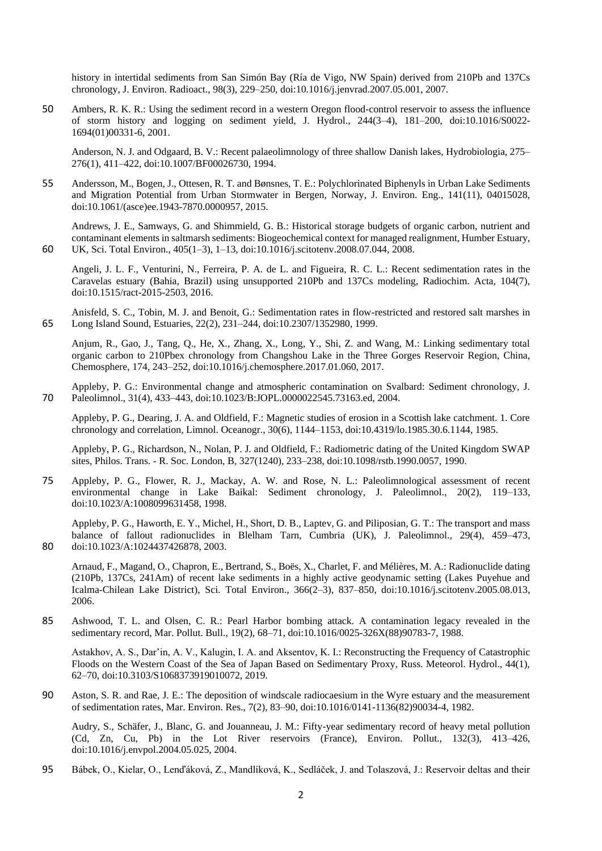history in intertidal sediments from San Simón Bay (Ría de Vigo, NW Spain) derived from 210Pb and 137Cs chronology, J. Environ. Radioact., 98(3), 229–250, doi:10.1016/j.jenvrad.2007.05.001, 2007.

50 Ambers, R. K. R.: Using the sediment record in a western Oregon flood-control reservoir to assess the influence of storm history and logging on sediment yield, J. Hydrol., 244(3–4), 181–200, doi:10.1016/S0022- 1694(01)00331-6, 2001.

Anderson, N. J. and Odgaard, B. V.: Recent palaeolimnology of three shallow Danish lakes, Hydrobiologia, 275– 276(1), 411–422, doi:10.1007/BF00026730, 1994.

55 Andersson, M., Bogen, J., Ottesen, R. T. and Bønsnes, T. E.: Polychlorinated Biphenyls in Urban Lake Sediments and Migration Potential from Urban Stormwater in Bergen, Norway, J. Environ. Eng., 141(11), 04015028, doi:10.1061/(asce)ee.1943-7870.0000957, 2015.

Andrews, J. E., Samways, G. and Shimmield, G. B.: Historical storage budgets of organic carbon, nutrient and contaminant elements in saltmarsh sediments: Biogeochemical context for managed realignment, Humber Estuary, 60 UK, Sci. Total Environ., 405(1–3), 1–13, doi:10.1016/j.scitotenv.2008.07.044, 2008.

Angeli, J. L. F., Venturini, N., Ferreira, P. A. de L. and Figueira, R. C. L.: Recent sedimentation rates in the Caravelas estuary (Bahia, Brazil) using unsupported 210Pb and 137Cs modeling, Radiochim. Acta, 104(7), doi:10.1515/ract-2015-2503, 2016.

Anisfeld, S. C., Tobin, M. J. and Benoit, G.: Sedimentation rates in flow-restricted and restored salt marshes in 65 Long Island Sound, Estuaries, 22(2), 231–244, doi:10.2307/1352980, 1999.

Anjum, R., Gao, J., Tang, Q., He, X., Zhang, X., Long, Y., Shi, Z. and Wang, M.: Linking sedimentary total organic carbon to 210Pbex chronology from Changshou Lake in the Three Gorges Reservoir Region, China, Chemosphere, 174, 243–252, doi:10.1016/j.chemosphere.2017.01.060, 2017.

Appleby, P. G.: Environmental change and atmospheric contamination on Svalbard: Sediment chronology, J. 70 Paleolimnol., 31(4), 433–443, doi:10.1023/B:JOPL.0000022545.73163.ed, 2004.

Appleby, P. G., Dearing, J. A. and Oldfield, F.: Magnetic studies of erosion in a Scottish lake catchment. 1. Core chronology and correlation, Limnol. Oceanogr., 30(6), 1144–1153, doi:10.4319/lo.1985.30.6.1144, 1985.

Appleby, P. G., Richardson, N., Nolan, P. J. and Oldfield, F.: Radiometric dating of the United Kingdom SWAP sites, Philos. Trans. - R. Soc. London, B, 327(1240), 233–238, doi:10.1098/rstb.1990.0057, 1990.

75 Appleby, P. G., Flower, R. J., Mackay, A. W. and Rose, N. L.: Paleolimnological assessment of recent environmental change in Lake Baikal: Sediment chronology, J. Paleolimnol., 20(2), 119–133, doi:10.1023/A:1008099631458, 1998.

Appleby, P. G., Haworth, E. Y., Michel, H., Short, D. B., Laptev, G. and Piliposian, G. T.: The transport and mass balance of fallout radionuclides in Blelham Tarn, Cumbria (UK), J. Paleolimnol., 29(4), 459–473, 80 doi:10.1023/A:1024437426878, 2003.

Arnaud, F., Magand, O., Chapron, E., Bertrand, S., Boës, X., Charlet, F. and Mélières, M. A.: Radionuclide dating (210Pb, 137Cs, 241Am) of recent lake sediments in a highly active geodynamic setting (Lakes Puyehue and Icalma-Chilean Lake District), Sci. Total Environ., 366(2–3), 837–850, doi:10.1016/j.scitotenv.2005.08.013, 2006.

85 Ashwood, T. L. and Olsen, C. R.: Pearl Harbor bombing attack. A contamination legacy revealed in the sedimentary record, Mar. Pollut. Bull., 19(2), 68–71, doi:10.1016/0025-326X(88)90783-7, 1988.

Astakhov, A. S., Dar'in, A. V., Kalugin, I. A. and Aksentov, K. I.: Reconstructing the Frequency of Catastrophic Floods on the Western Coast of the Sea of Japan Based on Sedimentary Proxy, Russ. Meteorol. Hydrol., 44(1), 62–70, doi:10.3103/S1068373919010072, 2019.

90 Aston, S. R. and Rae, J. E.: The deposition of windscale radiocaesium in the Wyre estuary and the measurement of sedimentation rates, Mar. Environ. Res., 7(2), 83–90, doi:10.1016/0141-1136(82)90034-4, 1982.

Audry, S., Schäfer, J., Blanc, G. and Jouanneau, J. M.: Fifty-year sedimentary record of heavy metal pollution (Cd, Zn, Cu, Pb) in the Lot River reservoirs (France), Environ. Pollut., 132(3), 413–426, doi:10.1016/j.envpol.2004.05.025, 2004.

95 Bábek, O., Kielar, O., Lenďáková, Z., Mandlíková, K., Sedláček, J. and Tolaszová, J.: Reservoir deltas and their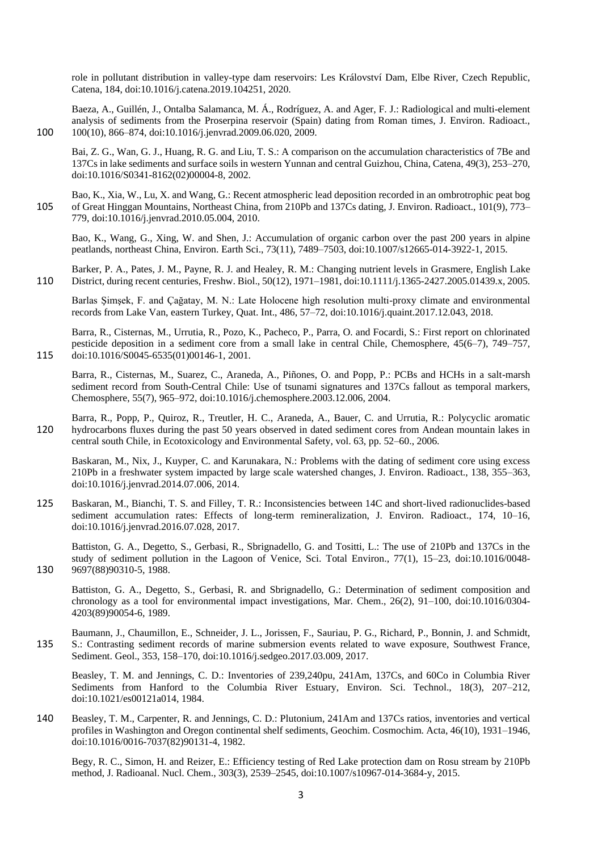role in pollutant distribution in valley-type dam reservoirs: Les Království Dam, Elbe River, Czech Republic, Catena, 184, doi:10.1016/j.catena.2019.104251, 2020.

Baeza, A., Guillén, J., Ontalba Salamanca, M. Á., Rodríguez, A. and Ager, F. J.: Radiological and multi-element analysis of sediments from the Proserpina reservoir (Spain) dating from Roman times, J. Environ. Radioact., 100 100(10), 866–874, doi:10.1016/j.jenvrad.2009.06.020, 2009.

Bai, Z. G., Wan, G. J., Huang, R. G. and Liu, T. S.: A comparison on the accumulation characteristics of 7Be and 137Cs in lake sediments and surface soils in western Yunnan and central Guizhou, China, Catena, 49(3), 253–270, doi:10.1016/S0341-8162(02)00004-8, 2002.

Bao, K., Xia, W., Lu, X. and Wang, G.: Recent atmospheric lead deposition recorded in an ombrotrophic peat bog 105 of Great Hinggan Mountains, Northeast China, from 210Pb and 137Cs dating, J. Environ. Radioact., 101(9), 773– 779, doi:10.1016/j.jenvrad.2010.05.004, 2010.

Bao, K., Wang, G., Xing, W. and Shen, J.: Accumulation of organic carbon over the past 200 years in alpine peatlands, northeast China, Environ. Earth Sci., 73(11), 7489–7503, doi:10.1007/s12665-014-3922-1, 2015.

Barker, P. A., Pates, J. M., Payne, R. J. and Healey, R. M.: Changing nutrient levels in Grasmere, English Lake 110 District, during recent centuries, Freshw. Biol., 50(12), 1971–1981, doi:10.1111/j.1365-2427.2005.01439.x, 2005.

Barlas Şimşek, F. and Çağatay, M. N.: Late Holocene high resolution multi-proxy climate and environmental records from Lake Van, eastern Turkey, Quat. Int., 486, 57–72, doi:10.1016/j.quaint.2017.12.043, 2018.

Barra, R., Cisternas, M., Urrutia, R., Pozo, K., Pacheco, P., Parra, O. and Focardi, S.: First report on chlorinated pesticide deposition in a sediment core from a small lake in central Chile, Chemosphere, 45(6–7), 749–757, 115 doi:10.1016/S0045-6535(01)00146-1, 2001.

Barra, R., Cisternas, M., Suarez, C., Araneda, A., Piñones, O. and Popp, P.: PCBs and HCHs in a salt-marsh sediment record from South-Central Chile: Use of tsunami signatures and 137Cs fallout as temporal markers, Chemosphere, 55(7), 965–972, doi:10.1016/j.chemosphere.2003.12.006, 2004.

Barra, R., Popp, P., Quiroz, R., Treutler, H. C., Araneda, A., Bauer, C. and Urrutia, R.: Polycyclic aromatic 120 hydrocarbons fluxes during the past 50 years observed in dated sediment cores from Andean mountain lakes in central south Chile, in Ecotoxicology and Environmental Safety, vol. 63, pp. 52–60., 2006.

Baskaran, M., Nix, J., Kuyper, C. and Karunakara, N.: Problems with the dating of sediment core using excess 210Pb in a freshwater system impacted by large scale watershed changes, J. Environ. Radioact., 138, 355–363, doi:10.1016/j.jenvrad.2014.07.006, 2014.

125 Baskaran, M., Bianchi, T. S. and Filley, T. R.: Inconsistencies between 14C and short-lived radionuclides-based sediment accumulation rates: Effects of long-term remineralization, J. Environ. Radioact., 174, 10-16, doi:10.1016/j.jenvrad.2016.07.028, 2017.

Battiston, G. A., Degetto, S., Gerbasi, R., Sbrignadello, G. and Tositti, L.: The use of 210Pb and 137Cs in the study of sediment pollution in the Lagoon of Venice, Sci. Total Environ., 77(1), 15–23, doi:10.1016/0048- 130 9697(88)90310-5, 1988.

Battiston, G. A., Degetto, S., Gerbasi, R. and Sbrignadello, G.: Determination of sediment composition and chronology as a tool for environmental impact investigations, Mar. Chem., 26(2), 91–100, doi:10.1016/0304- 4203(89)90054-6, 1989.

Baumann, J., Chaumillon, E., Schneider, J. L., Jorissen, F., Sauriau, P. G., Richard, P., Bonnin, J. and Schmidt, 135 S.: Contrasting sediment records of marine submersion events related to wave exposure, Southwest France, Sediment. Geol., 353, 158–170, doi:10.1016/j.sedgeo.2017.03.009, 2017.

Beasley, T. M. and Jennings, C. D.: Inventories of 239,240pu, 241Am, 137Cs, and 60Co in Columbia River Sediments from Hanford to the Columbia River Estuary, Environ. Sci. Technol., 18(3), 207-212, doi:10.1021/es00121a014, 1984.

140 Beasley, T. M., Carpenter, R. and Jennings, C. D.: Plutonium, 241Am and 137Cs ratios, inventories and vertical profiles in Washington and Oregon continental shelf sediments, Geochim. Cosmochim. Acta, 46(10), 1931–1946, doi:10.1016/0016-7037(82)90131-4, 1982.

Begy, R. C., Simon, H. and Reizer, E.: Efficiency testing of Red Lake protection dam on Rosu stream by 210Pb method, J. Radioanal. Nucl. Chem., 303(3), 2539–2545, doi:10.1007/s10967-014-3684-y, 2015.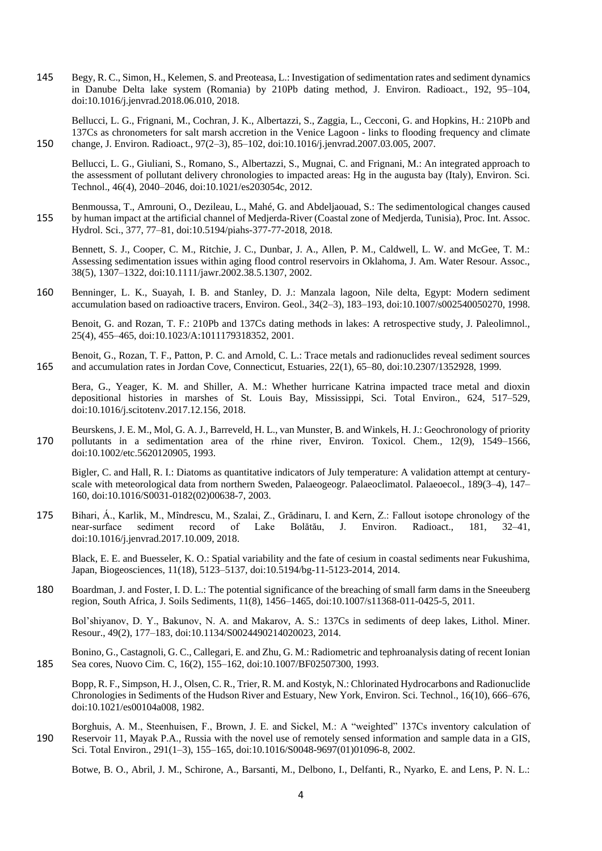145 Begy, R. C., Simon, H., Kelemen, S. and Preoteasa, L.: Investigation of sedimentation rates and sediment dynamics in Danube Delta lake system (Romania) by 210Pb dating method, J. Environ. Radioact., 192, 95–104, doi:10.1016/j.jenvrad.2018.06.010, 2018.

Bellucci, L. G., Frignani, M., Cochran, J. K., Albertazzi, S., Zaggia, L., Cecconi, G. and Hopkins, H.: 210Pb and 137Cs as chronometers for salt marsh accretion in the Venice Lagoon - links to flooding frequency and climate 150 change, J. Environ. Radioact., 97(2–3), 85–102, doi:10.1016/j.jenvrad.2007.03.005, 2007.

Bellucci, L. G., Giuliani, S., Romano, S., Albertazzi, S., Mugnai, C. and Frignani, M.: An integrated approach to the assessment of pollutant delivery chronologies to impacted areas: Hg in the augusta bay (Italy), Environ. Sci. Technol., 46(4), 2040–2046, doi:10.1021/es203054c, 2012.

Benmoussa, T., Amrouni, O., Dezileau, L., Mahé, G. and Abdeljaouad, S.: The sedimentological changes caused 155 by human impact at the artificial channel of Medjerda-River (Coastal zone of Medjerda, Tunisia), Proc. Int. Assoc. Hydrol. Sci., 377, 77–81, doi:10.5194/piahs-377-77-2018, 2018.

Bennett, S. J., Cooper, C. M., Ritchie, J. C., Dunbar, J. A., Allen, P. M., Caldwell, L. W. and McGee, T. M.: Assessing sedimentation issues within aging flood control reservoirs in Oklahoma, J. Am. Water Resour. Assoc., 38(5), 1307–1322, doi:10.1111/jawr.2002.38.5.1307, 2002.

160 Benninger, L. K., Suayah, I. B. and Stanley, D. J.: Manzala lagoon, Nile delta, Egypt: Modern sediment accumulation based on radioactive tracers, Environ. Geol., 34(2–3), 183–193, doi:10.1007/s002540050270, 1998.

Benoit, G. and Rozan, T. F.: 210Pb and 137Cs dating methods in lakes: A retrospective study, J. Paleolimnol., 25(4), 455–465, doi:10.1023/A:1011179318352, 2001.

Benoit, G., Rozan, T. F., Patton, P. C. and Arnold, C. L.: Trace metals and radionuclides reveal sediment sources 165 and accumulation rates in Jordan Cove, Connecticut, Estuaries, 22(1), 65–80, doi:10.2307/1352928, 1999.

Bera, G., Yeager, K. M. and Shiller, A. M.: Whether hurricane Katrina impacted trace metal and dioxin depositional histories in marshes of St. Louis Bay, Mississippi, Sci. Total Environ., 624, 517–529, doi:10.1016/j.scitotenv.2017.12.156, 2018.

Beurskens, J. E. M., Mol, G. A. J., Barreveld, H. L., van Munster, B. and Winkels, H. J.: Geochronology of priority 170 pollutants in a sedimentation area of the rhine river, Environ. Toxicol. Chem., 12(9), 1549–1566, doi:10.1002/etc.5620120905, 1993.

Bigler, C. and Hall, R. I.: Diatoms as quantitative indicators of July temperature: A validation attempt at centuryscale with meteorological data from northern Sweden, Palaeogeogr. Palaeoclimatol. Palaeoecol., 189(3–4), 147– 160, doi:10.1016/S0031-0182(02)00638-7, 2003.

175 Bihari, Á., Karlik, M., Mîndrescu, M., Szalai, Z., Grădinaru, I. and Kern, Z.: Fallout isotope chronology of the near-surface sediment record of Lake Bolătău, J. Environ. Radioact., 181, 32–41, doi:10.1016/j.jenvrad.2017.10.009, 2018.

Black, E. E. and Buesseler, K. O.: Spatial variability and the fate of cesium in coastal sediments near Fukushima, Japan, Biogeosciences, 11(18), 5123–5137, doi:10.5194/bg-11-5123-2014, 2014.

180 Boardman, J. and Foster, I. D. L.: The potential significance of the breaching of small farm dams in the Sneeuberg region, South Africa, J. Soils Sediments, 11(8), 1456–1465, doi:10.1007/s11368-011-0425-5, 2011.

Bol'shiyanov, D. Y., Bakunov, N. A. and Makarov, A. S.: 137Cs in sediments of deep lakes, Lithol. Miner. Resour., 49(2), 177–183, doi:10.1134/S0024490214020023, 2014.

Bonino, G., Castagnoli, G. C., Callegari, E. and Zhu, G. M.: Radiometric and tephroanalysis dating of recent Ionian 185 Sea cores, Nuovo Cim. C, 16(2), 155–162, doi:10.1007/BF02507300, 1993.

Bopp, R. F., Simpson, H. J., Olsen, C. R., Trier, R. M. and Kostyk, N.: Chlorinated Hydrocarbons and Radionuclide Chronologies in Sediments of the Hudson River and Estuary, New York, Environ. Sci. Technol., 16(10), 666–676, doi:10.1021/es00104a008, 1982.

Borghuis, A. M., Steenhuisen, F., Brown, J. E. and Sickel, M.: A "weighted" 137Cs inventory calculation of 190 Reservoir 11, Mayak P.A., Russia with the novel use of remotely sensed information and sample data in a GIS, Sci. Total Environ., 291(1–3), 155–165, doi:10.1016/S0048-9697(01)01096-8, 2002.

Botwe, B. O., Abril, J. M., Schirone, A., Barsanti, M., Delbono, I., Delfanti, R., Nyarko, E. and Lens, P. N. L.: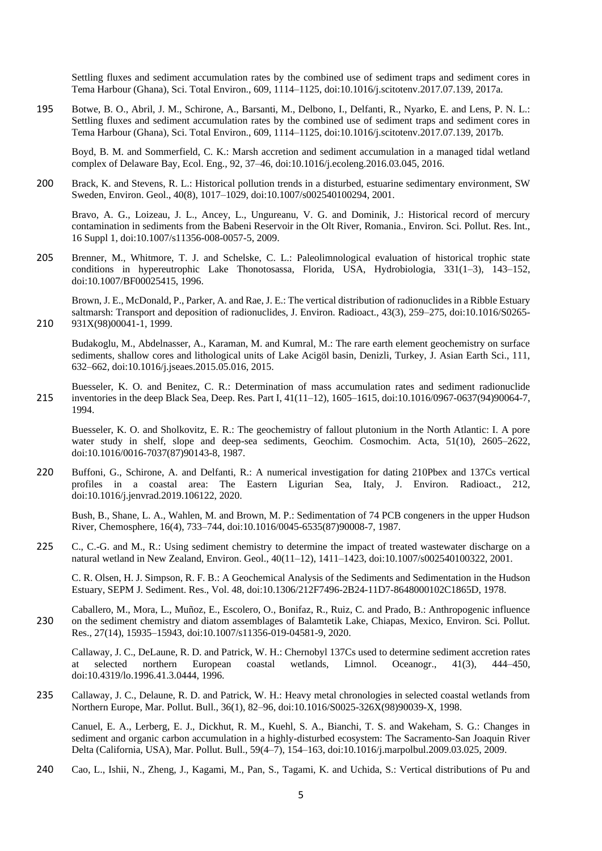Settling fluxes and sediment accumulation rates by the combined use of sediment traps and sediment cores in Tema Harbour (Ghana), Sci. Total Environ., 609, 1114–1125, doi:10.1016/j.scitotenv.2017.07.139, 2017a.

195 Botwe, B. O., Abril, J. M., Schirone, A., Barsanti, M., Delbono, I., Delfanti, R., Nyarko, E. and Lens, P. N. L.: Settling fluxes and sediment accumulation rates by the combined use of sediment traps and sediment cores in Tema Harbour (Ghana), Sci. Total Environ., 609, 1114–1125, doi:10.1016/j.scitotenv.2017.07.139, 2017b.

Boyd, B. M. and Sommerfield, C. K.: Marsh accretion and sediment accumulation in a managed tidal wetland complex of Delaware Bay, Ecol. Eng., 92, 37–46, doi:10.1016/j.ecoleng.2016.03.045, 2016.

200 Brack, K. and Stevens, R. L.: Historical pollution trends in a disturbed, estuarine sedimentary environment, SW Sweden, Environ. Geol., 40(8), 1017–1029, doi:10.1007/s002540100294, 2001.

Bravo, A. G., Loizeau, J. L., Ancey, L., Ungureanu, V. G. and Dominik, J.: Historical record of mercury contamination in sediments from the Babeni Reservoir in the Olt River, Romania., Environ. Sci. Pollut. Res. Int., 16 Suppl 1, doi:10.1007/s11356-008-0057-5, 2009.

205 Brenner, M., Whitmore, T. J. and Schelske, C. L.: Paleolimnological evaluation of historical trophic state conditions in hypereutrophic Lake Thonotosassa, Florida, USA, Hydrobiologia, 331(1–3), 143–152, doi:10.1007/BF00025415, 1996.

Brown, J. E., McDonald, P., Parker, A. and Rae, J. E.: The vertical distribution of radionuclides in a Ribble Estuary saltmarsh: Transport and deposition of radionuclides, J. Environ. Radioact., 43(3), 259–275, doi:10.1016/S0265- 210 931X(98)00041-1, 1999.

Budakoglu, M., Abdelnasser, A., Karaman, M. and Kumral, M.: The rare earth element geochemistry on surface sediments, shallow cores and lithological units of Lake Acigöl basin, Denizli, Turkey, J. Asian Earth Sci., 111, 632–662, doi:10.1016/j.jseaes.2015.05.016, 2015.

Buesseler, K. O. and Benitez, C. R.: Determination of mass accumulation rates and sediment radionuclide 215 inventories in the deep Black Sea, Deep. Res. Part I, 41(11–12), 1605–1615, doi:10.1016/0967-0637(94)90064-7, 1994.

Buesseler, K. O. and Sholkovitz, E. R.: The geochemistry of fallout plutonium in the North Atlantic: I. A pore water study in shelf, slope and deep-sea sediments, Geochim. Cosmochim. Acta, 51(10), 2605–2622, doi:10.1016/0016-7037(87)90143-8, 1987.

220 Buffoni, G., Schirone, A. and Delfanti, R.: A numerical investigation for dating 210Pbex and 137Cs vertical profiles in a coastal area: The Eastern Ligurian Sea, Italy, J. Environ. Radioact., 212, doi:10.1016/j.jenvrad.2019.106122, 2020.

Bush, B., Shane, L. A., Wahlen, M. and Brown, M. P.: Sedimentation of 74 PCB congeners in the upper Hudson River, Chemosphere, 16(4), 733–744, doi:10.1016/0045-6535(87)90008-7, 1987.

225 C., C.-G. and M., R.: Using sediment chemistry to determine the impact of treated wastewater discharge on a natural wetland in New Zealand, Environ. Geol., 40(11–12), 1411–1423, doi:10.1007/s002540100322, 2001.

C. R. Olsen, H. J. Simpson, R. F. B.: A Geochemical Analysis of the Sediments and Sedimentation in the Hudson Estuary, SEPM J. Sediment. Res., Vol. 48, doi:10.1306/212F7496-2B24-11D7-8648000102C1865D, 1978.

Caballero, M., Mora, L., Muñoz, E., Escolero, O., Bonifaz, R., Ruiz, C. and Prado, B.: Anthropogenic influence 230 on the sediment chemistry and diatom assemblages of Balamtetik Lake, Chiapas, Mexico, Environ. Sci. Pollut. Res., 27(14), 15935–15943, doi:10.1007/s11356-019-04581-9, 2020.

Callaway, J. C., DeLaune, R. D. and Patrick, W. H.: Chernobyl 137Cs used to determine sediment accretion rates at selected northern European coastal wetlands, Limnol. Oceanogr., 41(3), 444–450, doi:10.4319/lo.1996.41.3.0444, 1996.

235 Callaway, J. C., Delaune, R. D. and Patrick, W. H.: Heavy metal chronologies in selected coastal wetlands from Northern Europe, Mar. Pollut. Bull., 36(1), 82–96, doi:10.1016/S0025-326X(98)90039-X, 1998.

Canuel, E. A., Lerberg, E. J., Dickhut, R. M., Kuehl, S. A., Bianchi, T. S. and Wakeham, S. G.: Changes in sediment and organic carbon accumulation in a highly-disturbed ecosystem: The Sacramento-San Joaquin River Delta (California, USA), Mar. Pollut. Bull., 59(4–7), 154–163, doi:10.1016/j.marpolbul.2009.03.025, 2009.

240 Cao, L., Ishii, N., Zheng, J., Kagami, M., Pan, S., Tagami, K. and Uchida, S.: Vertical distributions of Pu and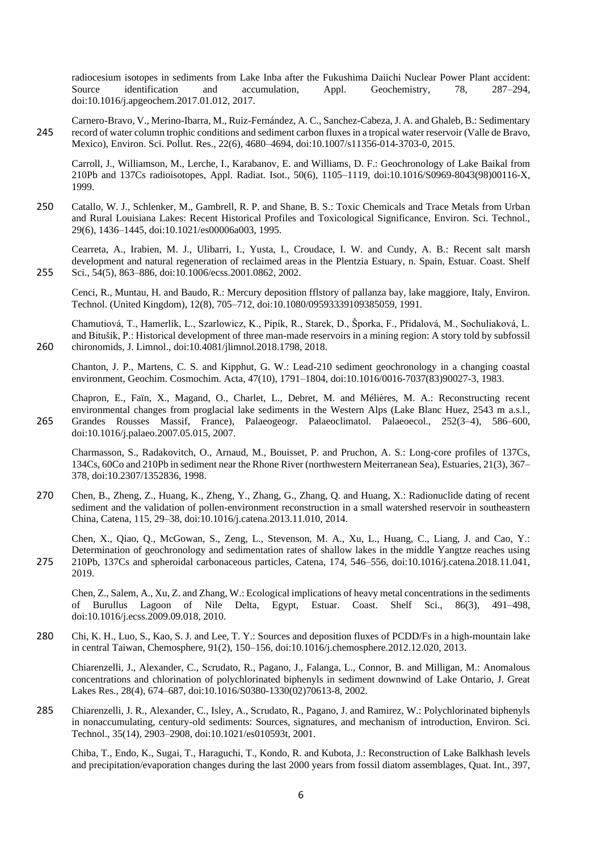radiocesium isotopes in sediments from Lake Inba after the Fukushima Daiichi Nuclear Power Plant accident: Source identification and accumulation, Appl. Geochemistry, 78, 287–294, doi:10.1016/j.apgeochem.2017.01.012, 2017.

Carnero-Bravo, V., Merino-Ibarra, M., Ruiz-Fernández, A. C., Sanchez-Cabeza, J. A. and Ghaleb, B.: Sedimentary 245 record of water column trophic conditions and sediment carbon fluxes in a tropical water reservoir (Valle de Bravo, Mexico), Environ. Sci. Pollut. Res., 22(6), 4680–4694, doi:10.1007/s11356-014-3703-0, 2015.

Carroll, J., Williamson, M., Lerche, I., Karabanov, E. and Williams, D. F.: Geochronology of Lake Baikal from 210Pb and 137Cs radioisotopes, Appl. Radiat. Isot., 50(6), 1105–1119, doi:10.1016/S0969-8043(98)00116-X, 1999.

250 Catallo, W. J., Schlenker, M., Gambrell, R. P. and Shane, B. S.: Toxic Chemicals and Trace Metals from Urban and Rural Louisiana Lakes: Recent Historical Profiles and Toxicological Significance, Environ. Sci. Technol., 29(6), 1436–1445, doi:10.1021/es00006a003, 1995.

Cearreta, A., Irabien, M. J., Ulibarri, I., Yusta, I., Croudace, I. W. and Cundy, A. B.: Recent salt marsh development and natural regeneration of reclaimed areas in the Plentzia Estuary, n. Spain, Estuar. Coast. Shelf 255 Sci., 54(5), 863–886, doi:10.1006/ecss.2001.0862, 2002.

Cenci, R., Muntau, H. and Baudo, R.: Mercury deposition fflstory of pallanza bay, lake maggiore, Italy, Environ. Technol. (United Kingdom), 12(8), 705–712, doi:10.1080/09593339109385059, 1991.

Chamutiová, T., Hamerlík, L., Szarlowicz, K., Pipík, R., Starek, D., Šporka, F., Přidalová, M., Sochuliaková, L. and Bitušík, P.: Historical development of three man-made reservoirs in a mining region: A story told by subfossil 260 chironomids, J. Limnol., doi:10.4081/jlimnol.2018.1798, 2018.

Chanton, J. P., Martens, C. S. and Kipphut, G. W.: Lead-210 sediment geochronology in a changing coastal environment, Geochim. Cosmochim. Acta, 47(10), 1791–1804, doi:10.1016/0016-7037(83)90027-3, 1983.

Chapron, E., Faïn, X., Magand, O., Charlet, L., Debret, M. and Mélières, M. A.: Reconstructing recent environmental changes from proglacial lake sediments in the Western Alps (Lake Blanc Huez, 2543 m a.s.l., 265 Grandes Rousses Massif, France), Palaeogeogr. Palaeoclimatol. Palaeoecol., 252(3-4), 586-600, doi:10.1016/j.palaeo.2007.05.015, 2007.

Charmasson, S., Radakovitch, O., Arnaud, M., Bouisset, P. and Pruchon, A. S.: Long-core profiles of 137Cs, 134Cs, 60Co and 210Pb in sediment near the Rhone River (northwestern Meiterranean Sea), Estuaries, 21(3), 367– 378, doi:10.2307/1352836, 1998.

270 Chen, B., Zheng, Z., Huang, K., Zheng, Y., Zhang, G., Zhang, Q. and Huang, X.: Radionuclide dating of recent sediment and the validation of pollen-environment reconstruction in a small watershed reservoir in southeastern China, Catena, 115, 29–38, doi:10.1016/j.catena.2013.11.010, 2014.

Chen, X., Qiao, Q., McGowan, S., Zeng, L., Stevenson, M. A., Xu, L., Huang, C., Liang, J. and Cao, Y.: Determination of geochronology and sedimentation rates of shallow lakes in the middle Yangtze reaches using 275 210Pb, 137Cs and spheroidal carbonaceous particles, Catena, 174, 546–556, doi:10.1016/j.catena.2018.11.041, 2019.

Chen, Z., Salem, A., Xu, Z. and Zhang, W.: Ecological implications of heavy metal concentrations in the sediments of Burullus Lagoon of Nile Delta, Egypt, Estuar. Coast. Shelf Sci., 86(3), 491–498, doi:10.1016/j.ecss.2009.09.018, 2010.

280 Chi, K. H., Luo, S., Kao, S. J. and Lee, T. Y.: Sources and deposition fluxes of PCDD/Fs in a high-mountain lake in central Taiwan, Chemosphere, 91(2), 150–156, doi:10.1016/j.chemosphere.2012.12.020, 2013.

Chiarenzelli, J., Alexander, C., Scrudato, R., Pagano, J., Falanga, L., Connor, B. and Milligan, M.: Anomalous concentrations and chlorination of polychlorinated biphenyls in sediment downwind of Lake Ontario, J. Great Lakes Res., 28(4), 674–687, doi:10.1016/S0380-1330(02)70613-8, 2002.

285 Chiarenzelli, J. R., Alexander, C., Isley, A., Scrudato, R., Pagano, J. and Ramirez, W.: Polychlorinated biphenyls in nonaccumulating, century-old sediments: Sources, signatures, and mechanism of introduction, Environ. Sci. Technol., 35(14), 2903–2908, doi:10.1021/es010593t, 2001.

Chiba, T., Endo, K., Sugai, T., Haraguchi, T., Kondo, R. and Kubota, J.: Reconstruction of Lake Balkhash levels and precipitation/evaporation changes during the last 2000 years from fossil diatom assemblages, Quat. Int., 397,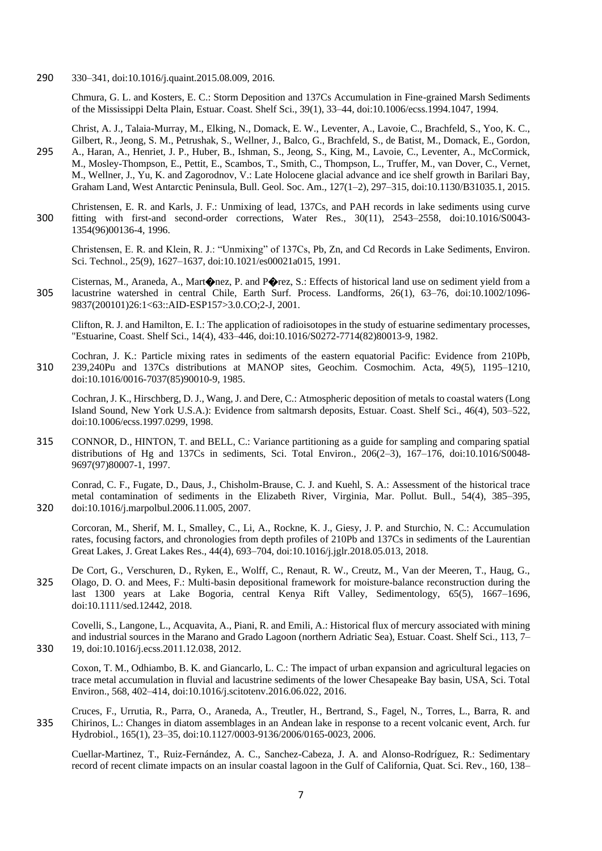290 330–341, doi:10.1016/j.quaint.2015.08.009, 2016.

Chmura, G. L. and Kosters, E. C.: Storm Deposition and 137Cs Accumulation in Fine-grained Marsh Sediments of the Mississippi Delta Plain, Estuar. Coast. Shelf Sci., 39(1), 33–44, doi:10.1006/ecss.1994.1047, 1994.

Christ, A. J., Talaia-Murray, M., Elking, N., Domack, E. W., Leventer, A., Lavoie, C., Brachfeld, S., Yoo, K. C., Gilbert, R., Jeong, S. M., Petrushak, S., Wellner, J., Balco, G., Brachfeld, S., de Batist, M., Domack, E., Gordon,

- 295 A., Haran, A., Henriet, J. P., Huber, B., Ishman, S., Jeong, S., King, M., Lavoie, C., Leventer, A., McCormick, M., Mosley-Thompson, E., Pettit, E., Scambos, T., Smith, C., Thompson, L., Truffer, M., van Dover, C., Vernet, M., Wellner, J., Yu, K. and Zagorodnov, V.: Late Holocene glacial advance and ice shelf growth in Barilari Bay, Graham Land, West Antarctic Peninsula, Bull. Geol. Soc. Am., 127(1–2), 297–315, doi:10.1130/B31035.1, 2015.
- Christensen, E. R. and Karls, J. F.: Unmixing of lead, 137Cs, and PAH records in lake sediments using curve 300 fitting with first-and second-order corrections, Water Res., 30(11), 2543–2558, doi:10.1016/S0043- 1354(96)00136-4, 1996.

Christensen, E. R. and Klein, R. J.: "Unmixing" of 137Cs, Pb, Zn, and Cd Records in Lake Sediments, Environ. Sci. Technol., 25(9), 1627–1637, doi:10.1021/es00021a015, 1991.

Cisternas, M., Araneda, A., Mart $\bigcirc$ nez, P. and P $\bigcirc$ rez, S.: Effects of historical land use on sediment yield from a 305 lacustrine watershed in central Chile, Earth Surf. Process. Landforms, 26(1), 63–76, doi:10.1002/1096- 9837(200101)26:1<63::AID-ESP157>3.0.CO;2-J, 2001.

Clifton, R. J. and Hamilton, E. I.: The application of radioisotopes in the study of estuarine sedimentary processes, "Estuarine, Coast. Shelf Sci., 14(4), 433–446, doi:10.1016/S0272-7714(82)80013-9, 1982.

Cochran, J. K.: Particle mixing rates in sediments of the eastern equatorial Pacific: Evidence from 210Pb, 310 239,240Pu and 137Cs distributions at MANOP sites, Geochim. Cosmochim. Acta, 49(5), 1195–1210, doi:10.1016/0016-7037(85)90010-9, 1985.

Cochran, J. K., Hirschberg, D. J., Wang, J. and Dere, C.: Atmospheric deposition of metals to coastal waters (Long Island Sound, New York U.S.A.): Evidence from saltmarsh deposits, Estuar. Coast. Shelf Sci., 46(4), 503–522, doi:10.1006/ecss.1997.0299, 1998.

315 CONNOR, D., HINTON, T. and BELL, C.: Variance partitioning as a guide for sampling and comparing spatial distributions of Hg and 137Cs in sediments, Sci. Total Environ., 206(2-3), 167-176, doi:10.1016/S0048-9697(97)80007-1, 1997.

Conrad, C. F., Fugate, D., Daus, J., Chisholm-Brause, C. J. and Kuehl, S. A.: Assessment of the historical trace metal contamination of sediments in the Elizabeth River, Virginia, Mar. Pollut. Bull., 54(4), 385–395, 320 doi:10.1016/j.marpolbul.2006.11.005, 2007.

Corcoran, M., Sherif, M. I., Smalley, C., Li, A., Rockne, K. J., Giesy, J. P. and Sturchio, N. C.: Accumulation rates, focusing factors, and chronologies from depth profiles of 210Pb and 137Cs in sediments of the Laurentian Great Lakes, J. Great Lakes Res., 44(4), 693–704, doi:10.1016/j.jglr.2018.05.013, 2018.

De Cort, G., Verschuren, D., Ryken, E., Wolff, C., Renaut, R. W., Creutz, M., Van der Meeren, T., Haug, G., 325 Olago, D. O. and Mees, F.: Multi-basin depositional framework for moisture-balance reconstruction during the last 1300 years at Lake Bogoria, central Kenya Rift Valley, Sedimentology, 65(5), 1667–1696, doi:10.1111/sed.12442, 2018.

Covelli, S., Langone, L., Acquavita, A., Piani, R. and Emili, A.: Historical flux of mercury associated with mining and industrial sources in the Marano and Grado Lagoon (northern Adriatic Sea), Estuar. Coast. Shelf Sci., 113, 7– 330 19, doi:10.1016/j.ecss.2011.12.038, 2012.

Coxon, T. M., Odhiambo, B. K. and Giancarlo, L. C.: The impact of urban expansion and agricultural legacies on trace metal accumulation in fluvial and lacustrine sediments of the lower Chesapeake Bay basin, USA, Sci. Total Environ., 568, 402–414, doi:10.1016/j.scitotenv.2016.06.022, 2016.

Cruces, F., Urrutia, R., Parra, O., Araneda, A., Treutler, H., Bertrand, S., Fagel, N., Torres, L., Barra, R. and 335 Chirinos, L.: Changes in diatom assemblages in an Andean lake in response to a recent volcanic event, Arch. fur Hydrobiol., 165(1), 23–35, doi:10.1127/0003-9136/2006/0165-0023, 2006.

Cuellar-Martinez, T., Ruiz-Fernández, A. C., Sanchez-Cabeza, J. A. and Alonso-Rodríguez, R.: Sedimentary record of recent climate impacts on an insular coastal lagoon in the Gulf of California, Quat. Sci. Rev., 160, 138–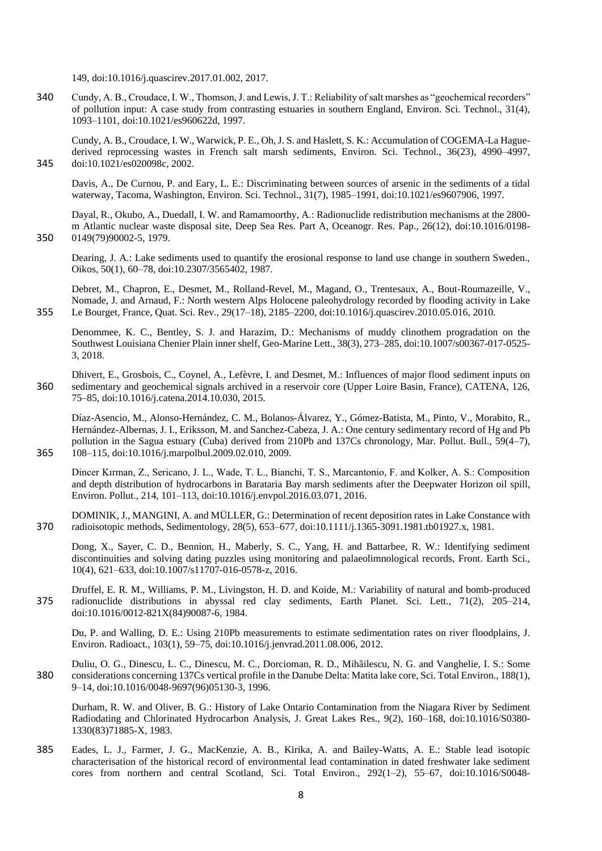149, doi:10.1016/j.quascirev.2017.01.002, 2017.

340 Cundy, A. B., Croudace, I. W., Thomson, J. and Lewis, J. T.: Reliability of salt marshes as "geochemical recorders" of pollution input: A case study from contrasting estuaries in southern England, Environ. Sci. Technol., 31(4), 1093–1101, doi:10.1021/es960622d, 1997.

Cundy, A. B., Croudace, I. W., Warwick, P. E., Oh, J. S. and Haslett, S. K.: Accumulation of COGEMA-La Haguederived reprocessing wastes in French salt marsh sediments, Environ. Sci. Technol., 36(23), 4990–4997, 345 doi:10.1021/es020098c, 2002.

Davis, A., De Curnou, P. and Eary, L. E.: Discriminating between sources of arsenic in the sediments of a tidal waterway, Tacoma, Washington, Environ. Sci. Technol., 31(7), 1985–1991, doi:10.1021/es9607906, 1997.

Dayal, R., Okubo, A., Duedall, I. W. and Ramamoorthy, A.: Radionuclide redistribution mechanisms at the 2800 m Atlantic nuclear waste disposal site, Deep Sea Res. Part A, Oceanogr. Res. Pap., 26(12), doi:10.1016/0198- 350 0149(79)90002-5, 1979.

Dearing, J. A.: Lake sediments used to quantify the erosional response to land use change in southern Sweden., Oikos, 50(1), 60–78, doi:10.2307/3565402, 1987.

Debret, M., Chapron, E., Desmet, M., Rolland-Revel, M., Magand, O., Trentesaux, A., Bout-Roumazeille, V., Nomade, J. and Arnaud, F.: North western Alps Holocene paleohydrology recorded by flooding activity in Lake 355 Le Bourget, France, Quat. Sci. Rev., 29(17–18), 2185–2200, doi:10.1016/j.quascirev.2010.05.016, 2010.

Denommee, K. C., Bentley, S. J. and Harazim, D.: Mechanisms of muddy clinothem progradation on the Southwest Louisiana Chenier Plain inner shelf, Geo-Marine Lett., 38(3), 273–285, doi:10.1007/s00367-017-0525- 3, 2018.

Dhivert, E., Grosbois, C., Coynel, A., Lefèvre, I. and Desmet, M.: Influences of major flood sediment inputs on 360 sedimentary and geochemical signals archived in a reservoir core (Upper Loire Basin, France), CATENA, 126, 75–85, doi:10.1016/j.catena.2014.10.030, 2015.

Díaz-Asencio, M., Alonso-Hernández, C. M., Bolanos-Álvarez, Y., Gómez-Batista, M., Pinto, V., Morabito, R., Hernández-Albernas, J. I., Eriksson, M. and Sanchez-Cabeza, J. A.: One century sedimentary record of Hg and Pb pollution in the Sagua estuary (Cuba) derived from 210Pb and 137Cs chronology, Mar. Pollut. Bull., 59(4–7), 365 108–115, doi:10.1016/j.marpolbul.2009.02.010, 2009.

Dincer Kırman, Z., Sericano, J. L., Wade, T. L., Bianchi, T. S., Marcantonio, F. and Kolker, A. S.: Composition and depth distribution of hydrocarbons in Barataria Bay marsh sediments after the Deepwater Horizon oil spill, Environ. Pollut., 214, 101–113, doi:10.1016/j.envpol.2016.03.071, 2016.

DOMINIK, J., MANGINI, A. and MÜLLER, G.: Determination of recent deposition rates in Lake Constance with 370 radioisotopic methods, Sedimentology, 28(5), 653–677, doi:10.1111/j.1365-3091.1981.tb01927.x, 1981.

Dong, X., Sayer, C. D., Bennion, H., Maberly, S. C., Yang, H. and Battarbee, R. W.: Identifying sediment discontinuities and solving dating puzzles using monitoring and palaeolimnological records, Front. Earth Sci., 10(4), 621–633, doi:10.1007/s11707-016-0578-z, 2016.

Druffel, E. R. M., Williams, P. M., Livingston, H. D. and Koide, M.: Variability of natural and bomb-produced 375 radionuclide distributions in abyssal red clay sediments, Earth Planet. Sci. Lett., 71(2), 205–214, doi:10.1016/0012-821X(84)90087-6, 1984.

Du, P. and Walling, D. E.: Using 210Pb measurements to estimate sedimentation rates on river floodplains, J. Environ. Radioact., 103(1), 59–75, doi:10.1016/j.jenvrad.2011.08.006, 2012.

Duliu, O. G., Dinescu, L. C., Dinescu, M. C., Dorcioman, R. D., Mihãilescu, N. G. and Vanghelie, I. S.: Some 380 considerations concerning 137Cs vertical profile in the Danube Delta: Matita lake core, Sci. Total Environ., 188(1), 9–14, doi:10.1016/0048-9697(96)05130-3, 1996.

Durham, R. W. and Oliver, B. G.: History of Lake Ontario Contamination from the Niagara River by Sediment Radiodating and Chlorinated Hydrocarbon Analysis, J. Great Lakes Res., 9(2), 160–168, doi:10.1016/S0380- 1330(83)71885-X, 1983.

385 Eades, L. J., Farmer, J. G., MacKenzie, A. B., Kirika, A. and Bailey-Watts, A. E.: Stable lead isotopic characterisation of the historical record of environmental lead contamination in dated freshwater lake sediment cores from northern and central Scotland, Sci. Total Environ., 292(1–2), 55–67, doi:10.1016/S0048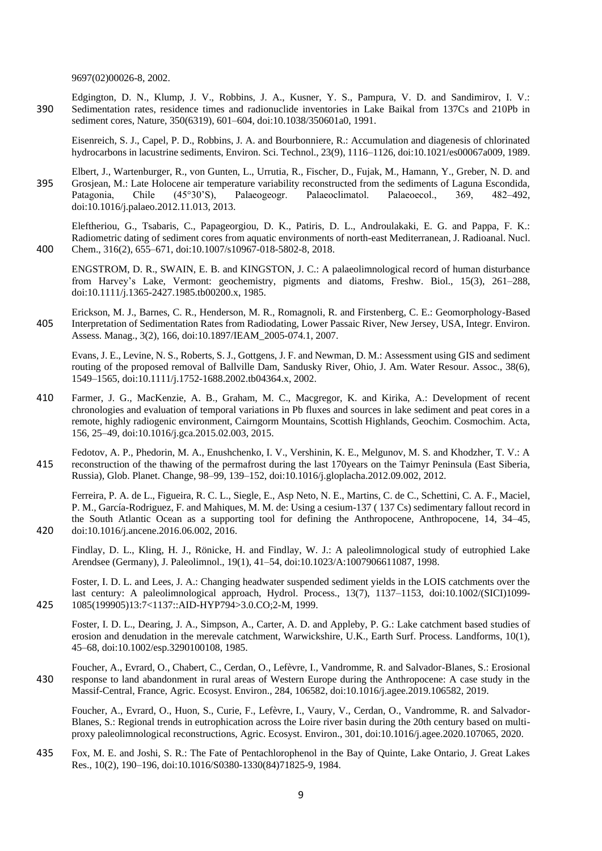9697(02)00026-8, 2002.

Edgington, D. N., Klump, J. V., Robbins, J. A., Kusner, Y. S., Pampura, V. D. and Sandimirov, I. V.: 390 Sedimentation rates, residence times and radionuclide inventories in Lake Baikal from 137Cs and 210Pb in sediment cores, Nature, 350(6319), 601–604, doi:10.1038/350601a0, 1991.

Eisenreich, S. J., Capel, P. D., Robbins, J. A. and Bourbonniere, R.: Accumulation and diagenesis of chlorinated hydrocarbons in lacustrine sediments, Environ. Sci. Technol., 23(9), 1116–1126, doi:10.1021/es00067a009, 1989.

Elbert, J., Wartenburger, R., von Gunten, L., Urrutia, R., Fischer, D., Fujak, M., Hamann, Y., Greber, N. D. and 395 Grosjean, M.: Late Holocene air temperature variability reconstructed from the sediments of Laguna Escondida,<br>Patagonia. Chile (45°30'S). Palaeogeogr. Palaeogeolimatol. Palaeogeol.. 369. 482–492. Patagonia, Chile (45°30'S), Palaeogeogr. Palaeoclimatol. doi:10.1016/j.palaeo.2012.11.013, 2013.

Eleftheriou, G., Tsabaris, C., Papageorgiou, D. K., Patiris, D. L., Androulakaki, E. G. and Pappa, F. K.: Radiometric dating of sediment cores from aquatic environments of north-east Mediterranean, J. Radioanal. Nucl. 400 Chem., 316(2), 655–671, doi:10.1007/s10967-018-5802-8, 2018.

ENGSTROM, D. R., SWAIN, E. B. and KINGSTON, J. C.: A palaeolimnological record of human disturbance from Harvey's Lake, Vermont: geochemistry, pigments and diatoms, Freshw. Biol., 15(3), 261–288, doi:10.1111/j.1365-2427.1985.tb00200.x, 1985.

Erickson, M. J., Barnes, C. R., Henderson, M. R., Romagnoli, R. and Firstenberg, C. E.: Geomorphology-Based 405 Interpretation of Sedimentation Rates from Radiodating, Lower Passaic River, New Jersey, USA, Integr. Environ. Assess. Manag., 3(2), 166, doi:10.1897/IEAM\_2005-074.1, 2007.

Evans, J. E., Levine, N. S., Roberts, S. J., Gottgens, J. F. and Newman, D. M.: Assessment using GIS and sediment routing of the proposed removal of Ballville Dam, Sandusky River, Ohio, J. Am. Water Resour. Assoc., 38(6), 1549–1565, doi:10.1111/j.1752-1688.2002.tb04364.x, 2002.

- 410 Farmer, J. G., MacKenzie, A. B., Graham, M. C., Macgregor, K. and Kirika, A.: Development of recent chronologies and evaluation of temporal variations in Pb fluxes and sources in lake sediment and peat cores in a remote, highly radiogenic environment, Cairngorm Mountains, Scottish Highlands, Geochim. Cosmochim. Acta, 156, 25–49, doi:10.1016/j.gca.2015.02.003, 2015.
- Fedotov, A. P., Phedorin, M. A., Enushchenko, I. V., Vershinin, K. E., Melgunov, M. S. and Khodzher, T. V.: A 415 reconstruction of the thawing of the permafrost during the last 170years on the Taimyr Peninsula (East Siberia, Russia), Glob. Planet. Change, 98–99, 139–152, doi:10.1016/j.gloplacha.2012.09.002, 2012.

Ferreira, P. A. de L., Figueira, R. C. L., Siegle, E., Asp Neto, N. E., Martins, C. de C., Schettini, C. A. F., Maciel, P. M., García-Rodriguez, F. and Mahiques, M. M. de: Using a cesium-137 ( 137 Cs) sedimentary fallout record in the South Atlantic Ocean as a supporting tool for defining the Anthropocene, Anthropocene, 14, 34–45, 420 doi:10.1016/j.ancene.2016.06.002, 2016.

Findlay, D. L., Kling, H. J., Rönicke, H. and Findlay, W. J.: A paleolimnological study of eutrophied Lake Arendsee (Germany), J. Paleolimnol., 19(1), 41–54, doi:10.1023/A:1007906611087, 1998.

Foster, I. D. L. and Lees, J. A.: Changing headwater suspended sediment yields in the LOIS catchments over the last century: A paleolimnological approach, Hydrol. Process., 13(7), 1137–1153, doi:10.1002/(SICI)1099-425 1085(199905)13:7<1137::AID-HYP794>3.0.CO;2-M, 1999.

Foster, I. D. L., Dearing, J. A., Simpson, A., Carter, A. D. and Appleby, P. G.: Lake catchment based studies of erosion and denudation in the merevale catchment, Warwickshire, U.K., Earth Surf. Process. Landforms, 10(1), 45–68, doi:10.1002/esp.3290100108, 1985.

Foucher, A., Evrard, O., Chabert, C., Cerdan, O., Lefèvre, I., Vandromme, R. and Salvador-Blanes, S.: Erosional 430 response to land abandonment in rural areas of Western Europe during the Anthropocene: A case study in the Massif-Central, France, Agric. Ecosyst. Environ., 284, 106582, doi:10.1016/j.agee.2019.106582, 2019.

Foucher, A., Evrard, O., Huon, S., Curie, F., Lefèvre, I., Vaury, V., Cerdan, O., Vandromme, R. and Salvador-Blanes, S.: Regional trends in eutrophication across the Loire river basin during the 20th century based on multiproxy paleolimnological reconstructions, Agric. Ecosyst. Environ., 301, doi:10.1016/j.agee.2020.107065, 2020.

435 Fox, M. E. and Joshi, S. R.: The Fate of Pentachlorophenol in the Bay of Quinte, Lake Ontario, J. Great Lakes Res., 10(2), 190–196, doi:10.1016/S0380-1330(84)71825-9, 1984.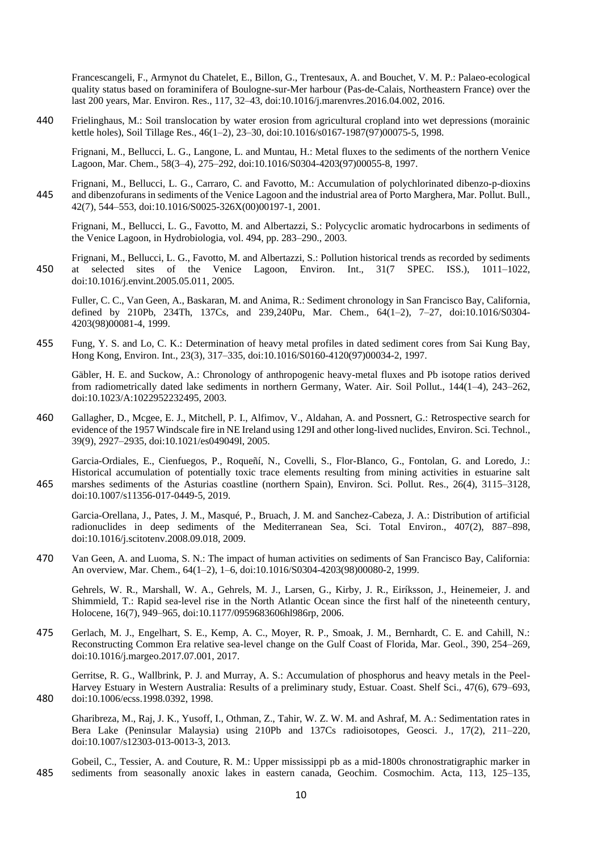Francescangeli, F., Armynot du Chatelet, E., Billon, G., Trentesaux, A. and Bouchet, V. M. P.: Palaeo-ecological quality status based on foraminifera of Boulogne-sur-Mer harbour (Pas-de-Calais, Northeastern France) over the last 200 years, Mar. Environ. Res., 117, 32–43, doi:10.1016/j.marenvres.2016.04.002, 2016.

440 Frielinghaus, M.: Soil translocation by water erosion from agricultural cropland into wet depressions (morainic kettle holes), Soil Tillage Res., 46(1–2), 23–30, doi:10.1016/s0167-1987(97)00075-5, 1998.

Frignani, M., Bellucci, L. G., Langone, L. and Muntau, H.: Metal fluxes to the sediments of the northern Venice Lagoon, Mar. Chem., 58(3–4), 275–292, doi:10.1016/S0304-4203(97)00055-8, 1997.

Frignani, M., Bellucci, L. G., Carraro, C. and Favotto, M.: Accumulation of polychlorinated dibenzo-p-dioxins 445 and dibenzofurans in sediments of the Venice Lagoon and the industrial area of Porto Marghera, Mar. Pollut. Bull., 42(7), 544–553, doi:10.1016/S0025-326X(00)00197-1, 2001.

Frignani, M., Bellucci, L. G., Favotto, M. and Albertazzi, S.: Polycyclic aromatic hydrocarbons in sediments of the Venice Lagoon, in Hydrobiologia, vol. 494, pp. 283–290., 2003.

Frignani, M., Bellucci, L. G., Favotto, M. and Albertazzi, S.: Pollution historical trends as recorded by sediments 450 at selected sites of the Venice Lagoon, Environ. Int., 31(7 SPEC. ISS.), 1011–1022, doi:10.1016/j.envint.2005.05.011, 2005.

Fuller, C. C., Van Geen, A., Baskaran, M. and Anima, R.: Sediment chronology in San Francisco Bay, California, defined by 210Pb, 234Th, 137Cs, and 239,240Pu, Mar. Chem., 64(1–2), 7–27, doi:10.1016/S0304- 4203(98)00081-4, 1999.

455 Fung, Y. S. and Lo, C. K.: Determination of heavy metal profiles in dated sediment cores from Sai Kung Bay, Hong Kong, Environ. Int., 23(3), 317–335, doi:10.1016/S0160-4120(97)00034-2, 1997.

Gäbler, H. E. and Suckow, A.: Chronology of anthropogenic heavy-metal fluxes and Pb isotope ratios derived from radiometrically dated lake sediments in northern Germany, Water. Air. Soil Pollut., 144(1–4), 243–262, doi:10.1023/A:1022952232495, 2003.

460 Gallagher, D., Mcgee, E. J., Mitchell, P. I., Alfimov, V., Aldahan, A. and Possnert, G.: Retrospective search for evidence of the 1957 Windscale fire in NE Ireland using 129I and other long-lived nuclides, Environ. Sci. Technol., 39(9), 2927–2935, doi:10.1021/es049049l, 2005.

Garcia-Ordiales, E., Cienfuegos, P., Roqueñí, N., Covelli, S., Flor-Blanco, G., Fontolan, G. and Loredo, J.: Historical accumulation of potentially toxic trace elements resulting from mining activities in estuarine salt 465 marshes sediments of the Asturias coastline (northern Spain), Environ. Sci. Pollut. Res., 26(4), 3115–3128, doi:10.1007/s11356-017-0449-5, 2019.

Garcia-Orellana, J., Pates, J. M., Masqué, P., Bruach, J. M. and Sanchez-Cabeza, J. A.: Distribution of artificial radionuclides in deep sediments of the Mediterranean Sea, Sci. Total Environ., 407(2), 887–898, doi:10.1016/j.scitotenv.2008.09.018, 2009.

470 Van Geen, A. and Luoma, S. N.: The impact of human activities on sediments of San Francisco Bay, California: An overview, Mar. Chem., 64(1–2), 1–6, doi:10.1016/S0304-4203(98)00080-2, 1999.

Gehrels, W. R., Marshall, W. A., Gehrels, M. J., Larsen, G., Kirby, J. R., Eiríksson, J., Heinemeier, J. and Shimmield, T.: Rapid sea-level rise in the North Atlantic Ocean since the first half of the nineteenth century, Holocene, 16(7), 949–965, doi:10.1177/0959683606hl986rp, 2006.

475 Gerlach, M. J., Engelhart, S. E., Kemp, A. C., Moyer, R. P., Smoak, J. M., Bernhardt, C. E. and Cahill, N.: Reconstructing Common Era relative sea-level change on the Gulf Coast of Florida, Mar. Geol., 390, 254–269, doi:10.1016/j.margeo.2017.07.001, 2017.

Gerritse, R. G., Wallbrink, P. J. and Murray, A. S.: Accumulation of phosphorus and heavy metals in the Peel-Harvey Estuary in Western Australia: Results of a preliminary study, Estuar. Coast. Shelf Sci., 47(6), 679–693, 480 doi:10.1006/ecss.1998.0392, 1998.

Gharibreza, M., Raj, J. K., Yusoff, I., Othman, Z., Tahir, W. Z. W. M. and Ashraf, M. A.: Sedimentation rates in Bera Lake (Peninsular Malaysia) using 210Pb and 137Cs radioisotopes, Geosci. J., 17(2), 211–220, doi:10.1007/s12303-013-0013-3, 2013.

Gobeil, C., Tessier, A. and Couture, R. M.: Upper mississippi pb as a mid-1800s chronostratigraphic marker in 485 sediments from seasonally anoxic lakes in eastern canada, Geochim. Cosmochim. Acta, 113, 125–135,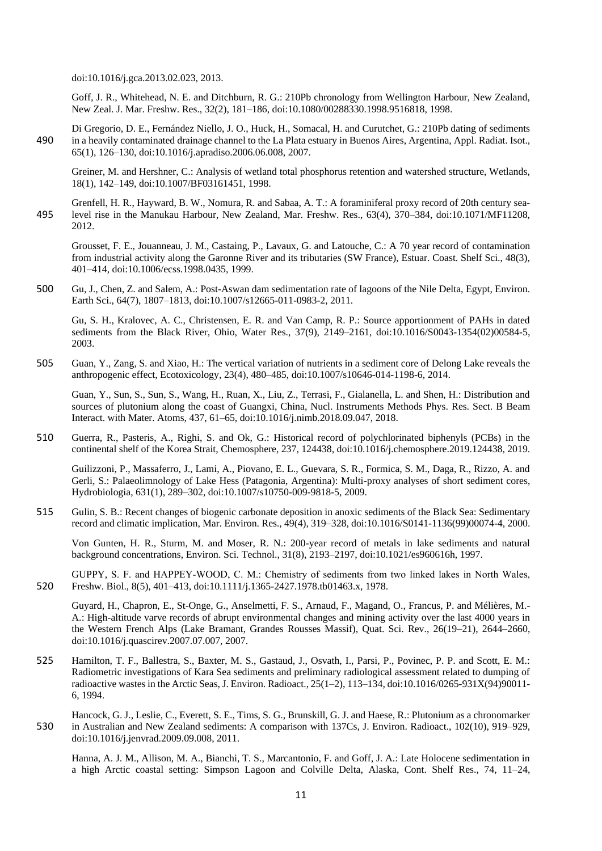doi:10.1016/j.gca.2013.02.023, 2013.

Goff, J. R., Whitehead, N. E. and Ditchburn, R. G.: 210Pb chronology from Wellington Harbour, New Zealand, New Zeal. J. Mar. Freshw. Res., 32(2), 181–186, doi:10.1080/00288330.1998.9516818, 1998.

Di Gregorio, D. E., Fernández Niello, J. O., Huck, H., Somacal, H. and Curutchet, G.: 210Pb dating of sediments 490 in a heavily contaminated drainage channel to the La Plata estuary in Buenos Aires, Argentina, Appl. Radiat. Isot., 65(1), 126–130, doi:10.1016/j.apradiso.2006.06.008, 2007.

Greiner, M. and Hershner, C.: Analysis of wetland total phosphorus retention and watershed structure, Wetlands, 18(1), 142–149, doi:10.1007/BF03161451, 1998.

Grenfell, H. R., Hayward, B. W., Nomura, R. and Sabaa, A. T.: A foraminiferal proxy record of 20th century sea-495 level rise in the Manukau Harbour, New Zealand, Mar. Freshw. Res., 63(4), 370–384, doi:10.1071/MF11208, 2012.

Grousset, F. E., Jouanneau, J. M., Castaing, P., Lavaux, G. and Latouche, C.: A 70 year record of contamination from industrial activity along the Garonne River and its tributaries (SW France), Estuar. Coast. Shelf Sci., 48(3), 401–414, doi:10.1006/ecss.1998.0435, 1999.

500 Gu, J., Chen, Z. and Salem, A.: Post-Aswan dam sedimentation rate of lagoons of the Nile Delta, Egypt, Environ. Earth Sci., 64(7), 1807–1813, doi:10.1007/s12665-011-0983-2, 2011.

Gu, S. H., Kralovec, A. C., Christensen, E. R. and Van Camp, R. P.: Source apportionment of PAHs in dated sediments from the Black River, Ohio, Water Res., 37(9), 2149–2161, doi:10.1016/S0043-1354(02)00584-5, 2003.

505 Guan, Y., Zang, S. and Xiao, H.: The vertical variation of nutrients in a sediment core of Delong Lake reveals the anthropogenic effect, Ecotoxicology, 23(4), 480–485, doi:10.1007/s10646-014-1198-6, 2014.

Guan, Y., Sun, S., Sun, S., Wang, H., Ruan, X., Liu, Z., Terrasi, F., Gialanella, L. and Shen, H.: Distribution and sources of plutonium along the coast of Guangxi, China, Nucl. Instruments Methods Phys. Res. Sect. B Beam Interact. with Mater. Atoms, 437, 61–65, doi:10.1016/j.nimb.2018.09.047, 2018.

510 Guerra, R., Pasteris, A., Righi, S. and Ok, G.: Historical record of polychlorinated biphenyls (PCBs) in the continental shelf of the Korea Strait, Chemosphere, 237, 124438, doi:10.1016/j.chemosphere.2019.124438, 2019.

Guilizzoni, P., Massaferro, J., Lami, A., Piovano, E. L., Guevara, S. R., Formica, S. M., Daga, R., Rizzo, A. and Gerli, S.: Palaeolimnology of Lake Hess (Patagonia, Argentina): Multi-proxy analyses of short sediment cores, Hydrobiologia, 631(1), 289–302, doi:10.1007/s10750-009-9818-5, 2009.

515 Gulin, S. B.: Recent changes of biogenic carbonate deposition in anoxic sediments of the Black Sea: Sedimentary record and climatic implication, Mar. Environ. Res., 49(4), 319–328, doi:10.1016/S0141-1136(99)00074-4, 2000.

Von Gunten, H. R., Sturm, M. and Moser, R. N.: 200-year record of metals in lake sediments and natural background concentrations, Environ. Sci. Technol., 31(8), 2193–2197, doi:10.1021/es960616h, 1997.

GUPPY, S. F. and HAPPEY‐WOOD, C. M.: Chemistry of sediments from two linked lakes in North Wales, 520 Freshw. Biol., 8(5), 401–413, doi:10.1111/j.1365-2427.1978.tb01463.x, 1978.

Guyard, H., Chapron, E., St-Onge, G., Anselmetti, F. S., Arnaud, F., Magand, O., Francus, P. and Mélières, M.- A.: High-altitude varve records of abrupt environmental changes and mining activity over the last 4000 years in the Western French Alps (Lake Bramant, Grandes Rousses Massif), Quat. Sci. Rev., 26(19–21), 2644–2660, doi:10.1016/j.quascirev.2007.07.007, 2007.

- 525 Hamilton, T. F., Ballestra, S., Baxter, M. S., Gastaud, J., Osvath, I., Parsi, P., Povinec, P. P. and Scott, E. M.: Radiometric investigations of Kara Sea sediments and preliminary radiological assessment related to dumping of radioactive wastes in the Arctic Seas, J. Environ. Radioact., 25(1–2), 113–134, doi:10.1016/0265-931X(94)90011- 6, 1994.
- Hancock, G. J., Leslie, C., Everett, S. E., Tims, S. G., Brunskill, G. J. and Haese, R.: Plutonium as a chronomarker 530 in Australian and New Zealand sediments: A comparison with 137Cs, J. Environ. Radioact., 102(10), 919–929, doi:10.1016/j.jenvrad.2009.09.008, 2011.

Hanna, A. J. M., Allison, M. A., Bianchi, T. S., Marcantonio, F. and Goff, J. A.: Late Holocene sedimentation in a high Arctic coastal setting: Simpson Lagoon and Colville Delta, Alaska, Cont. Shelf Res., 74, 11–24,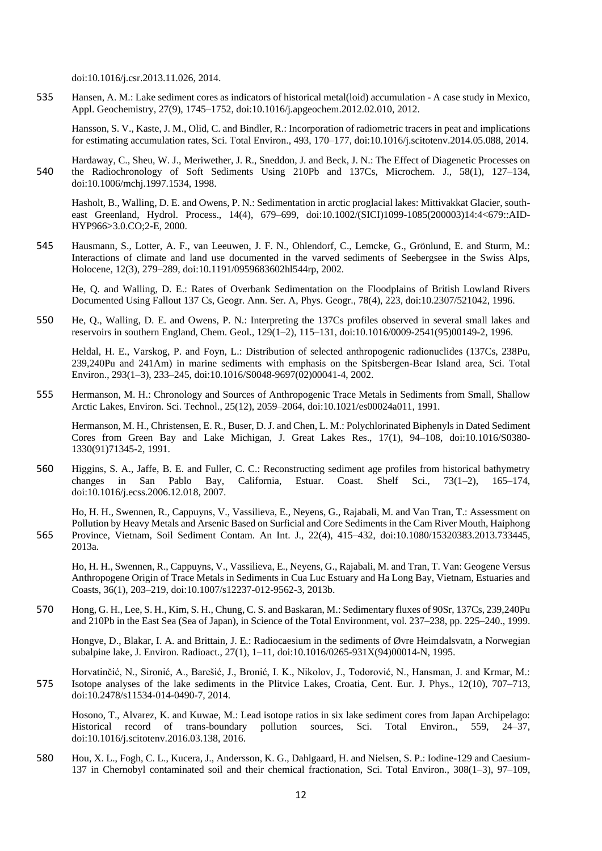doi:10.1016/j.csr.2013.11.026, 2014.

535 Hansen, A. M.: Lake sediment cores as indicators of historical metal(loid) accumulation - A case study in Mexico, Appl. Geochemistry, 27(9), 1745–1752, doi:10.1016/j.apgeochem.2012.02.010, 2012.

Hansson, S. V., Kaste, J. M., Olid, C. and Bindler, R.: Incorporation of radiometric tracers in peat and implications for estimating accumulation rates, Sci. Total Environ., 493, 170–177, doi:10.1016/j.scitotenv.2014.05.088, 2014.

Hardaway, C., Sheu, W. J., Meriwether, J. R., Sneddon, J. and Beck, J. N.: The Effect of Diagenetic Processes on 540 the Radiochronology of Soft Sediments Using 210Pb and 137Cs, Microchem. J., 58(1), 127–134, doi:10.1006/mchj.1997.1534, 1998.

Hasholt, B., Walling, D. E. and Owens, P. N.: Sedimentation in arctic proglacial lakes: Mittivakkat Glacier, southeast Greenland, Hydrol. Process., 14(4), 679–699, doi:10.1002/(SICI)1099-1085(200003)14:4<679::AID-HYP966>3.0.CO;2-E, 2000.

545 Hausmann, S., Lotter, A. F., van Leeuwen, J. F. N., Ohlendorf, C., Lemcke, G., Grönlund, E. and Sturm, M.: Interactions of climate and land use documented in the varved sediments of Seebergsee in the Swiss Alps, Holocene, 12(3), 279–289, doi:10.1191/0959683602hl544rp, 2002.

He, Q. and Walling, D. E.: Rates of Overbank Sedimentation on the Floodplains of British Lowland Rivers Documented Using Fallout 137 Cs, Geogr. Ann. Ser. A, Phys. Geogr., 78(4), 223, doi:10.2307/521042, 1996.

550 He, Q., Walling, D. E. and Owens, P. N.: Interpreting the 137Cs profiles observed in several small lakes and reservoirs in southern England, Chem. Geol., 129(1–2), 115–131, doi:10.1016/0009-2541(95)00149-2, 1996.

Heldal, H. E., Varskog, P. and Foyn, L.: Distribution of selected anthropogenic radionuclides (137Cs, 238Pu, 239,240Pu and 241Am) in marine sediments with emphasis on the Spitsbergen-Bear Island area, Sci. Total Environ., 293(1–3), 233–245, doi:10.1016/S0048-9697(02)00041-4, 2002.

555 Hermanson, M. H.: Chronology and Sources of Anthropogenic Trace Metals in Sediments from Small, Shallow Arctic Lakes, Environ. Sci. Technol., 25(12), 2059–2064, doi:10.1021/es00024a011, 1991.

Hermanson, M. H., Christensen, E. R., Buser, D. J. and Chen, L. M.: Polychlorinated Biphenyls in Dated Sediment Cores from Green Bay and Lake Michigan, J. Great Lakes Res., 17(1), 94–108, doi:10.1016/S0380- 1330(91)71345-2, 1991.

560 Higgins, S. A., Jaffe, B. E. and Fuller, C. C.: Reconstructing sediment age profiles from historical bathymetry changes in San Pablo Bay, California, Estuar. Coast. Shelf Sci., 73(1–2), 165–174, changes in San Pablo Bay, California, Estuar. Coast. doi:10.1016/j.ecss.2006.12.018, 2007.

Ho, H. H., Swennen, R., Cappuyns, V., Vassilieva, E., Neyens, G., Rajabali, M. and Van Tran, T.: Assessment on Pollution by Heavy Metals and Arsenic Based on Surficial and Core Sediments in the Cam River Mouth, Haiphong 565 Province, Vietnam, Soil Sediment Contam. An Int. J., 22(4), 415–432, doi:10.1080/15320383.2013.733445, 2013a.

Ho, H. H., Swennen, R., Cappuyns, V., Vassilieva, E., Neyens, G., Rajabali, M. and Tran, T. Van: Geogene Versus Anthropogene Origin of Trace Metals in Sediments in Cua Luc Estuary and Ha Long Bay, Vietnam, Estuaries and Coasts, 36(1), 203–219, doi:10.1007/s12237-012-9562-3, 2013b.

570 Hong, G. H., Lee, S. H., Kim, S. H., Chung, C. S. and Baskaran, M.: Sedimentary fluxes of 90Sr, 137Cs, 239,240Pu and 210Pb in the East Sea (Sea of Japan), in Science of the Total Environment, vol. 237–238, pp. 225–240., 1999.

Hongve, D., Blakar, I. A. and Brittain, J. E.: Radiocaesium in the sediments of Øvre Heimdalsvatn, a Norwegian subalpine lake, J. Environ. Radioact., 27(1), 1–11, doi:10.1016/0265-931X(94)00014-N, 1995.

Horvatinčić, N., Sironić, A., Barešić, J., Bronić, I. K., Nikolov, J., Todorović, N., Hansman, J. and Krmar, M.: 575 Isotope analyses of the lake sediments in the Plitvice Lakes, Croatia, Cent. Eur. J. Phys., 12(10), 707–713, doi:10.2478/s11534-014-0490-7, 2014.

Hosono, T., Alvarez, K. and Kuwae, M.: Lead isotope ratios in six lake sediment cores from Japan Archipelago: Historical record of trans-boundary pollution sources, Sci. Total Environ., 559, 24–37, doi:10.1016/j.scitotenv.2016.03.138, 2016.

580 Hou, X. L., Fogh, C. L., Kucera, J., Andersson, K. G., Dahlgaard, H. and Nielsen, S. P.: Iodine-129 and Caesium-137 in Chernobyl contaminated soil and their chemical fractionation, Sci. Total Environ., 308(1–3), 97–109,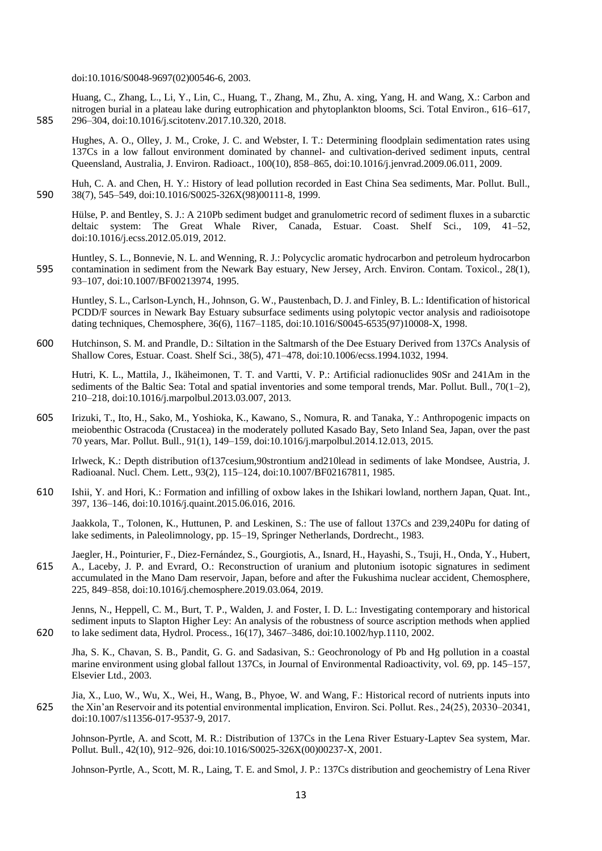doi:10.1016/S0048-9697(02)00546-6, 2003.

Huang, C., Zhang, L., Li, Y., Lin, C., Huang, T., Zhang, M., Zhu, A. xing, Yang, H. and Wang, X.: Carbon and nitrogen burial in a plateau lake during eutrophication and phytoplankton blooms, Sci. Total Environ., 616–617, 585 296–304, doi:10.1016/j.scitotenv.2017.10.320, 2018.

Hughes, A. O., Olley, J. M., Croke, J. C. and Webster, I. T.: Determining floodplain sedimentation rates using 137Cs in a low fallout environment dominated by channel- and cultivation-derived sediment inputs, central Queensland, Australia, J. Environ. Radioact., 100(10), 858–865, doi:10.1016/j.jenvrad.2009.06.011, 2009.

Huh, C. A. and Chen, H. Y.: History of lead pollution recorded in East China Sea sediments, Mar. Pollut. Bull., 590 38(7), 545–549, doi:10.1016/S0025-326X(98)00111-8, 1999.

Hülse, P. and Bentley, S. J.: A 210Pb sediment budget and granulometric record of sediment fluxes in a subarctic deltaic system: The Great Whale River, Canada, Estuar. Coast. Shelf Sci., 109, 41–52, doi:10.1016/j.ecss.2012.05.019, 2012.

Huntley, S. L., Bonnevie, N. L. and Wenning, R. J.: Polycyclic aromatic hydrocarbon and petroleum hydrocarbon 595 contamination in sediment from the Newark Bay estuary, New Jersey, Arch. Environ. Contam. Toxicol., 28(1), 93–107, doi:10.1007/BF00213974, 1995.

Huntley, S. L., Carlson-Lynch, H., Johnson, G. W., Paustenbach, D. J. and Finley, B. L.: Identification of historical PCDD/F sources in Newark Bay Estuary subsurface sediments using polytopic vector analysis and radioisotope dating techniques, Chemosphere, 36(6), 1167–1185, doi:10.1016/S0045-6535(97)10008-X, 1998.

600 Hutchinson, S. M. and Prandle, D.: Siltation in the Saltmarsh of the Dee Estuary Derived from 137Cs Analysis of Shallow Cores, Estuar. Coast. Shelf Sci., 38(5), 471–478, doi:10.1006/ecss.1994.1032, 1994.

Hutri, K. L., Mattila, J., Ikäheimonen, T. T. and Vartti, V. P.: Artificial radionuclides 90Sr and 241Am in the sediments of the Baltic Sea: Total and spatial inventories and some temporal trends, Mar. Pollut. Bull.,  $70(1-2)$ , 210–218, doi:10.1016/j.marpolbul.2013.03.007, 2013.

605 Irizuki, T., Ito, H., Sako, M., Yoshioka, K., Kawano, S., Nomura, R. and Tanaka, Y.: Anthropogenic impacts on meiobenthic Ostracoda (Crustacea) in the moderately polluted Kasado Bay, Seto Inland Sea, Japan, over the past 70 years, Mar. Pollut. Bull., 91(1), 149–159, doi:10.1016/j.marpolbul.2014.12.013, 2015.

Irlweck, K.: Depth distribution of137cesium,90strontium and210lead in sediments of lake Mondsee, Austria, J. Radioanal. Nucl. Chem. Lett., 93(2), 115–124, doi:10.1007/BF02167811, 1985.

610 Ishii, Y. and Hori, K.: Formation and infilling of oxbow lakes in the Ishikari lowland, northern Japan, Quat. Int., 397, 136–146, doi:10.1016/j.quaint.2015.06.016, 2016.

Jaakkola, T., Tolonen, K., Huttunen, P. and Leskinen, S.: The use of fallout 137Cs and 239,240Pu for dating of lake sediments, in Paleolimnology, pp. 15–19, Springer Netherlands, Dordrecht., 1983.

Jaegler, H., Pointurier, F., Diez-Fernández, S., Gourgiotis, A., Isnard, H., Hayashi, S., Tsuji, H., Onda, Y., Hubert, 615 A., Laceby, J. P. and Evrard, O.: Reconstruction of uranium and plutonium isotopic signatures in sediment accumulated in the Mano Dam reservoir, Japan, before and after the Fukushima nuclear accident, Chemosphere, 225, 849–858, doi:10.1016/j.chemosphere.2019.03.064, 2019.

Jenns, N., Heppell, C. M., Burt, T. P., Walden, J. and Foster, I. D. L.: Investigating contemporary and historical sediment inputs to Slapton Higher Ley: An analysis of the robustness of source ascription methods when applied 620 to lake sediment data, Hydrol. Process., 16(17), 3467–3486, doi:10.1002/hyp.1110, 2002.

Jha, S. K., Chavan, S. B., Pandit, G. G. and Sadasivan, S.: Geochronology of Pb and Hg pollution in a coastal marine environment using global fallout 137Cs, in Journal of Environmental Radioactivity, vol. 69, pp. 145–157, Elsevier Ltd., 2003.

Jia, X., Luo, W., Wu, X., Wei, H., Wang, B., Phyoe, W. and Wang, F.: Historical record of nutrients inputs into 625 the Xin'an Reservoir and its potential environmental implication, Environ. Sci. Pollut. Res., 24(25), 20330–20341, doi:10.1007/s11356-017-9537-9, 2017.

Johnson-Pyrtle, A. and Scott, M. R.: Distribution of 137Cs in the Lena River Estuary-Laptev Sea system, Mar. Pollut. Bull., 42(10), 912–926, doi:10.1016/S0025-326X(00)00237-X, 2001.

Johnson-Pyrtle, A., Scott, M. R., Laing, T. E. and Smol, J. P.: 137Cs distribution and geochemistry of Lena River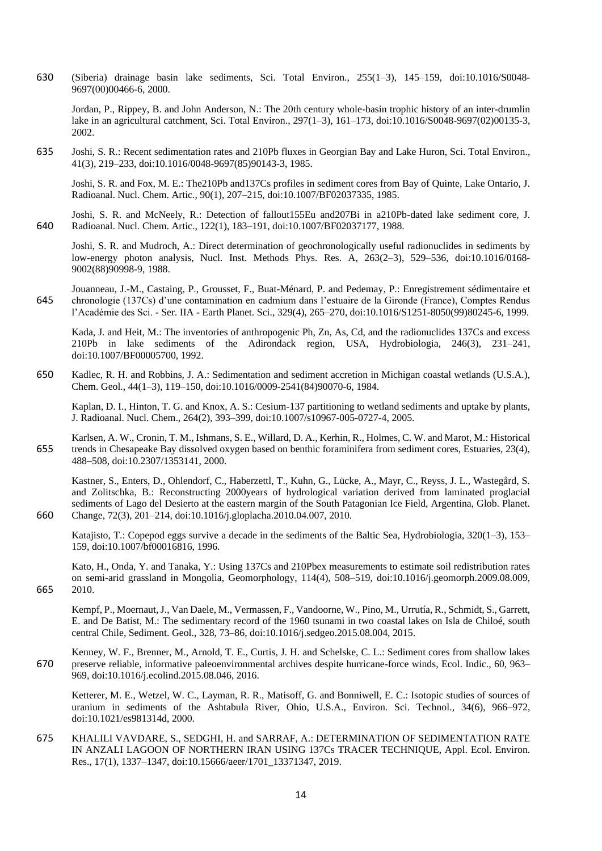630 (Siberia) drainage basin lake sediments, Sci. Total Environ., 255(1–3), 145–159, doi:10.1016/S0048- 9697(00)00466-6, 2000.

Jordan, P., Rippey, B. and John Anderson, N.: The 20th century whole-basin trophic history of an inter-drumlin lake in an agricultural catchment, Sci. Total Environ., 297(1–3), 161–173, doi:10.1016/S0048-9697(02)00135-3, 2002.

635 Joshi, S. R.: Recent sedimentation rates and 210Pb fluxes in Georgian Bay and Lake Huron, Sci. Total Environ., 41(3), 219–233, doi:10.1016/0048-9697(85)90143-3, 1985.

Joshi, S. R. and Fox, M. E.: The210Pb and137Cs profiles in sediment cores from Bay of Quinte, Lake Ontario, J. Radioanal. Nucl. Chem. Artic., 90(1), 207–215, doi:10.1007/BF02037335, 1985.

Joshi, S. R. and McNeely, R.: Detection of fallout155Eu and207Bi in a210Pb-dated lake sediment core, J. 640 Radioanal. Nucl. Chem. Artic., 122(1), 183–191, doi:10.1007/BF02037177, 1988.

Joshi, S. R. and Mudroch, A.: Direct determination of geochronologically useful radionuclides in sediments by low-energy photon analysis, Nucl. Inst. Methods Phys. Res. A, 263(2–3), 529–536, doi:10.1016/0168- 9002(88)90998-9, 1988.

Jouanneau, J.-M., Castaing, P., Grousset, F., Buat-Ménard, P. and Pedemay, P.: Enregistrement sédimentaire et 645 chronologie (137Cs) d'une contamination en cadmium dans l'estuaire de la Gironde (France), Comptes Rendus l'Académie des Sci. - Ser. IIA - Earth Planet. Sci., 329(4), 265–270, doi:10.1016/S1251-8050(99)80245-6, 1999.

Kada, J. and Heit, M.: The inventories of anthropogenic Ph, Zn, As, Cd, and the radionuclides 137Cs and excess 210Pb in lake sediments of the Adirondack region, USA, Hydrobiologia, 246(3), 231–241, doi:10.1007/BF00005700, 1992.

650 Kadlec, R. H. and Robbins, J. A.: Sedimentation and sediment accretion in Michigan coastal wetlands (U.S.A.), Chem. Geol., 44(1–3), 119–150, doi:10.1016/0009-2541(84)90070-6, 1984.

Kaplan, D. I., Hinton, T. G. and Knox, A. S.: Cesium-137 partitioning to wetland sediments and uptake by plants, J. Radioanal. Nucl. Chem., 264(2), 393–399, doi:10.1007/s10967-005-0727-4, 2005.

Karlsen, A. W., Cronin, T. M., Ishmans, S. E., Willard, D. A., Kerhin, R., Holmes, C. W. and Marot, M.: Historical 655 trends in Chesapeake Bay dissolved oxygen based on benthic foraminifera from sediment cores, Estuaries, 23(4), 488–508, doi:10.2307/1353141, 2000.

Kastner, S., Enters, D., Ohlendorf, C., Haberzettl, T., Kuhn, G., Lücke, A., Mayr, C., Reyss, J. L., Wastegård, S. and Zolitschka, B.: Reconstructing 2000years of hydrological variation derived from laminated proglacial sediments of Lago del Desierto at the eastern margin of the South Patagonian Ice Field, Argentina, Glob. Planet. 660 Change, 72(3), 201–214, doi:10.1016/j.gloplacha.2010.04.007, 2010.

Katajisto, T.: Copepod eggs survive a decade in the sediments of the Baltic Sea, Hydrobiologia, 320(1–3), 153– 159, doi:10.1007/bf00016816, 1996.

Kato, H., Onda, Y. and Tanaka, Y.: Using 137Cs and 210Pbex measurements to estimate soil redistribution rates on semi-arid grassland in Mongolia, Geomorphology, 114(4), 508–519, doi:10.1016/j.geomorph.2009.08.009, 665 2010.

Kempf, P., Moernaut, J., Van Daele, M., Vermassen, F., Vandoorne, W., Pino, M., Urrutía, R., Schmidt, S., Garrett, E. and De Batist, M.: The sedimentary record of the 1960 tsunami in two coastal lakes on Isla de Chiloé, south central Chile, Sediment. Geol., 328, 73–86, doi:10.1016/j.sedgeo.2015.08.004, 2015.

Kenney, W. F., Brenner, M., Arnold, T. E., Curtis, J. H. and Schelske, C. L.: Sediment cores from shallow lakes 670 preserve reliable, informative paleoenvironmental archives despite hurricane-force winds, Ecol. Indic., 60, 963– 969, doi:10.1016/j.ecolind.2015.08.046, 2016.

Ketterer, M. E., Wetzel, W. C., Layman, R. R., Matisoff, G. and Bonniwell, E. C.: Isotopic studies of sources of uranium in sediments of the Ashtabula River, Ohio, U.S.A., Environ. Sci. Technol., 34(6), 966–972, doi:10.1021/es981314d, 2000.

675 KHALILI VAVDARE, S., SEDGHI, H. and SARRAF, A.: DETERMINATION OF SEDIMENTATION RATE IN ANZALI LAGOON OF NORTHERN IRAN USING 137Cs TRACER TECHNIQUE, Appl. Ecol. Environ. Res., 17(1), 1337–1347, doi:10.15666/aeer/1701\_13371347, 2019.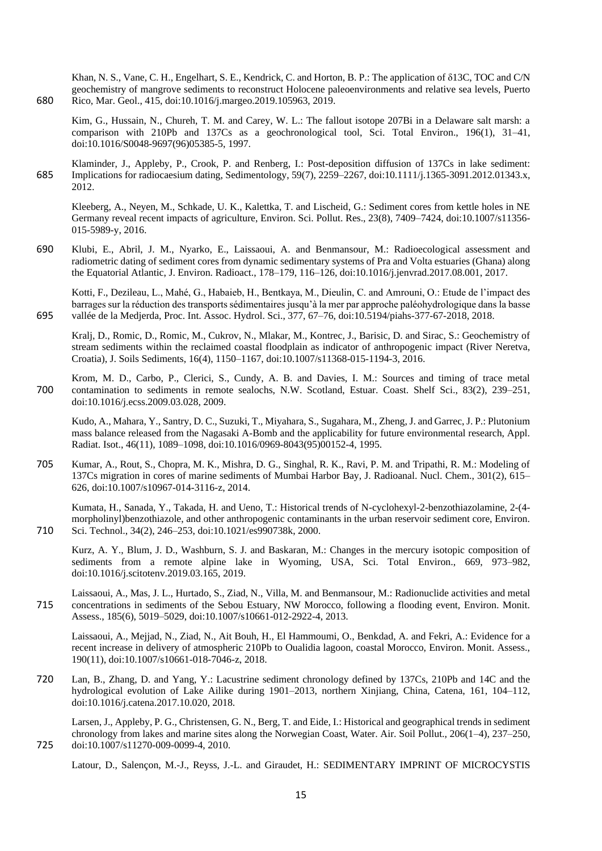Khan, N. S., Vane, C. H., Engelhart, S. E., Kendrick, C. and Horton, B. P.: The application of δ13C, TOC and C/N geochemistry of mangrove sediments to reconstruct Holocene paleoenvironments and relative sea levels, Puerto 680 Rico, Mar. Geol., 415, doi:10.1016/j.margeo.2019.105963, 2019.

Kim, G., Hussain, N., Chureh, T. M. and Carey, W. L.: The fallout isotope 207Bi in a Delaware salt marsh: a comparison with 210Pb and 137Cs as a geochronological tool, Sci. Total Environ., 196(1), 31–41, doi:10.1016/S0048-9697(96)05385-5, 1997.

Klaminder, J., Appleby, P., Crook, P. and Renberg, I.: Post-deposition diffusion of 137Cs in lake sediment: 685 Implications for radiocaesium dating, Sedimentology, 59(7), 2259–2267, doi:10.1111/j.1365-3091.2012.01343.x, 2012.

Kleeberg, A., Neyen, M., Schkade, U. K., Kalettka, T. and Lischeid, G.: Sediment cores from kettle holes in NE Germany reveal recent impacts of agriculture, Environ. Sci. Pollut. Res., 23(8), 7409–7424, doi:10.1007/s11356- 015-5989-y, 2016.

690 Klubi, E., Abril, J. M., Nyarko, E., Laissaoui, A. and Benmansour, M.: Radioecological assessment and radiometric dating of sediment cores from dynamic sedimentary systems of Pra and Volta estuaries (Ghana) along the Equatorial Atlantic, J. Environ. Radioact., 178–179, 116–126, doi:10.1016/j.jenvrad.2017.08.001, 2017.

Kotti, F., Dezileau, L., Mahé, G., Habaieb, H., Bentkaya, M., Dieulin, C. and Amrouni, O.: Etude de l'impact des barrages sur la réduction des transports sédimentaires jusqu'à la mer par approche paléohydrologique dans la basse 695 vallée de la Medjerda, Proc. Int. Assoc. Hydrol. Sci., 377, 67–76, doi:10.5194/piahs-377-67-2018, 2018.

Kralj, D., Romic, D., Romic, M., Cukrov, N., Mlakar, M., Kontrec, J., Barisic, D. and Sirac, S.: Geochemistry of stream sediments within the reclaimed coastal floodplain as indicator of anthropogenic impact (River Neretva, Croatia), J. Soils Sediments, 16(4), 1150–1167, doi:10.1007/s11368-015-1194-3, 2016.

Krom, M. D., Carbo, P., Clerici, S., Cundy, A. B. and Davies, I. M.: Sources and timing of trace metal 700 contamination to sediments in remote sealochs, N.W. Scotland, Estuar. Coast. Shelf Sci., 83(2), 239–251, doi:10.1016/j.ecss.2009.03.028, 2009.

Kudo, A., Mahara, Y., Santry, D. C., Suzuki, T., Miyahara, S., Sugahara, M., Zheng, J. and Garrec, J. P.: Plutonium mass balance released from the Nagasaki A-Bomb and the applicability for future environmental research, Appl. Radiat. Isot., 46(11), 1089–1098, doi:10.1016/0969-8043(95)00152-4, 1995.

705 Kumar, A., Rout, S., Chopra, M. K., Mishra, D. G., Singhal, R. K., Ravi, P. M. and Tripathi, R. M.: Modeling of 137Cs migration in cores of marine sediments of Mumbai Harbor Bay, J. Radioanal. Nucl. Chem., 301(2), 615– 626, doi:10.1007/s10967-014-3116-z, 2014.

Kumata, H., Sanada, Y., Takada, H. and Ueno, T.: Historical trends of N-cyclohexyl-2-benzothiazolamine, 2-(4 morpholinyl)benzothiazole, and other anthropogenic contaminants in the urban reservoir sediment core, Environ. 710 Sci. Technol., 34(2), 246–253, doi:10.1021/es990738k, 2000.

Kurz, A. Y., Blum, J. D., Washburn, S. J. and Baskaran, M.: Changes in the mercury isotopic composition of sediments from a remote alpine lake in Wyoming, USA, Sci. Total Environ., 669, 973–982, doi:10.1016/j.scitotenv.2019.03.165, 2019.

Laissaoui, A., Mas, J. L., Hurtado, S., Ziad, N., Villa, M. and Benmansour, M.: Radionuclide activities and metal 715 concentrations in sediments of the Sebou Estuary, NW Morocco, following a flooding event, Environ. Monit. Assess., 185(6), 5019–5029, doi:10.1007/s10661-012-2922-4, 2013.

Laissaoui, A., Mejjad, N., Ziad, N., Ait Bouh, H., El Hammoumi, O., Benkdad, A. and Fekri, A.: Evidence for a recent increase in delivery of atmospheric 210Pb to Oualidia lagoon, coastal Morocco, Environ. Monit. Assess., 190(11), doi:10.1007/s10661-018-7046-z, 2018.

720 Lan, B., Zhang, D. and Yang, Y.: Lacustrine sediment chronology defined by 137Cs, 210Pb and 14C and the hydrological evolution of Lake Ailike during 1901–2013, northern Xinjiang, China, Catena, 161, 104–112, doi:10.1016/j.catena.2017.10.020, 2018.

Larsen, J., Appleby, P. G., Christensen, G. N., Berg, T. and Eide, I.: Historical and geographical trends in sediment chronology from lakes and marine sites along the Norwegian Coast, Water. Air. Soil Pollut., 206(1–4), 237–250, 725 doi:10.1007/s11270-009-0099-4, 2010.

Latour, D., Salençon, M.-J., Reyss, J.-L. and Giraudet, H.: SEDIMENTARY IMPRINT OF MICROCYSTIS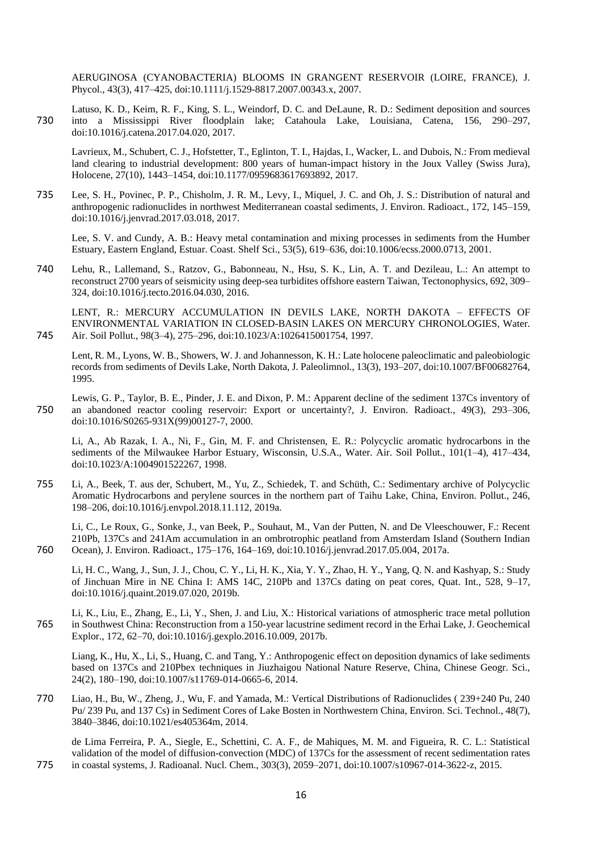AERUGINOSA (CYANOBACTERIA) BLOOMS IN GRANGENT RESERVOIR (LOIRE, FRANCE), J. Phycol., 43(3), 417–425, doi:10.1111/j.1529-8817.2007.00343.x, 2007.

Latuso, K. D., Keim, R. F., King, S. L., Weindorf, D. C. and DeLaune, R. D.: Sediment deposition and sources 730 into a Mississippi River floodplain lake; Catahoula Lake, Louisiana, Catena, 156, 290–297, doi:10.1016/j.catena.2017.04.020, 2017.

Lavrieux, M., Schubert, C. J., Hofstetter, T., Eglinton, T. I., Hajdas, I., Wacker, L. and Dubois, N.: From medieval land clearing to industrial development: 800 years of human-impact history in the Joux Valley (Swiss Jura), Holocene, 27(10), 1443–1454, doi:10.1177/0959683617693892, 2017.

735 Lee, S. H., Povinec, P. P., Chisholm, J. R. M., Levy, I., Miquel, J. C. and Oh, J. S.: Distribution of natural and anthropogenic radionuclides in northwest Mediterranean coastal sediments, J. Environ. Radioact., 172, 145–159, doi:10.1016/j.jenvrad.2017.03.018, 2017.

Lee, S. V. and Cundy, A. B.: Heavy metal contamination and mixing processes in sediments from the Humber Estuary, Eastern England, Estuar. Coast. Shelf Sci., 53(5), 619–636, doi:10.1006/ecss.2000.0713, 2001.

740 Lehu, R., Lallemand, S., Ratzov, G., Babonneau, N., Hsu, S. K., Lin, A. T. and Dezileau, L.: An attempt to reconstruct 2700 years of seismicity using deep-sea turbidites offshore eastern Taiwan, Tectonophysics, 692, 309– 324, doi:10.1016/j.tecto.2016.04.030, 2016.

LENT, R.: MERCURY ACCUMULATION IN DEVILS LAKE, NORTH DAKOTA – EFFECTS OF ENVIRONMENTAL VARIATION IN CLOSED-BASIN LAKES ON MERCURY CHRONOLOGIES, Water. 745 Air. Soil Pollut., 98(3–4), 275–296, doi:10.1023/A:1026415001754, 1997.

Lent, R. M., Lyons, W. B., Showers, W. J. and Johannesson, K. H.: Late holocene paleoclimatic and paleobiologic records from sediments of Devils Lake, North Dakota, J. Paleolimnol., 13(3), 193–207, doi:10.1007/BF00682764, 1995.

Lewis, G. P., Taylor, B. E., Pinder, J. E. and Dixon, P. M.: Apparent decline of the sediment 137Cs inventory of 750 an abandoned reactor cooling reservoir: Export or uncertainty?, J. Environ. Radioact., 49(3), 293–306, doi:10.1016/S0265-931X(99)00127-7, 2000.

Li, A., Ab Razak, I. A., Ni, F., Gin, M. F. and Christensen, E. R.: Polycyclic aromatic hydrocarbons in the sediments of the Milwaukee Harbor Estuary, Wisconsin, U.S.A., Water. Air. Soil Pollut., 101(1–4), 417–434, doi:10.1023/A:1004901522267, 1998.

755 Li, A., Beek, T. aus der, Schubert, M., Yu, Z., Schiedek, T. and Schüth, C.: Sedimentary archive of Polycyclic Aromatic Hydrocarbons and perylene sources in the northern part of Taihu Lake, China, Environ. Pollut., 246, 198–206, doi:10.1016/j.envpol.2018.11.112, 2019a.

Li, C., Le Roux, G., Sonke, J., van Beek, P., Souhaut, M., Van der Putten, N. and De Vleeschouwer, F.: Recent 210Pb, 137Cs and 241Am accumulation in an ombrotrophic peatland from Amsterdam Island (Southern Indian 760 Ocean), J. Environ. Radioact., 175–176, 164–169, doi:10.1016/j.jenvrad.2017.05.004, 2017a.

Li, H. C., Wang, J., Sun, J. J., Chou, C. Y., Li, H. K., Xia, Y. Y., Zhao, H. Y., Yang, Q. N. and Kashyap, S.: Study of Jinchuan Mire in NE China I: AMS 14C, 210Pb and 137Cs dating on peat cores, Quat. Int., 528, 9–17, doi:10.1016/j.quaint.2019.07.020, 2019b.

Li, K., Liu, E., Zhang, E., Li, Y., Shen, J. and Liu, X.: Historical variations of atmospheric trace metal pollution 765 in Southwest China: Reconstruction from a 150-year lacustrine sediment record in the Erhai Lake, J. Geochemical Explor., 172, 62–70, doi:10.1016/j.gexplo.2016.10.009, 2017b.

Liang, K., Hu, X., Li, S., Huang, C. and Tang, Y.: Anthropogenic effect on deposition dynamics of lake sediments based on 137Cs and 210Pbex techniques in Jiuzhaigou National Nature Reserve, China, Chinese Geogr. Sci., 24(2), 180–190, doi:10.1007/s11769-014-0665-6, 2014.

770 Liao, H., Bu, W., Zheng, J., Wu, F. and Yamada, M.: Vertical Distributions of Radionuclides ( 239+240 Pu, 240 Pu/ 239 Pu, and 137 Cs) in Sediment Cores of Lake Bosten in Northwestern China, Environ. Sci. Technol., 48(7), 3840–3846, doi:10.1021/es405364m, 2014.

de Lima Ferreira, P. A., Siegle, E., Schettini, C. A. F., de Mahiques, M. M. and Figueira, R. C. L.: Statistical validation of the model of diffusion-convection (MDC) of 137Cs for the assessment of recent sedimentation rates 775 in coastal systems, J. Radioanal. Nucl. Chem., 303(3), 2059–2071, doi:10.1007/s10967-014-3622-z, 2015.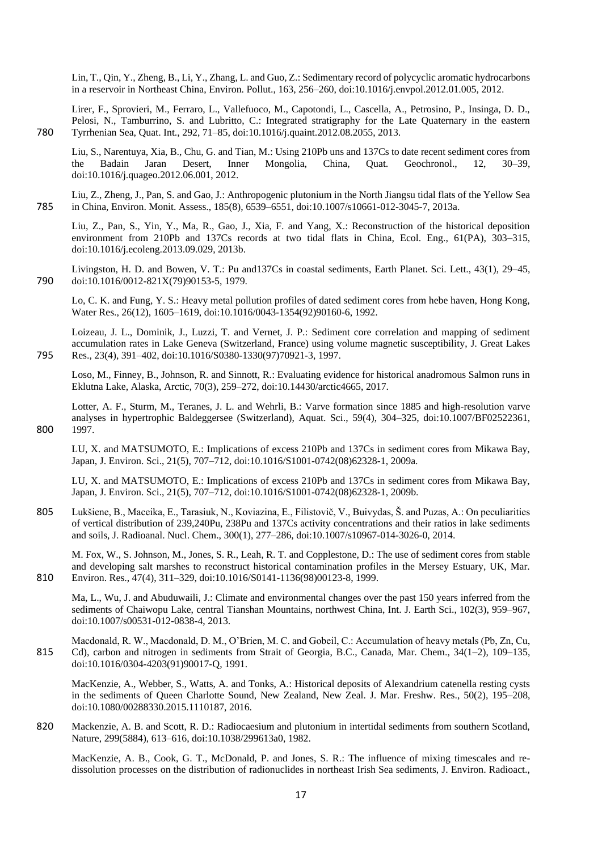Lin, T., Qin, Y., Zheng, B., Li, Y., Zhang, L. and Guo, Z.: Sedimentary record of polycyclic aromatic hydrocarbons in a reservoir in Northeast China, Environ. Pollut., 163, 256–260, doi:10.1016/j.envpol.2012.01.005, 2012.

Lirer, F., Sprovieri, M., Ferraro, L., Vallefuoco, M., Capotondi, L., Cascella, A., Petrosino, P., Insinga, D. D., Pelosi, N., Tamburrino, S. and Lubritto, C.: Integrated stratigraphy for the Late Quaternary in the eastern 780 Tyrrhenian Sea, Quat. Int., 292, 71–85, doi:10.1016/j.quaint.2012.08.2055, 2013.

Liu, S., Narentuya, Xia, B., Chu, G. and Tian, M.: Using 210Pb uns and 137Cs to date recent sediment cores from the Badain Jaran Desert, Inner Mongolia, China, Quat. Geochronol., 12, 30–39, the Badain Jaran Desert, Inner Mongolia, China, Quat. Geochronol., 12, 30–39, doi:10.1016/j.quageo.2012.06.001, 2012.

Liu, Z., Zheng, J., Pan, S. and Gao, J.: Anthropogenic plutonium in the North Jiangsu tidal flats of the Yellow Sea 785 in China, Environ. Monit. Assess., 185(8), 6539–6551, doi:10.1007/s10661-012-3045-7, 2013a.

Liu, Z., Pan, S., Yin, Y., Ma, R., Gao, J., Xia, F. and Yang, X.: Reconstruction of the historical deposition environment from 210Pb and 137Cs records at two tidal flats in China, Ecol. Eng., 61(PA), 303-315, doi:10.1016/j.ecoleng.2013.09.029, 2013b.

Livingston, H. D. and Bowen, V. T.: Pu and137Cs in coastal sediments, Earth Planet. Sci. Lett., 43(1), 29–45, 790 doi:10.1016/0012-821X(79)90153-5, 1979.

Lo, C. K. and Fung, Y. S.: Heavy metal pollution profiles of dated sediment cores from hebe haven, Hong Kong, Water Res., 26(12), 1605–1619, doi:10.1016/0043-1354(92)90160-6, 1992.

Loizeau, J. L., Dominik, J., Luzzi, T. and Vernet, J. P.: Sediment core correlation and mapping of sediment accumulation rates in Lake Geneva (Switzerland, France) using volume magnetic susceptibility, J. Great Lakes 795 Res., 23(4), 391–402, doi:10.1016/S0380-1330(97)70921-3, 1997.

Loso, M., Finney, B., Johnson, R. and Sinnott, R.: Evaluating evidence for historical anadromous Salmon runs in Eklutna Lake, Alaska, Arctic, 70(3), 259–272, doi:10.14430/arctic4665, 2017.

Lotter, A. F., Sturm, M., Teranes, J. L. and Wehrli, B.: Varve formation since 1885 and high-resolution varve analyses in hypertrophic Baldeggersee (Switzerland), Aquat. Sci., 59(4), 304–325, doi:10.1007/BF02522361, 800 1997.

LU, X. and MATSUMOTO, E.: Implications of excess 210Pb and 137Cs in sediment cores from Mikawa Bay, Japan, J. Environ. Sci., 21(5), 707–712, doi:10.1016/S1001-0742(08)62328-1, 2009a.

LU, X. and MATSUMOTO, E.: Implications of excess 210Pb and 137Cs in sediment cores from Mikawa Bay, Japan, J. Environ. Sci., 21(5), 707–712, doi:10.1016/S1001-0742(08)62328-1, 2009b.

805 Lukšiene, B., Maceika, E., Tarasiuk, N., Koviazina, E., Filistovič, V., Buivydas, Š. and Puzas, A.: On peculiarities of vertical distribution of 239,240Pu, 238Pu and 137Cs activity concentrations and their ratios in lake sediments and soils, J. Radioanal. Nucl. Chem., 300(1), 277–286, doi:10.1007/s10967-014-3026-0, 2014.

M. Fox, W., S. Johnson, M., Jones, S. R., Leah, R. T. and Copplestone, D.: The use of sediment cores from stable and developing salt marshes to reconstruct historical contamination profiles in the Mersey Estuary, UK, Mar. 810 Environ. Res., 47(4), 311–329, doi:10.1016/S0141-1136(98)00123-8, 1999.

Ma, L., Wu, J. and Abuduwaili, J.: Climate and environmental changes over the past 150 years inferred from the sediments of Chaiwopu Lake, central Tianshan Mountains, northwest China, Int. J. Earth Sci., 102(3), 959–967, doi:10.1007/s00531-012-0838-4, 2013.

Macdonald, R. W., Macdonald, D. M., O'Brien, M. C. and Gobeil, C.: Accumulation of heavy metals (Pb, Zn, Cu, 815 Cd), carbon and nitrogen in sediments from Strait of Georgia, B.C., Canada, Mar. Chem., 34(1–2), 109–135, doi:10.1016/0304-4203(91)90017-Q, 1991.

MacKenzie, A., Webber, S., Watts, A. and Tonks, A.: Historical deposits of Alexandrium catenella resting cysts in the sediments of Queen Charlotte Sound, New Zealand, New Zeal. J. Mar. Freshw. Res., 50(2), 195–208, doi:10.1080/00288330.2015.1110187, 2016.

820 Mackenzie, A. B. and Scott, R. D.: Radiocaesium and plutonium in intertidal sediments from southern Scotland, Nature, 299(5884), 613–616, doi:10.1038/299613a0, 1982.

MacKenzie, A. B., Cook, G. T., McDonald, P. and Jones, S. R.: The influence of mixing timescales and redissolution processes on the distribution of radionuclides in northeast Irish Sea sediments, J. Environ. Radioact.,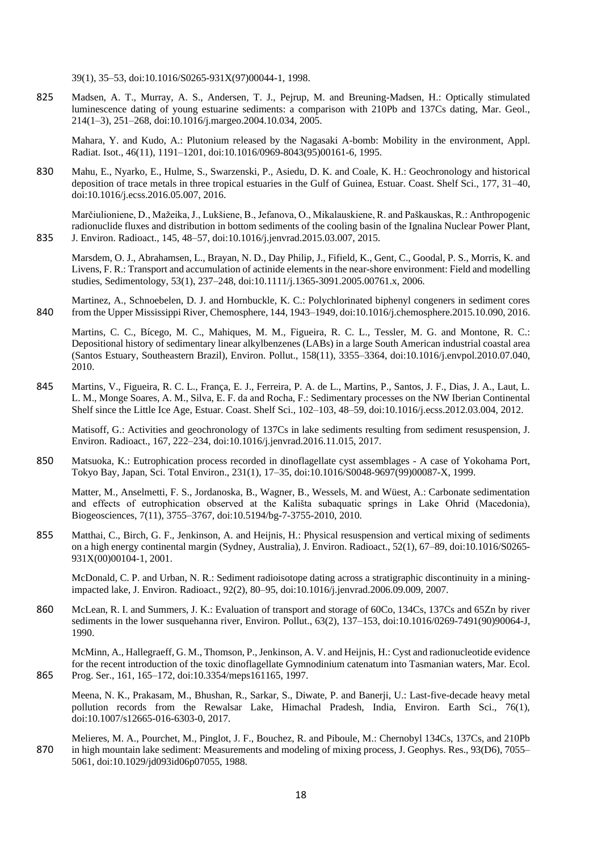39(1), 35–53, doi:10.1016/S0265-931X(97)00044-1, 1998.

825 Madsen, A. T., Murray, A. S., Andersen, T. J., Pejrup, M. and Breuning-Madsen, H.: Optically stimulated luminescence dating of young estuarine sediments: a comparison with 210Pb and 137Cs dating, Mar. Geol., 214(1–3), 251–268, doi:10.1016/j.margeo.2004.10.034, 2005.

Mahara, Y. and Kudo, A.: Plutonium released by the Nagasaki A-bomb: Mobility in the environment, Appl. Radiat. Isot., 46(11), 1191–1201, doi:10.1016/0969-8043(95)00161-6, 1995.

830 Mahu, E., Nyarko, E., Hulme, S., Swarzenski, P., Asiedu, D. K. and Coale, K. H.: Geochronology and historical deposition of trace metals in three tropical estuaries in the Gulf of Guinea, Estuar. Coast. Shelf Sci., 177, 31–40, doi:10.1016/j.ecss.2016.05.007, 2016.

Marčiulioniene, D., Mažeika, J., Lukšiene, B., Jefanova, O., Mikalauskiene, R. and Paškauskas, R.: Anthropogenic radionuclide fluxes and distribution in bottom sediments of the cooling basin of the Ignalina Nuclear Power Plant, 835 J. Environ. Radioact., 145, 48–57, doi:10.1016/j.jenvrad.2015.03.007, 2015.

Marsdem, O. J., Abrahamsen, L., Brayan, N. D., Day Philip, J., Fifield, K., Gent, C., Goodal, P. S., Morris, K. and Livens, F. R.: Transport and accumulation of actinide elements in the near-shore environment: Field and modelling studies, Sedimentology, 53(1), 237–248, doi:10.1111/j.1365-3091.2005.00761.x, 2006.

Martinez, A., Schnoebelen, D. J. and Hornbuckle, K. C.: Polychlorinated biphenyl congeners in sediment cores 840 from the Upper Mississippi River, Chemosphere, 144, 1943–1949, doi:10.1016/j.chemosphere.2015.10.090, 2016.

Martins, C. C., Bícego, M. C., Mahiques, M. M., Figueira, R. C. L., Tessler, M. G. and Montone, R. C.: Depositional history of sedimentary linear alkylbenzenes (LABs) in a large South American industrial coastal area (Santos Estuary, Southeastern Brazil), Environ. Pollut., 158(11), 3355–3364, doi:10.1016/j.envpol.2010.07.040, 2010.

845 Martins, V., Figueira, R. C. L., França, E. J., Ferreira, P. A. de L., Martins, P., Santos, J. F., Dias, J. A., Laut, L. L. M., Monge Soares, A. M., Silva, E. F. da and Rocha, F.: Sedimentary processes on the NW Iberian Continental Shelf since the Little Ice Age, Estuar. Coast. Shelf Sci., 102–103, 48–59, doi:10.1016/j.ecss.2012.03.004, 2012.

Matisoff, G.: Activities and geochronology of 137Cs in lake sediments resulting from sediment resuspension, J. Environ. Radioact., 167, 222–234, doi:10.1016/j.jenvrad.2016.11.015, 2017.

850 Matsuoka, K.: Eutrophication process recorded in dinoflagellate cyst assemblages - A case of Yokohama Port, Tokyo Bay, Japan, Sci. Total Environ., 231(1), 17–35, doi:10.1016/S0048-9697(99)00087-X, 1999.

Matter, M., Anselmetti, F. S., Jordanoska, B., Wagner, B., Wessels, M. and Wüest, A.: Carbonate sedimentation and effects of eutrophication observed at the Kališta subaquatic springs in Lake Ohrid (Macedonia), Biogeosciences, 7(11), 3755–3767, doi:10.5194/bg-7-3755-2010, 2010.

855 Matthai, C., Birch, G. F., Jenkinson, A. and Heijnis, H.: Physical resuspension and vertical mixing of sediments on a high energy continental margin (Sydney, Australia), J. Environ. Radioact., 52(1), 67–89, doi:10.1016/S0265- 931X(00)00104-1, 2001.

McDonald, C. P. and Urban, N. R.: Sediment radioisotope dating across a stratigraphic discontinuity in a miningimpacted lake, J. Environ. Radioact., 92(2), 80–95, doi:10.1016/j.jenvrad.2006.09.009, 2007.

860 McLean, R. I. and Summers, J. K.: Evaluation of transport and storage of 60Co, 134Cs, 137Cs and 65Zn by river sediments in the lower susquehanna river, Environ. Pollut., 63(2), 137–153, doi:10.1016/0269-7491(90)90064-J, 1990.

McMinn, A., Hallegraeff, G. M., Thomson, P., Jenkinson, A. V. and Heijnis, H.: Cyst and radionucleotide evidence for the recent introduction of the toxic dinoflagellate Gymnodinium catenatum into Tasmanian waters, Mar. Ecol. 865 Prog. Ser., 161, 165–172, doi:10.3354/meps161165, 1997.

Meena, N. K., Prakasam, M., Bhushan, R., Sarkar, S., Diwate, P. and Banerji, U.: Last-five-decade heavy metal pollution records from the Rewalsar Lake, Himachal Pradesh, India, Environ. Earth Sci., 76(1), doi:10.1007/s12665-016-6303-0, 2017.

Melieres, M. A., Pourchet, M., Pinglot, J. F., Bouchez, R. and Piboule, M.: Chernobyl 134Cs, 137Cs, and 210Pb 870 in high mountain lake sediment: Measurements and modeling of mixing process, J. Geophys. Res., 93(D6), 7055– 5061, doi:10.1029/jd093id06p07055, 1988.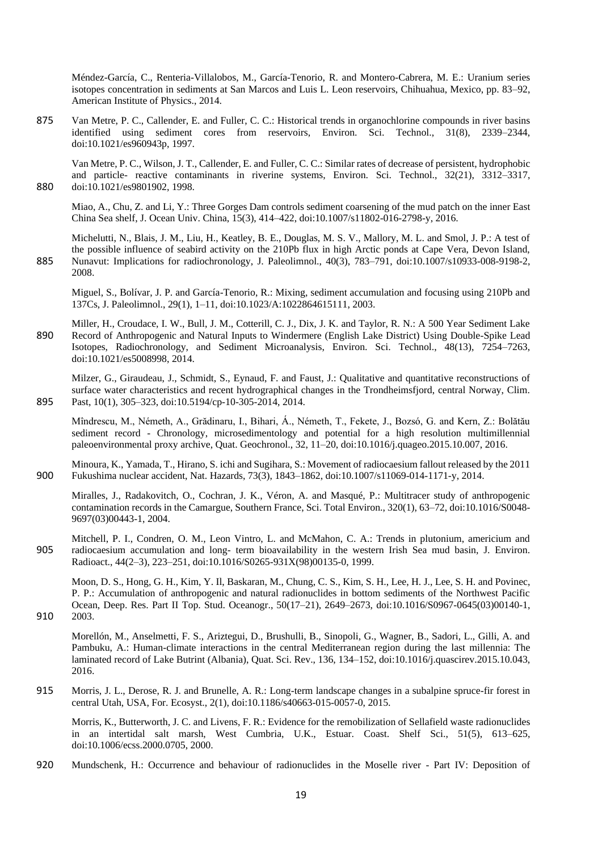Méndez-García, C., Renteria-Villalobos, M., García-Tenorio, R. and Montero-Cabrera, M. E.: Uranium series isotopes concentration in sediments at San Marcos and Luis L. Leon reservoirs, Chihuahua, Mexico, pp. 83–92, American Institute of Physics., 2014.

875 Van Metre, P. C., Callender, E. and Fuller, C. C.: Historical trends in organochlorine compounds in river basins identified using sediment cores from reservoirs, Environ. Sci. Technol., 31(8), 2339–2344, doi:10.1021/es960943p, 1997.

Van Metre, P. C., Wilson, J. T., Callender, E. and Fuller, C. C.: Similar rates of decrease of persistent, hydrophobic and particle- reactive contaminants in riverine systems, Environ. Sci. Technol., 32(21), 3312–3317, 880 doi:10.1021/es9801902, 1998.

Miao, A., Chu, Z. and Li, Y.: Three Gorges Dam controls sediment coarsening of the mud patch on the inner East China Sea shelf, J. Ocean Univ. China, 15(3), 414–422, doi:10.1007/s11802-016-2798-y, 2016.

Michelutti, N., Blais, J. M., Liu, H., Keatley, B. E., Douglas, M. S. V., Mallory, M. L. and Smol, J. P.: A test of the possible influence of seabird activity on the 210Pb flux in high Arctic ponds at Cape Vera, Devon Island, 885 Nunavut: Implications for radiochronology, J. Paleolimnol., 40(3), 783–791, doi:10.1007/s10933-008-9198-2, 2008.

Miguel, S., Bolívar, J. P. and García-Tenorio, R.: Mixing, sediment accumulation and focusing using 210Pb and 137Cs, J. Paleolimnol., 29(1), 1–11, doi:10.1023/A:1022864615111, 2003.

Miller, H., Croudace, I. W., Bull, J. M., Cotterill, C. J., Dix, J. K. and Taylor, R. N.: A 500 Year Sediment Lake 890 Record of Anthropogenic and Natural Inputs to Windermere (English Lake District) Using Double-Spike Lead Isotopes, Radiochronology, and Sediment Microanalysis, Environ. Sci. Technol., 48(13), 7254–7263, doi:10.1021/es5008998, 2014.

Milzer, G., Giraudeau, J., Schmidt, S., Eynaud, F. and Faust, J.: Qualitative and quantitative reconstructions of surface water characteristics and recent hydrographical changes in the Trondheimsfjord, central Norway, Clim. 895 Past, 10(1), 305–323, doi:10.5194/cp-10-305-2014, 2014.

Mîndrescu, M., Németh, A., Grădinaru, I., Bihari, Á., Németh, T., Fekete, J., Bozsó, G. and Kern, Z.: Bolătău sediment record - Chronology, microsedimentology and potential for a high resolution multimillennial paleoenvironmental proxy archive, Quat. Geochronol., 32, 11–20, doi:10.1016/j.quageo.2015.10.007, 2016.

Minoura, K., Yamada, T., Hirano, S. ichi and Sugihara, S.: Movement of radiocaesium fallout released by the 2011 900 Fukushima nuclear accident, Nat. Hazards, 73(3), 1843–1862, doi:10.1007/s11069-014-1171-y, 2014.

Miralles, J., Radakovitch, O., Cochran, J. K., Véron, A. and Masqué, P.: Multitracer study of anthropogenic contamination records in the Camargue, Southern France, Sci. Total Environ., 320(1), 63–72, doi:10.1016/S0048- 9697(03)00443-1, 2004.

Mitchell, P. I., Condren, O. M., Leon Vintro, L. and McMahon, C. A.: Trends in plutonium, americium and 905 radiocaesium accumulation and long- term bioavailability in the western Irish Sea mud basin, J. Environ. Radioact., 44(2–3), 223–251, doi:10.1016/S0265-931X(98)00135-0, 1999.

Moon, D. S., Hong, G. H., Kim, Y. Il, Baskaran, M., Chung, C. S., Kim, S. H., Lee, H. J., Lee, S. H. and Povinec, P. P.: Accumulation of anthropogenic and natural radionuclides in bottom sediments of the Northwest Pacific Ocean, Deep. Res. Part II Top. Stud. Oceanogr., 50(17–21), 2649–2673, doi:10.1016/S0967-0645(03)00140-1, 910 2003.

Morellón, M., Anselmetti, F. S., Ariztegui, D., Brushulli, B., Sinopoli, G., Wagner, B., Sadori, L., Gilli, A. and Pambuku, A.: Human-climate interactions in the central Mediterranean region during the last millennia: The laminated record of Lake Butrint (Albania), Quat. Sci. Rev., 136, 134–152, doi:10.1016/j.quascirev.2015.10.043, 2016.

915 Morris, J. L., Derose, R. J. and Brunelle, A. R.: Long-term landscape changes in a subalpine spruce-fir forest in central Utah, USA, For. Ecosyst., 2(1), doi:10.1186/s40663-015-0057-0, 2015.

Morris, K., Butterworth, J. C. and Livens, F. R.: Evidence for the remobilization of Sellafield waste radionuclides in an intertidal salt marsh, West Cumbria, U.K., Estuar. Coast. Shelf Sci., 51(5), 613–625, doi:10.1006/ecss.2000.0705, 2000.

920 Mundschenk, H.: Occurrence and behaviour of radionuclides in the Moselle river - Part IV: Deposition of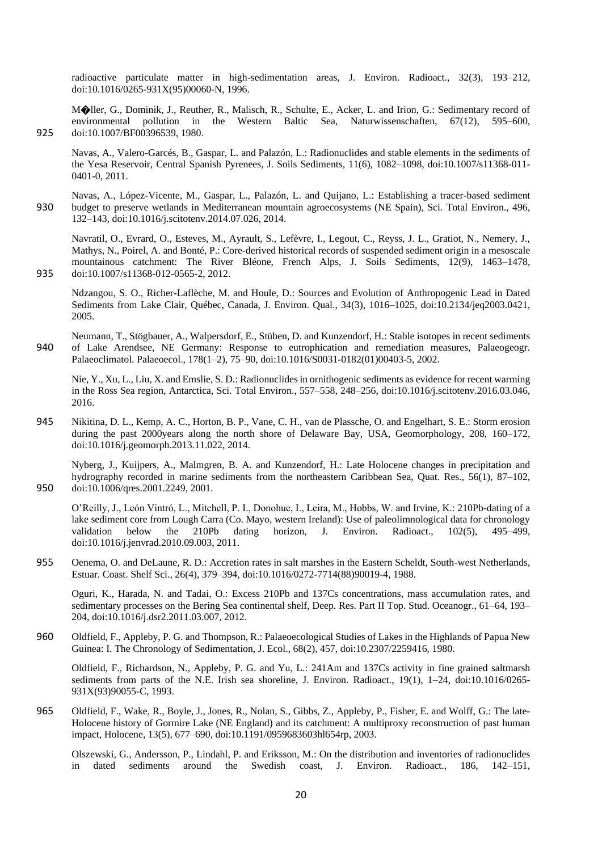radioactive particulate matter in high-sedimentation areas, J. Environ. Radioact., 32(3), 193–212, doi:10.1016/0265-931X(95)00060-N, 1996.

M�ller, G., Dominik, J., Reuther, R., Malisch, R., Schulte, E., Acker, L. and Irion, G.: Sedimentary record of environmental pollution in the Western Baltic Sea, Naturwissenschaften, 67(12), 595–600, 925 doi:10.1007/BF00396539, 1980.

Navas, A., Valero-Garcés, B., Gaspar, L. and Palazón, L.: Radionuclides and stable elements in the sediments of the Yesa Reservoir, Central Spanish Pyrenees, J. Soils Sediments, 11(6), 1082–1098, doi:10.1007/s11368-011- 0401-0, 2011.

Navas, A., López-Vicente, M., Gaspar, L., Palazón, L. and Quijano, L.: Establishing a tracer-based sediment 930 budget to preserve wetlands in Mediterranean mountain agroecosystems (NE Spain), Sci. Total Environ., 496, 132–143, doi:10.1016/j.scitotenv.2014.07.026, 2014.

Navratil, O., Evrard, O., Esteves, M., Ayrault, S., Lefèvre, I., Legout, C., Reyss, J. L., Gratiot, N., Nemery, J., Mathys, N., Poirel, A. and Bonté, P.: Core-derived historical records of suspended sediment origin in a mesoscale mountainous catchment: The River Bléone, French Alps, J. Soils Sediments, 12(9), 1463–1478, 935 doi:10.1007/s11368-012-0565-2, 2012.

Ndzangou, S. O., Richer-Laflèche, M. and Houle, D.: Sources and Evolution of Anthropogenic Lead in Dated Sediments from Lake Clair, Québec, Canada, J. Environ. Qual., 34(3), 1016–1025, doi:10.2134/jeq2003.0421, 2005.

Neumann, T., Stögbauer, A., Walpersdorf, E., Stüben, D. and Kunzendorf, H.: Stable isotopes in recent sediments 940 of Lake Arendsee, NE Germany: Response to eutrophication and remediation measures, Palaeogeogr. Palaeoclimatol. Palaeoecol., 178(1–2), 75–90, doi:10.1016/S0031-0182(01)00403-5, 2002.

Nie, Y., Xu, L., Liu, X. and Emslie, S. D.: Radionuclides in ornithogenic sediments as evidence for recent warming in the Ross Sea region, Antarctica, Sci. Total Environ., 557–558, 248–256, doi:10.1016/j.scitotenv.2016.03.046, 2016.

945 Nikitina, D. L., Kemp, A. C., Horton, B. P., Vane, C. H., van de Plassche, O. and Engelhart, S. E.: Storm erosion during the past 2000years along the north shore of Delaware Bay, USA, Geomorphology, 208, 160–172, doi:10.1016/j.geomorph.2013.11.022, 2014.

Nyberg, J., Kuijpers, A., Malmgren, B. A. and Kunzendorf, H.: Late Holocene changes in precipitation and hydrography recorded in marine sediments from the northeastern Caribbean Sea, Quat. Res., 56(1), 87–102, 950 doi:10.1006/qres.2001.2249, 2001.

O'Reilly, J., León Vintró, L., Mitchell, P. I., Donohue, I., Leira, M., Hobbs, W. and Irvine, K.: 210Pb-dating of a lake sediment core from Lough Carra (Co. Mayo, western Ireland): Use of paleolimnological data for chronology validation below the 210Pb dating horizon, J. Environ. Radioact., 102(5), 495–499, doi:10.1016/j.jenvrad.2010.09.003, 2011.

955 Oenema, O. and DeLaune, R. D.: Accretion rates in salt marshes in the Eastern Scheldt, South-west Netherlands, Estuar. Coast. Shelf Sci., 26(4), 379–394, doi:10.1016/0272-7714(88)90019-4, 1988.

Oguri, K., Harada, N. and Tadai, O.: Excess 210Pb and 137Cs concentrations, mass accumulation rates, and sedimentary processes on the Bering Sea continental shelf, Deep. Res. Part II Top. Stud. Oceanogr., 61–64, 193– 204, doi:10.1016/j.dsr2.2011.03.007, 2012.

960 Oldfield, F., Appleby, P. G. and Thompson, R.: Palaeoecological Studies of Lakes in the Highlands of Papua New Guinea: I. The Chronology of Sedimentation, J. Ecol., 68(2), 457, doi:10.2307/2259416, 1980.

Oldfield, F., Richardson, N., Appleby, P. G. and Yu, L.: 241Am and 137Cs activity in fine grained saltmarsh sediments from parts of the N.E. Irish sea shoreline, J. Environ. Radioact., 19(1), 1-24, doi:10.1016/0265-931X(93)90055-C, 1993.

965 Oldfield, F., Wake, R., Boyle, J., Jones, R., Nolan, S., Gibbs, Z., Appleby, P., Fisher, E. and Wolff, G.: The late-Holocene history of Gormire Lake (NE England) and its catchment: A multiproxy reconstruction of past human impact, Holocene, 13(5), 677–690, doi:10.1191/0959683603hl654rp, 2003.

Olszewski, G., Andersson, P., Lindahl, P. and Eriksson, M.: On the distribution and inventories of radionuclides in dated sediments around the Swedish coast, J. Environ. Radioact., 186, 142–151,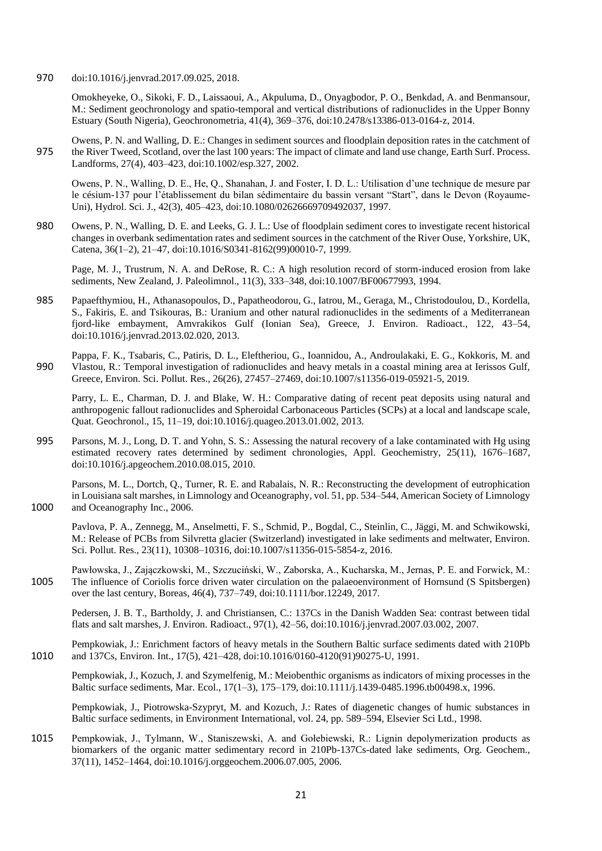970 doi:10.1016/j.jenvrad.2017.09.025, 2018.

Omokheyeke, O., Sikoki, F. D., Laissaoui, A., Akpuluma, D., Onyagbodor, P. O., Benkdad, A. and Benmansour, M.: Sediment geochronology and spatio-temporal and vertical distributions of radionuclides in the Upper Bonny Estuary (South Nigeria), Geochronometria, 41(4), 369–376, doi:10.2478/s13386-013-0164-z, 2014.

Owens, P. N. and Walling, D. E.: Changes in sediment sources and floodplain deposition rates in the catchment of 975 the River Tweed, Scotland, over the last 100 years: The impact of climate and land use change, Earth Surf. Process. Landforms, 27(4), 403–423, doi:10.1002/esp.327, 2002.

Owens, P. N., Walling, D. E., He, Q., Shanahan, J. and Foster, I. D. L.: Utilisation d'une technique de mesure par le césium-137 pour l'établissement du bilan sédimentaire du bassin versant "Start", dans le Devon (Royaume-Uni), Hydrol. Sci. J., 42(3), 405–423, doi:10.1080/02626669709492037, 1997.

980 Owens, P. N., Walling, D. E. and Leeks, G. J. L.: Use of floodplain sediment cores to investigate recent historical changes in overbank sedimentation rates and sediment sources in the catchment of the River Ouse, Yorkshire, UK, Catena, 36(1–2), 21–47, doi:10.1016/S0341-8162(99)00010-7, 1999.

Page, M. J., Trustrum, N. A. and DeRose, R. C.: A high resolution record of storm-induced erosion from lake sediments, New Zealand, J. Paleolimnol., 11(3), 333–348, doi:10.1007/BF00677993, 1994.

- 985 Papaefthymiou, H., Athanasopoulos, D., Papatheodorou, G., Iatrou, M., Geraga, M., Christodoulou, D., Kordella, S., Fakiris, E. and Tsikouras, B.: Uranium and other natural radionuclides in the sediments of a Mediterranean fjord-like embayment, Amvrakikos Gulf (Ionian Sea), Greece, J. Environ. Radioact., 122, 43–54, doi:10.1016/j.jenvrad.2013.02.020, 2013.
- Pappa, F. K., Tsabaris, C., Patiris, D. L., Eleftheriou, G., Ioannidou, A., Androulakaki, E. G., Kokkoris, M. and 990 Vlastou, R.: Temporal investigation of radionuclides and heavy metals in a coastal mining area at Ierissos Gulf, Greece, Environ. Sci. Pollut. Res., 26(26), 27457–27469, doi:10.1007/s11356-019-05921-5, 2019.

Parry, L. E., Charman, D. J. and Blake, W. H.: Comparative dating of recent peat deposits using natural and anthropogenic fallout radionuclides and Spheroidal Carbonaceous Particles (SCPs) at a local and landscape scale, Quat. Geochronol., 15, 11–19, doi:10.1016/j.quageo.2013.01.002, 2013.

995 Parsons, M. J., Long, D. T. and Yohn, S. S.: Assessing the natural recovery of a lake contaminated with Hg using estimated recovery rates determined by sediment chronologies, Appl. Geochemistry, 25(11), 1676–1687, doi:10.1016/j.apgeochem.2010.08.015, 2010.

Parsons, M. L., Dortch, Q., Turner, R. E. and Rabalais, N. R.: Reconstructing the development of eutrophication in Louisiana salt marshes, in Limnology and Oceanography, vol. 51, pp. 534–544, American Society of Limnology 1000 and Oceanography Inc., 2006.

Pavlova, P. A., Zennegg, M., Anselmetti, F. S., Schmid, P., Bogdal, C., Steinlin, C., Jäggi, M. and Schwikowski, M.: Release of PCBs from Silvretta glacier (Switzerland) investigated in lake sediments and meltwater, Environ. Sci. Pollut. Res., 23(11), 10308–10316, doi:10.1007/s11356-015-5854-z, 2016.

Pawłowska, J., Zajączkowski, M., Szczuciński, W., Zaborska, A., Kucharska, M., Jernas, P. E. and Forwick, M.: 1005 The influence of Coriolis force driven water circulation on the palaeoenvironment of Hornsund (S Spitsbergen) over the last century, Boreas, 46(4), 737–749, doi:10.1111/bor.12249, 2017.

Pedersen, J. B. T., Bartholdy, J. and Christiansen, C.: 137Cs in the Danish Wadden Sea: contrast between tidal flats and salt marshes, J. Environ. Radioact., 97(1), 42–56, doi:10.1016/j.jenvrad.2007.03.002, 2007.

Pempkowiak, J.: Enrichment factors of heavy metals in the Southern Baltic surface sediments dated with 210Pb 1010 and 137Cs, Environ. Int., 17(5), 421–428, doi:10.1016/0160-4120(91)90275-U, 1991.

Pempkowiak, J., Kozuch, J. and Szymelfenig, M.: Meiobenthic organisms as indicators of mixing processes in the Baltic surface sediments, Mar. Ecol., 17(1–3), 175–179, doi:10.1111/j.1439-0485.1996.tb00498.x, 1996.

Pempkowiak, J., Piotrowska-Szypryt, M. and Kozuch, J.: Rates of diagenetic changes of humic substances in Baltic surface sediments, in Environment International, vol. 24, pp. 589–594, Elsevier Sci Ltd., 1998.

1015 Pempkowiak, J., Tylmann, W., Staniszewski, A. and Gołebiewski, R.: Lignin depolymerization products as biomarkers of the organic matter sedimentary record in 210Pb-137Cs-dated lake sediments, Org. Geochem., 37(11), 1452–1464, doi:10.1016/j.orggeochem.2006.07.005, 2006.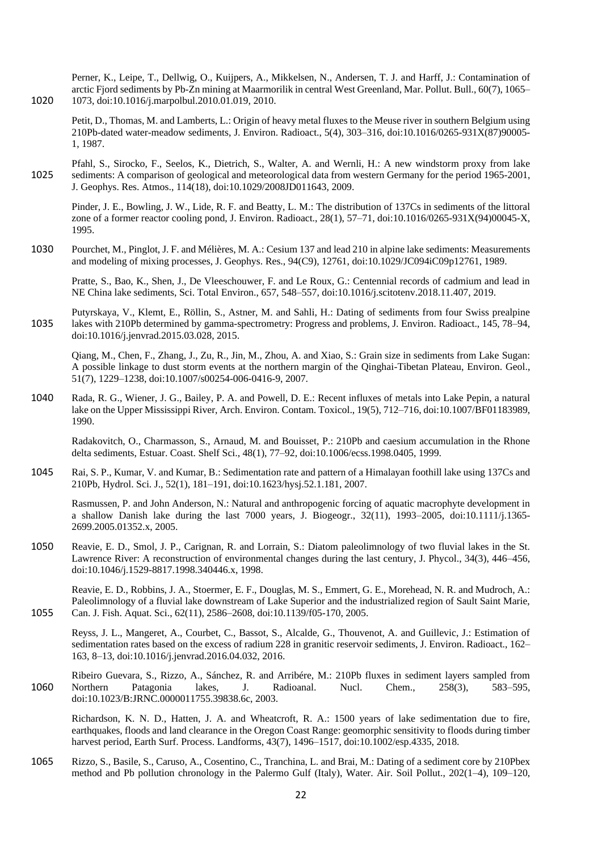Perner, K., Leipe, T., Dellwig, O., Kuijpers, A., Mikkelsen, N., Andersen, T. J. and Harff, J.: Contamination of arctic Fjord sediments by Pb-Zn mining at Maarmorilik in central West Greenland, Mar. Pollut. Bull., 60(7), 1065– 1020 1073, doi:10.1016/j.marpolbul.2010.01.019, 2010.

Petit, D., Thomas, M. and Lamberts, L.: Origin of heavy metal fluxes to the Meuse river in southern Belgium using 210Pb-dated water-meadow sediments, J. Environ. Radioact., 5(4), 303–316, doi:10.1016/0265-931X(87)90005- 1, 1987.

Pfahl, S., Sirocko, F., Seelos, K., Dietrich, S., Walter, A. and Wernli, H.: A new windstorm proxy from lake 1025 sediments: A comparison of geological and meteorological data from western Germany for the period 1965-2001, J. Geophys. Res. Atmos., 114(18), doi:10.1029/2008JD011643, 2009.

Pinder, J. E., Bowling, J. W., Lide, R. F. and Beatty, L. M.: The distribution of 137Cs in sediments of the littoral zone of a former reactor cooling pond, J. Environ. Radioact., 28(1), 57–71, doi:10.1016/0265-931X(94)00045-X, 1995.

1030 Pourchet, M., Pinglot, J. F. and Mélières, M. A.: Cesium 137 and lead 210 in alpine lake sediments: Measurements and modeling of mixing processes, J. Geophys. Res., 94(C9), 12761, doi:10.1029/JC094iC09p12761, 1989.

Pratte, S., Bao, K., Shen, J., De Vleeschouwer, F. and Le Roux, G.: Centennial records of cadmium and lead in NE China lake sediments, Sci. Total Environ., 657, 548–557, doi:10.1016/j.scitotenv.2018.11.407, 2019.

Putyrskaya, V., Klemt, E., Röllin, S., Astner, M. and Sahli, H.: Dating of sediments from four Swiss prealpine 1035 lakes with 210Pb determined by gamma-spectrometry: Progress and problems, J. Environ. Radioact., 145, 78–94, doi:10.1016/j.jenvrad.2015.03.028, 2015.

Qiang, M., Chen, F., Zhang, J., Zu, R., Jin, M., Zhou, A. and Xiao, S.: Grain size in sediments from Lake Sugan: A possible linkage to dust storm events at the northern margin of the Qinghai-Tibetan Plateau, Environ. Geol., 51(7), 1229–1238, doi:10.1007/s00254-006-0416-9, 2007.

1040 Rada, R. G., Wiener, J. G., Bailey, P. A. and Powell, D. E.: Recent influxes of metals into Lake Pepin, a natural lake on the Upper Mississippi River, Arch. Environ. Contam. Toxicol., 19(5), 712–716, doi:10.1007/BF01183989, 1990.

Radakovitch, O., Charmasson, S., Arnaud, M. and Bouisset, P.: 210Pb and caesium accumulation in the Rhone delta sediments, Estuar. Coast. Shelf Sci., 48(1), 77–92, doi:10.1006/ecss.1998.0405, 1999.

1045 Rai, S. P., Kumar, V. and Kumar, B.: Sedimentation rate and pattern of a Himalayan foothill lake using 137Cs and 210Pb, Hydrol. Sci. J., 52(1), 181–191, doi:10.1623/hysj.52.1.181, 2007.

Rasmussen, P. and John Anderson, N.: Natural and anthropogenic forcing of aquatic macrophyte development in a shallow Danish lake during the last 7000 years, J. Biogeogr.,  $32(11)$ , 1993–2005, doi:10.1111/j.1365-2699.2005.01352.x, 2005.

1050 Reavie, E. D., Smol, J. P., Carignan, R. and Lorrain, S.: Diatom paleolimnology of two fluvial lakes in the St. Lawrence River: A reconstruction of environmental changes during the last century, J. Phycol., 34(3), 446–456, doi:10.1046/j.1529-8817.1998.340446.x, 1998.

Reavie, E. D., Robbins, J. A., Stoermer, E. F., Douglas, M. S., Emmert, G. E., Morehead, N. R. and Mudroch, A.: Paleolimnology of a fluvial lake downstream of Lake Superior and the industrialized region of Sault Saint Marie, 1055 Can. J. Fish. Aquat. Sci., 62(11), 2586–2608, doi:10.1139/f05-170, 2005.

Reyss, J. L., Mangeret, A., Courbet, C., Bassot, S., Alcalde, G., Thouvenot, A. and Guillevic, J.: Estimation of sedimentation rates based on the excess of radium 228 in granitic reservoir sediments, J. Environ. Radioact., 162– 163, 8–13, doi:10.1016/j.jenvrad.2016.04.032, 2016.

Ribeiro Guevara, S., Rizzo, A., Sánchez, R. and Arribére, M.: 210Pb fluxes in sediment layers sampled from 1060 Northern Patagonia lakes, J. Radioanal. Nucl. Chem., 258(3), 583–595, doi:10.1023/B:JRNC.0000011755.39838.6c, 2003.

Richardson, K. N. D., Hatten, J. A. and Wheatcroft, R. A.: 1500 years of lake sedimentation due to fire, earthquakes, floods and land clearance in the Oregon Coast Range: geomorphic sensitivity to floods during timber harvest period, Earth Surf. Process. Landforms, 43(7), 1496–1517, doi:10.1002/esp.4335, 2018.

1065 Rizzo, S., Basile, S., Caruso, A., Cosentino, C., Tranchina, L. and Brai, M.: Dating of a sediment core by 210Pbex method and Pb pollution chronology in the Palermo Gulf (Italy), Water. Air. Soil Pollut., 202(1–4), 109–120,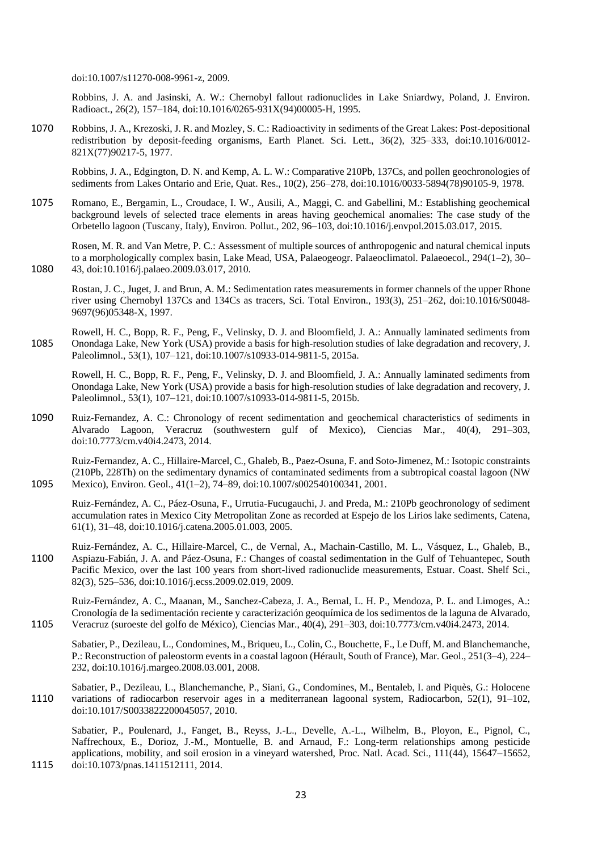doi:10.1007/s11270-008-9961-z, 2009.

Robbins, J. A. and Jasinski, A. W.: Chernobyl fallout radionuclides in Lake Sniardwy, Poland, J. Environ. Radioact., 26(2), 157–184, doi:10.1016/0265-931X(94)00005-H, 1995.

1070 Robbins, J. A., Krezoski, J. R. and Mozley, S. C.: Radioactivity in sediments of the Great Lakes: Post-depositional redistribution by deposit-feeding organisms, Earth Planet. Sci. Lett., 36(2), 325–333, doi:10.1016/0012- 821X(77)90217-5, 1977.

Robbins, J. A., Edgington, D. N. and Kemp, A. L. W.: Comparative 210Pb, 137Cs, and pollen geochronologies of sediments from Lakes Ontario and Erie, Quat. Res., 10(2), 256–278, doi:10.1016/0033-5894(78)90105-9, 1978.

1075 Romano, E., Bergamin, L., Croudace, I. W., Ausili, A., Maggi, C. and Gabellini, M.: Establishing geochemical background levels of selected trace elements in areas having geochemical anomalies: The case study of the Orbetello lagoon (Tuscany, Italy), Environ. Pollut., 202, 96–103, doi:10.1016/j.envpol.2015.03.017, 2015.

Rosen, M. R. and Van Metre, P. C.: Assessment of multiple sources of anthropogenic and natural chemical inputs to a morphologically complex basin, Lake Mead, USA, Palaeogeogr. Palaeoclimatol. Palaeoecol., 294(1–2), 30– 1080 43, doi:10.1016/j.palaeo.2009.03.017, 2010.

Rostan, J. C., Juget, J. and Brun, A. M.: Sedimentation rates measurements in former channels of the upper Rhone river using Chernobyl 137Cs and 134Cs as tracers, Sci. Total Environ., 193(3), 251–262, doi:10.1016/S0048- 9697(96)05348-X, 1997.

Rowell, H. C., Bopp, R. F., Peng, F., Velinsky, D. J. and Bloomfield, J. A.: Annually laminated sediments from 1085 Onondaga Lake, New York (USA) provide a basis for high-resolution studies of lake degradation and recovery, J. Paleolimnol., 53(1), 107–121, doi:10.1007/s10933-014-9811-5, 2015a.

Rowell, H. C., Bopp, R. F., Peng, F., Velinsky, D. J. and Bloomfield, J. A.: Annually laminated sediments from Onondaga Lake, New York (USA) provide a basis for high-resolution studies of lake degradation and recovery, J. Paleolimnol., 53(1), 107–121, doi:10.1007/s10933-014-9811-5, 2015b.

1090 Ruiz-Fernandez, A. C.: Chronology of recent sedimentation and geochemical characteristics of sediments in Alvarado Lagoon, Veracruz (southwestern gulf of Mexico), Ciencias Mar., 40(4), 291–303, doi:10.7773/cm.v40i4.2473, 2014.

Ruiz-Fernandez, A. C., Hillaire-Marcel, C., Ghaleb, B., Paez-Osuna, F. and Soto-Jimenez, M.: Isotopic constraints (210Pb, 228Th) on the sedimentary dynamics of contaminated sediments from a subtropical coastal lagoon (NW 1095 Mexico), Environ. Geol., 41(1–2), 74–89, doi:10.1007/s002540100341, 2001.

Ruiz-Fernández, A. C., Páez-Osuna, F., Urrutia-Fucugauchi, J. and Preda, M.: 210Pb geochronology of sediment accumulation rates in Mexico City Metropolitan Zone as recorded at Espejo de los Lirios lake sediments, Catena, 61(1), 31–48, doi:10.1016/j.catena.2005.01.003, 2005.

Ruiz-Fernández, A. C., Hillaire-Marcel, C., de Vernal, A., Machain-Castillo, M. L., Vásquez, L., Ghaleb, B., 1100 Aspiazu-Fabián, J. A. and Páez-Osuna, F.: Changes of coastal sedimentation in the Gulf of Tehuantepec, South Pacific Mexico, over the last 100 years from short-lived radionuclide measurements, Estuar. Coast. Shelf Sci., 82(3), 525–536, doi:10.1016/j.ecss.2009.02.019, 2009.

Ruiz-Fernández, A. C., Maanan, M., Sanchez-Cabeza, J. A., Bernal, L. H. P., Mendoza, P. L. and Limoges, A.: Cronología de la sedimentación reciente y caracterización geoquímica de los sedimentos de la laguna de Alvarado, 1105 Veracruz (suroeste del golfo de México), Ciencias Mar., 40(4), 291–303, doi:10.7773/cm.v40i4.2473, 2014.

Sabatier, P., Dezileau, L., Condomines, M., Briqueu, L., Colin, C., Bouchette, F., Le Duff, M. and Blanchemanche, P.: Reconstruction of paleostorm events in a coastal lagoon (Hérault, South of France), Mar. Geol., 251(3–4), 224– 232, doi:10.1016/j.margeo.2008.03.001, 2008.

Sabatier, P., Dezileau, L., Blanchemanche, P., Siani, G., Condomines, M., Bentaleb, I. and Piquès, G.: Holocene 1110 variations of radiocarbon reservoir ages in a mediterranean lagoonal system, Radiocarbon, 52(1), 91–102, doi:10.1017/S0033822200045057, 2010.

Sabatier, P., Poulenard, J., Fanget, B., Reyss, J.-L., Develle, A.-L., Wilhelm, B., Ployon, E., Pignol, C., Naffrechoux, E., Dorioz, J.-M., Montuelle, B. and Arnaud, F.: Long-term relationships among pesticide applications, mobility, and soil erosion in a vineyard watershed, Proc. Natl. Acad. Sci., 111(44), 15647–15652, 1115 doi:10.1073/pnas.1411512111, 2014.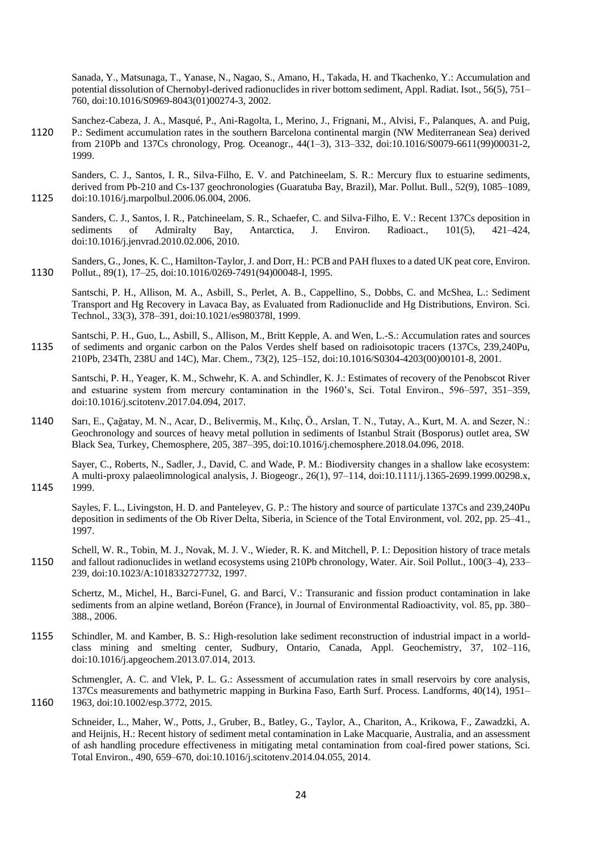Sanada, Y., Matsunaga, T., Yanase, N., Nagao, S., Amano, H., Takada, H. and Tkachenko, Y.: Accumulation and potential dissolution of Chernobyl-derived radionuclides in river bottom sediment, Appl. Radiat. Isot., 56(5), 751– 760, doi:10.1016/S0969-8043(01)00274-3, 2002.

Sanchez-Cabeza, J. A., Masqué, P., Ani-Ragolta, I., Merino, J., Frignani, M., Alvisi, F., Palanques, A. and Puig, 1120 P.: Sediment accumulation rates in the southern Barcelona continental margin (NW Mediterranean Sea) derived from 210Pb and 137Cs chronology, Prog. Oceanogr., 44(1–3), 313–332, doi:10.1016/S0079-6611(99)00031-2, 1999.

Sanders, C. J., Santos, I. R., Silva-Filho, E. V. and Patchineelam, S. R.: Mercury flux to estuarine sediments, derived from Pb-210 and Cs-137 geochronologies (Guaratuba Bay, Brazil), Mar. Pollut. Bull., 52(9), 1085–1089, 1125 doi:10.1016/j.marpolbul.2006.06.004, 2006.

Sanders, C. J., Santos, I. R., Patchineelam, S. R., Schaefer, C. and Silva-Filho, E. V.: Recent 137Cs deposition in sediments of Admiralty Bay, Antarctica, J. Environ. Radioact., 101(5), 421-424, doi:10.1016/j.jenvrad.2010.02.006, 2010.

Sanders, G., Jones, K. C., Hamilton-Taylor, J. and Dorr, H.: PCB and PAH fluxes to a dated UK peat core, Environ. 1130 Pollut., 89(1), 17–25, doi:10.1016/0269-7491(94)00048-I, 1995.

Santschi, P. H., Allison, M. A., Asbill, S., Perlet, A. B., Cappellino, S., Dobbs, C. and McShea, L.: Sediment Transport and Hg Recovery in Lavaca Bay, as Evaluated from Radionuclide and Hg Distributions, Environ. Sci. Technol., 33(3), 378–391, doi:10.1021/es980378l, 1999.

Santschi, P. H., Guo, L., Asbill, S., Allison, M., Britt Kepple, A. and Wen, L.-S.: Accumulation rates and sources 1135 of sediments and organic carbon on the Palos Verdes shelf based on radioisotopic tracers (137Cs, 239,240Pu, 210Pb, 234Th, 238U and 14C), Mar. Chem., 73(2), 125–152, doi:10.1016/S0304-4203(00)00101-8, 2001.

Santschi, P. H., Yeager, K. M., Schwehr, K. A. and Schindler, K. J.: Estimates of recovery of the Penobscot River and estuarine system from mercury contamination in the 1960's, Sci. Total Environ., 596–597, 351–359, doi:10.1016/j.scitotenv.2017.04.094, 2017.

1140 Sarı, E., Çağatay, M. N., Acar, D., Belivermiş, M., Kılıç, Ö., Arslan, T. N., Tutay, A., Kurt, M. A. and Sezer, N.: Geochronology and sources of heavy metal pollution in sediments of Istanbul Strait (Bosporus) outlet area, SW Black Sea, Turkey, Chemosphere, 205, 387–395, doi:10.1016/j.chemosphere.2018.04.096, 2018.

Sayer, C., Roberts, N., Sadler, J., David, C. and Wade, P. M.: Biodiversity changes in a shallow lake ecosystem: A multi-proxy palaeolimnological analysis, J. Biogeogr., 26(1), 97–114, doi:10.1111/j.1365-2699.1999.00298.x, 1145 1999.

Sayles, F. L., Livingston, H. D. and Panteleyev, G. P.: The history and source of particulate 137Cs and 239,240Pu deposition in sediments of the Ob River Delta, Siberia, in Science of the Total Environment, vol. 202, pp. 25–41., 1997.

Schell, W. R., Tobin, M. J., Novak, M. J. V., Wieder, R. K. and Mitchell, P. I.: Deposition history of trace metals 1150 and fallout radionuclides in wetland ecosystems using 210Pb chronology, Water. Air. Soil Pollut., 100(3–4), 233– 239, doi:10.1023/A:1018332727732, 1997.

Schertz, M., Michel, H., Barci-Funel, G. and Barci, V.: Transuranic and fission product contamination in lake sediments from an alpine wetland, Boréon (France), in Journal of Environmental Radioactivity, vol. 85, pp. 380– 388., 2006.

1155 Schindler, M. and Kamber, B. S.: High-resolution lake sediment reconstruction of industrial impact in a worldclass mining and smelting center, Sudbury, Ontario, Canada, Appl. Geochemistry, 37, 102–116, doi:10.1016/j.apgeochem.2013.07.014, 2013.

Schmengler, A. C. and Vlek, P. L. G.: Assessment of accumulation rates in small reservoirs by core analysis, 137Cs measurements and bathymetric mapping in Burkina Faso, Earth Surf. Process. Landforms, 40(14), 1951– 1160 1963, doi:10.1002/esp.3772, 2015.

Schneider, L., Maher, W., Potts, J., Gruber, B., Batley, G., Taylor, A., Chariton, A., Krikowa, F., Zawadzki, A. and Heijnis, H.: Recent history of sediment metal contamination in Lake Macquarie, Australia, and an assessment of ash handling procedure effectiveness in mitigating metal contamination from coal-fired power stations, Sci. Total Environ., 490, 659–670, doi:10.1016/j.scitotenv.2014.04.055, 2014.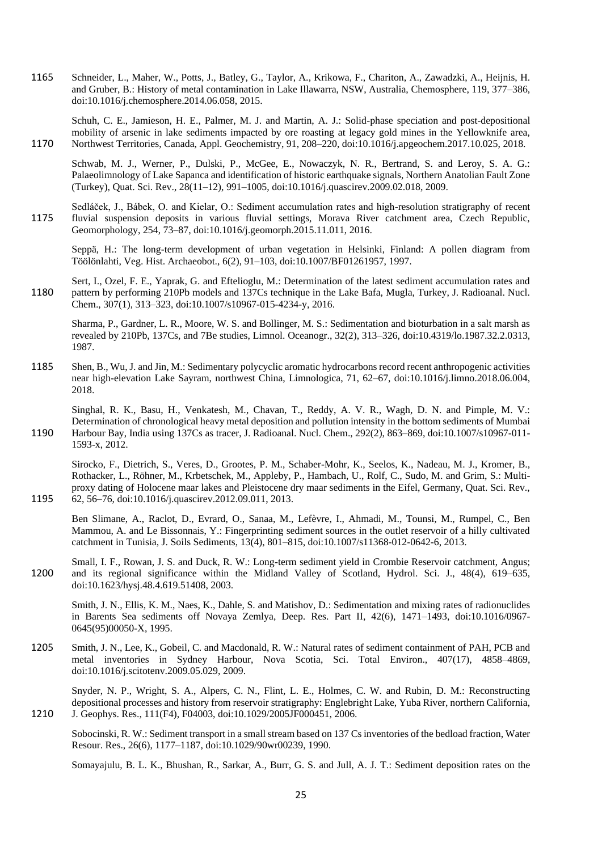1165 Schneider, L., Maher, W., Potts, J., Batley, G., Taylor, A., Krikowa, F., Chariton, A., Zawadzki, A., Heijnis, H. and Gruber, B.: History of metal contamination in Lake Illawarra, NSW, Australia, Chemosphere, 119, 377–386, doi:10.1016/j.chemosphere.2014.06.058, 2015.

Schuh, C. E., Jamieson, H. E., Palmer, M. J. and Martin, A. J.: Solid-phase speciation and post-depositional mobility of arsenic in lake sediments impacted by ore roasting at legacy gold mines in the Yellowknife area, 1170 Northwest Territories, Canada, Appl. Geochemistry, 91, 208–220, doi:10.1016/j.apgeochem.2017.10.025, 2018.

Schwab, M. J., Werner, P., Dulski, P., McGee, E., Nowaczyk, N. R., Bertrand, S. and Leroy, S. A. G.: Palaeolimnology of Lake Sapanca and identification of historic earthquake signals, Northern Anatolian Fault Zone (Turkey), Quat. Sci. Rev., 28(11–12), 991–1005, doi:10.1016/j.quascirev.2009.02.018, 2009.

Sedláček, J., Bábek, O. and Kielar, O.: Sediment accumulation rates and high-resolution stratigraphy of recent 1175 fluvial suspension deposits in various fluvial settings, Morava River catchment area, Czech Republic, Geomorphology, 254, 73–87, doi:10.1016/j.geomorph.2015.11.011, 2016.

Seppä, H.: The long-term development of urban vegetation in Helsinki, Finland: A pollen diagram from Töölönlahti, Veg. Hist. Archaeobot., 6(2), 91–103, doi:10.1007/BF01261957, 1997.

Sert, I., Ozel, F. E., Yaprak, G. and Eftelioglu, M.: Determination of the latest sediment accumulation rates and 1180 pattern by performing 210Pb models and 137Cs technique in the Lake Bafa, Mugla, Turkey, J. Radioanal. Nucl. Chem., 307(1), 313–323, doi:10.1007/s10967-015-4234-y, 2016.

Sharma, P., Gardner, L. R., Moore, W. S. and Bollinger, M. S.: Sedimentation and bioturbation in a salt marsh as revealed by 210Pb, 137Cs, and 7Be studies, Limnol. Oceanogr., 32(2), 313–326, doi:10.4319/lo.1987.32.2.0313, 1987.

1185 Shen, B., Wu, J. and Jin, M.: Sedimentary polycyclic aromatic hydrocarbons record recent anthropogenic activities near high-elevation Lake Sayram, northwest China, Limnologica, 71, 62–67, doi:10.1016/j.limno.2018.06.004, 2018.

Singhal, R. K., Basu, H., Venkatesh, M., Chavan, T., Reddy, A. V. R., Wagh, D. N. and Pimple, M. V.: Determination of chronological heavy metal deposition and pollution intensity in the bottom sediments of Mumbai 1190 Harbour Bay, India using 137Cs as tracer, J. Radioanal. Nucl. Chem., 292(2), 863–869, doi:10.1007/s10967-011- 1593-x, 2012.

Sirocko, F., Dietrich, S., Veres, D., Grootes, P. M., Schaber-Mohr, K., Seelos, K., Nadeau, M. J., Kromer, B., Rothacker, L., Röhner, M., Krbetschek, M., Appleby, P., Hambach, U., Rolf, C., Sudo, M. and Grim, S.: Multiproxy dating of Holocene maar lakes and Pleistocene dry maar sediments in the Eifel, Germany, Quat. Sci. Rev., 1195 62, 56–76, doi:10.1016/j.quascirev.2012.09.011, 2013.

Ben Slimane, A., Raclot, D., Evrard, O., Sanaa, M., Lefèvre, I., Ahmadi, M., Tounsi, M., Rumpel, C., Ben Mammou, A. and Le Bissonnais, Y.: Fingerprinting sediment sources in the outlet reservoir of a hilly cultivated catchment in Tunisia, J. Soils Sediments, 13(4), 801–815, doi:10.1007/s11368-012-0642-6, 2013.

Small, I. F., Rowan, J. S. and Duck, R. W.: Long-term sediment yield in Crombie Reservoir catchment, Angus; 1200 and its regional significance within the Midland Valley of Scotland, Hydrol. Sci. J., 48(4), 619–635, doi:10.1623/hysj.48.4.619.51408, 2003.

Smith, J. N., Ellis, K. M., Naes, K., Dahle, S. and Matishov, D.: Sedimentation and mixing rates of radionuclides in Barents Sea sediments off Novaya Zemlya, Deep. Res. Part II, 42(6), 1471–1493, doi:10.1016/0967- 0645(95)00050-X, 1995.

1205 Smith, J. N., Lee, K., Gobeil, C. and Macdonald, R. W.: Natural rates of sediment containment of PAH, PCB and metal inventories in Sydney Harbour, Nova Scotia, Sci. Total Environ., 407(17), 4858–4869, doi:10.1016/j.scitotenv.2009.05.029, 2009.

Snyder, N. P., Wright, S. A., Alpers, C. N., Flint, L. E., Holmes, C. W. and Rubin, D. M.: Reconstructing depositional processes and history from reservoir stratigraphy: Englebright Lake, Yuba River, northern California, 1210 J. Geophys. Res., 111(F4), F04003, doi:10.1029/2005JF000451, 2006.

Sobocinski, R. W.: Sediment transport in a small stream based on 137 Cs inventories of the bedload fraction, Water Resour. Res., 26(6), 1177–1187, doi:10.1029/90wr00239, 1990.

Somayajulu, B. L. K., Bhushan, R., Sarkar, A., Burr, G. S. and Jull, A. J. T.: Sediment deposition rates on the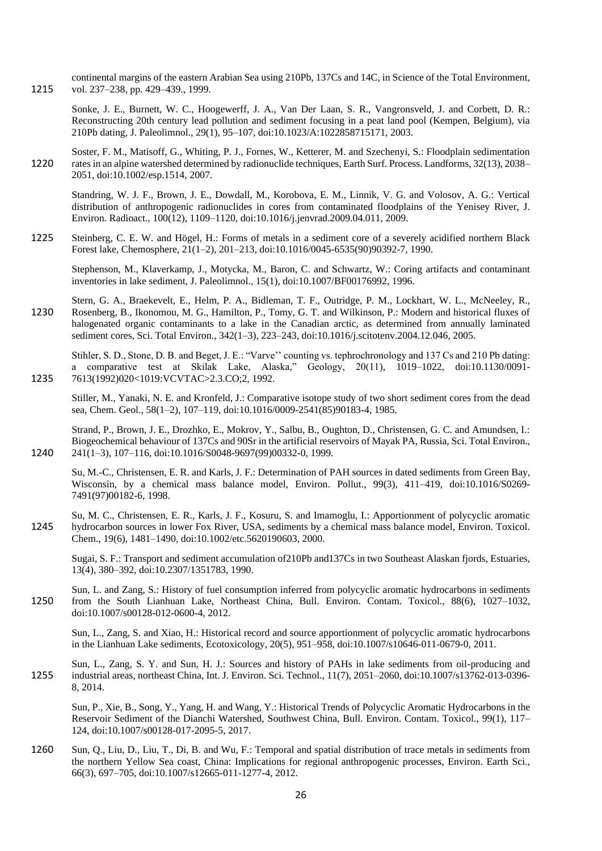continental margins of the eastern Arabian Sea using 210Pb, 137Cs and 14C, in Science of the Total Environment, 1215 vol. 237–238, pp. 429–439., 1999.

Sonke, J. E., Burnett, W. C., Hoogewerff, J. A., Van Der Laan, S. R., Vangronsveld, J. and Corbett, D. R.: Reconstructing 20th century lead pollution and sediment focusing in a peat land pool (Kempen, Belgium), via 210Pb dating, J. Paleolimnol., 29(1), 95–107, doi:10.1023/A:1022858715171, 2003.

Soster, F. M., Matisoff, G., Whiting, P. J., Fornes, W., Ketterer, M. and Szechenyi, S.: Floodplain sedimentation 1220 rates in an alpine watershed determined by radionuclide techniques, Earth Surf. Process. Landforms, 32(13), 2038– 2051, doi:10.1002/esp.1514, 2007.

Standring, W. J. F., Brown, J. E., Dowdall, M., Korobova, E. M., Linnik, V. G. and Volosov, A. G.: Vertical distribution of anthropogenic radionuclides in cores from contaminated floodplains of the Yenisey River, J. Environ. Radioact., 100(12), 1109–1120, doi:10.1016/j.jenvrad.2009.04.011, 2009.

1225 Steinberg, C. E. W. and Högel, H.: Forms of metals in a sediment core of a severely acidified northern Black Forest lake, Chemosphere, 21(1–2), 201–213, doi:10.1016/0045-6535(90)90392-7, 1990.

Stephenson, M., Klaverkamp, J., Motycka, M., Baron, C. and Schwartz, W.: Coring artifacts and contaminant inventories in lake sediment, J. Paleolimnol., 15(1), doi:10.1007/BF00176992, 1996.

Stern, G. A., Braekevelt, E., Helm, P. A., Bidleman, T. F., Outridge, P. M., Lockhart, W. L., McNeeley, R., 1230 Rosenberg, B., Ikonomou, M. G., Hamilton, P., Tomy, G. T. and Wilkinson, P.: Modern and historical fluxes of halogenated organic contaminants to a lake in the Canadian arctic, as determined from annually laminated sediment cores, Sci. Total Environ., 342(1–3), 223–243, doi:10.1016/j.scitotenv.2004.12.046, 2005.

Stihler, S. D., Stone, D. B. and Beget, J. E.: "Varve'' counting vs. tephrochronology and 137 Cs and 210 Pb dating: a comparative test at Skilak Lake, Alaska," Geology, 20(11), 1019–1022, doi:10.1130/0091- 1235 7613(1992)020<1019:VCVTAC>2.3.CO;2, 1992.

Stiller, M., Yanaki, N. E. and Kronfeld, J.: Comparative isotope study of two short sediment cores from the dead sea, Chem. Geol., 58(1–2), 107–119, doi:10.1016/0009-2541(85)90183-4, 1985.

Strand, P., Brown, J. E., Drozhko, E., Mokrov, Y., Salbu, B., Oughton, D., Christensen, G. C. and Amundsen, I.: Biogeochemical behaviour of 137Cs and 90Sr in the artificial reservoirs of Mayak PA, Russia, Sci. Total Environ., 1240 241(1–3), 107–116, doi:10.1016/S0048-9697(99)00332-0, 1999.

Su, M.-C., Christensen, E. R. and Karls, J. F.: Determination of PAH sources in dated sediments from Green Bay, Wisconsin, by a chemical mass balance model, Environ. Pollut., 99(3), 411–419, doi:10.1016/S0269-7491(97)00182-6, 1998.

Su, M. C., Christensen, E. R., Karls, J. F., Kosuru, S. and Imamoglu, I.: Apportionment of polycyclic aromatic 1245 hydrocarbon sources in lower Fox River, USA, sediments by a chemical mass balance model, Environ. Toxicol. Chem., 19(6), 1481–1490, doi:10.1002/etc.5620190603, 2000.

Sugai, S. F.: Transport and sediment accumulation of210Pb and137Cs in two Southeast Alaskan fjords, Estuaries, 13(4), 380–392, doi:10.2307/1351783, 1990.

Sun, L. and Zang, S.: History of fuel consumption inferred from polycyclic aromatic hydrocarbons in sediments 1250 from the South Lianhuan Lake, Northeast China, Bull. Environ. Contam. Toxicol., 88(6), 1027–1032, doi:10.1007/s00128-012-0600-4, 2012.

Sun, L., Zang, S. and Xiao, H.: Historical record and source apportionment of polycyclic aromatic hydrocarbons in the Lianhuan Lake sediments, Ecotoxicology, 20(5), 951–958, doi:10.1007/s10646-011-0679-0, 2011.

Sun, L., Zang, S. Y. and Sun, H. J.: Sources and history of PAHs in lake sediments from oil-producing and 1255 industrial areas, northeast China, Int. J. Environ. Sci. Technol., 11(7), 2051–2060, doi:10.1007/s13762-013-0396- 8, 2014.

Sun, P., Xie, B., Song, Y., Yang, H. and Wang, Y.: Historical Trends of Polycyclic Aromatic Hydrocarbons in the Reservoir Sediment of the Dianchi Watershed, Southwest China, Bull. Environ. Contam. Toxicol., 99(1), 117– 124, doi:10.1007/s00128-017-2095-5, 2017.

1260 Sun, Q., Liu, D., Liu, T., Di, B. and Wu, F.: Temporal and spatial distribution of trace metals in sediments from the northern Yellow Sea coast, China: Implications for regional anthropogenic processes, Environ. Earth Sci., 66(3), 697–705, doi:10.1007/s12665-011-1277-4, 2012.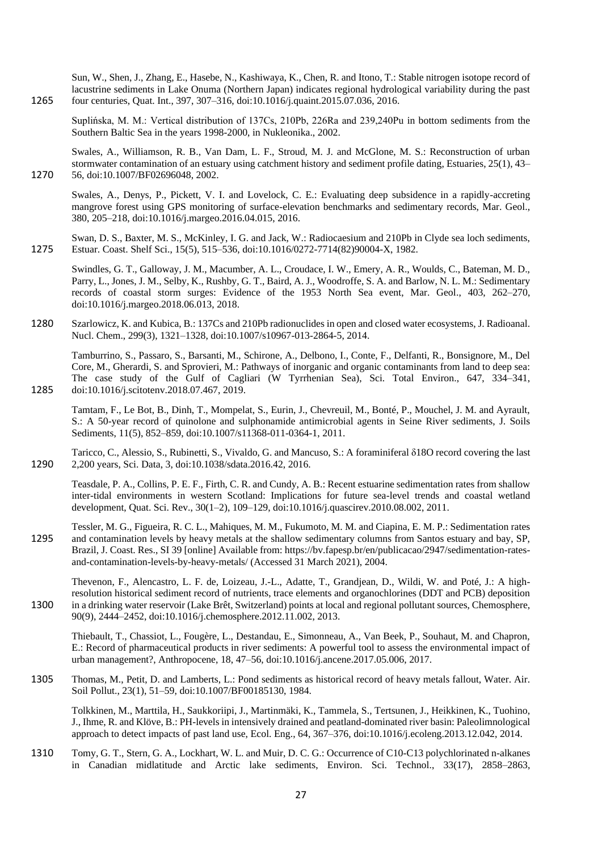Sun, W., Shen, J., Zhang, E., Hasebe, N., Kashiwaya, K., Chen, R. and Itono, T.: Stable nitrogen isotope record of lacustrine sediments in Lake Onuma (Northern Japan) indicates regional hydrological variability during the past 1265 four centuries, Quat. Int., 397, 307–316, doi:10.1016/j.quaint.2015.07.036, 2016.

Suplińska, M. M.: Vertical distribution of 137Cs, 210Pb, 226Ra and 239,240Pu in bottom sediments from the Southern Baltic Sea in the years 1998-2000, in Nukleonika., 2002.

Swales, A., Williamson, R. B., Van Dam, L. F., Stroud, M. J. and McGlone, M. S.: Reconstruction of urban stormwater contamination of an estuary using catchment history and sediment profile dating, Estuaries, 25(1), 43– 1270 56, doi:10.1007/BF02696048, 2002.

Swales, A., Denys, P., Pickett, V. I. and Lovelock, C. E.: Evaluating deep subsidence in a rapidly-accreting mangrove forest using GPS monitoring of surface-elevation benchmarks and sedimentary records, Mar. Geol., 380, 205–218, doi:10.1016/j.margeo.2016.04.015, 2016.

Swan, D. S., Baxter, M. S., McKinley, I. G. and Jack, W.: Radiocaesium and 210Pb in Clyde sea loch sediments, 1275 Estuar. Coast. Shelf Sci., 15(5), 515–536, doi:10.1016/0272-7714(82)90004-X, 1982.

Swindles, G. T., Galloway, J. M., Macumber, A. L., Croudace, I. W., Emery, A. R., Woulds, C., Bateman, M. D., Parry, L., Jones, J. M., Selby, K., Rushby, G. T., Baird, A. J., Woodroffe, S. A. and Barlow, N. L. M.: Sedimentary records of coastal storm surges: Evidence of the 1953 North Sea event, Mar. Geol., 403, 262–270, doi:10.1016/j.margeo.2018.06.013, 2018.

1280 Szarlowicz, K. and Kubica, B.: 137Cs and 210Pb radionuclides in open and closed water ecosystems, J. Radioanal. Nucl. Chem., 299(3), 1321–1328, doi:10.1007/s10967-013-2864-5, 2014.

Tamburrino, S., Passaro, S., Barsanti, M., Schirone, A., Delbono, I., Conte, F., Delfanti, R., Bonsignore, M., Del Core, M., Gherardi, S. and Sprovieri, M.: Pathways of inorganic and organic contaminants from land to deep sea: The case study of the Gulf of Cagliari (W Tyrrhenian Sea), Sci. Total Environ., 647, 334–341, 1285 doi:10.1016/j.scitotenv.2018.07.467, 2019.

Tamtam, F., Le Bot, B., Dinh, T., Mompelat, S., Eurin, J., Chevreuil, M., Bonté, P., Mouchel, J. M. and Ayrault, S.: A 50-year record of quinolone and sulphonamide antimicrobial agents in Seine River sediments, J. Soils Sediments, 11(5), 852-859, doi:10.1007/s11368-011-0364-1, 2011.

Taricco, C., Alessio, S., Rubinetti, S., Vivaldo, G. and Mancuso, S.: A foraminiferal δ18O record covering the last 1290 2,200 years, Sci. Data, 3, doi:10.1038/sdata.2016.42, 2016.

Teasdale, P. A., Collins, P. E. F., Firth, C. R. and Cundy, A. B.: Recent estuarine sedimentation rates from shallow inter-tidal environments in western Scotland: Implications for future sea-level trends and coastal wetland development, Quat. Sci. Rev., 30(1–2), 109–129, doi:10.1016/j.quascirev.2010.08.002, 2011.

Tessler, M. G., Figueira, R. C. L., Mahiques, M. M., Fukumoto, M. M. and Ciapina, E. M. P.: Sedimentation rates 1295 and contamination levels by heavy metals at the shallow sedimentary columns from Santos estuary and bay, SP, Brazil, J. Coast. Res., SI 39 [online] Available from: https://bv.fapesp.br/en/publicacao/2947/sedimentation-ratesand-contamination-levels-by-heavy-metals/ (Accessed 31 March 2021), 2004.

Thevenon, F., Alencastro, L. F. de, Loizeau, J.-L., Adatte, T., Grandjean, D., Wildi, W. and Poté, J.: A highresolution historical sediment record of nutrients, trace elements and organochlorines (DDT and PCB) deposition 1300 in a drinking water reservoir (Lake Brêt, Switzerland) points at local and regional pollutant sources, Chemosphere, 90(9), 2444–2452, doi:10.1016/j.chemosphere.2012.11.002, 2013.

Thiebault, T., Chassiot, L., Fougère, L., Destandau, E., Simonneau, A., Van Beek, P., Souhaut, M. and Chapron, E.: Record of pharmaceutical products in river sediments: A powerful tool to assess the environmental impact of urban management?, Anthropocene, 18, 47–56, doi:10.1016/j.ancene.2017.05.006, 2017.

1305 Thomas, M., Petit, D. and Lamberts, L.: Pond sediments as historical record of heavy metals fallout, Water. Air. Soil Pollut., 23(1), 51–59, doi:10.1007/BF00185130, 1984.

Tolkkinen, M., Marttila, H., Saukkoriipi, J., Martinmäki, K., Tammela, S., Tertsunen, J., Heikkinen, K., Tuohino, J., Ihme, R. and Klöve, B.: PH-levels in intensively drained and peatland-dominated river basin: Paleolimnological approach to detect impacts of past land use, Ecol. Eng., 64, 367–376, doi:10.1016/j.ecoleng.2013.12.042, 2014.

1310 Tomy, G. T., Stern, G. A., Lockhart, W. L. and Muir, D. C. G.: Occurrence of C10-C13 polychlorinated n-alkanes in Canadian midlatitude and Arctic lake sediments, Environ. Sci. Technol., 33(17), 2858–2863,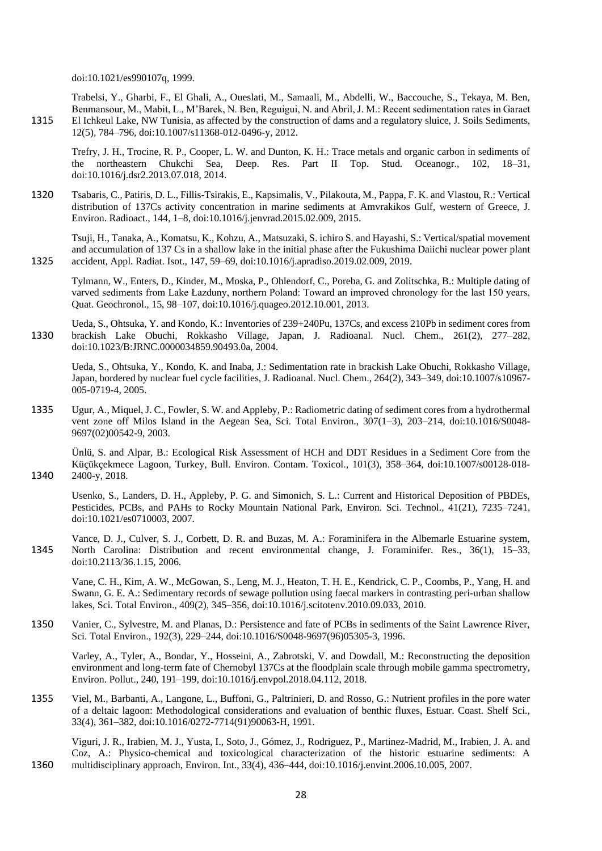doi:10.1021/es990107q, 1999.

Trabelsi, Y., Gharbi, F., El Ghali, A., Oueslati, M., Samaali, M., Abdelli, W., Baccouche, S., Tekaya, M. Ben, Benmansour, M., Mabit, L., M'Barek, N. Ben, Reguigui, N. and Abril, J. M.: Recent sedimentation rates in Garaet 1315 El Ichkeul Lake, NW Tunisia, as affected by the construction of dams and a regulatory sluice, J. Soils Sediments, 12(5), 784–796, doi:10.1007/s11368-012-0496-y, 2012.

Trefry, J. H., Trocine, R. P., Cooper, L. W. and Dunton, K. H.: Trace metals and organic carbon in sediments of the northeastern Chukchi Sea, Deep. Res. Part II Top. Stud. Oceanogr., 102, 18–31, doi:10.1016/j.dsr2.2013.07.018, 2014.

1320 Tsabaris, C., Patiris, D. L., Fillis-Tsirakis, E., Kapsimalis, V., Pilakouta, M., Pappa, F. K. and Vlastou, R.: Vertical distribution of 137Cs activity concentration in marine sediments at Amvrakikos Gulf, western of Greece, J. Environ. Radioact., 144, 1–8, doi:10.1016/j.jenvrad.2015.02.009, 2015.

Tsuji, H., Tanaka, A., Komatsu, K., Kohzu, A., Matsuzaki, S. ichiro S. and Hayashi, S.: Vertical/spatial movement and accumulation of 137 Cs in a shallow lake in the initial phase after the Fukushima Daiichi nuclear power plant 1325 accident, Appl. Radiat. Isot., 147, 59–69, doi:10.1016/j.apradiso.2019.02.009, 2019.

Tylmann, W., Enters, D., Kinder, M., Moska, P., Ohlendorf, C., Poreba, G. and Zolitschka, B.: Multiple dating of varved sediments from Lake Łazduny, northern Poland: Toward an improved chronology for the last 150 years, Quat. Geochronol., 15, 98–107, doi:10.1016/j.quageo.2012.10.001, 2013.

Ueda, S., Ohtsuka, Y. and Kondo, K.: Inventories of 239+240Pu, 137Cs, and excess 210Pb in sediment cores from 1330 brackish Lake Obuchi, Rokkasho Village, Japan, J. Radioanal. Nucl. Chem., 261(2), 277–282, doi:10.1023/B:JRNC.0000034859.90493.0a, 2004.

Ueda, S., Ohtsuka, Y., Kondo, K. and Inaba, J.: Sedimentation rate in brackish Lake Obuchi, Rokkasho Village, Japan, bordered by nuclear fuel cycle facilities, J. Radioanal. Nucl. Chem., 264(2), 343–349, doi:10.1007/s10967- 005-0719-4, 2005.

1335 Ugur, A., Miquel, J. C., Fowler, S. W. and Appleby, P.: Radiometric dating of sediment cores from a hydrothermal vent zone off Milos Island in the Aegean Sea, Sci. Total Environ., 307(1–3), 203–214, doi:10.1016/S0048- 9697(02)00542-9, 2003.

Ünlü, S. and Alpar, B.: Ecological Risk Assessment of HCH and DDT Residues in a Sediment Core from the Küçükçekmece Lagoon, Turkey, Bull. Environ. Contam. Toxicol., 101(3), 358–364, doi:10.1007/s00128-018- 1340 2400-y, 2018.

Usenko, S., Landers, D. H., Appleby, P. G. and Simonich, S. L.: Current and Historical Deposition of PBDEs, Pesticides, PCBs, and PAHs to Rocky Mountain National Park, Environ. Sci. Technol., 41(21), 7235–7241, doi:10.1021/es0710003, 2007.

Vance, D. J., Culver, S. J., Corbett, D. R. and Buzas, M. A.: Foraminifera in the Albemarle Estuarine system, 1345 North Carolina: Distribution and recent environmental change, J. Foraminifer. Res., 36(1), 15–33, doi:10.2113/36.1.15, 2006.

Vane, C. H., Kim, A. W., McGowan, S., Leng, M. J., Heaton, T. H. E., Kendrick, C. P., Coombs, P., Yang, H. and Swann, G. E. A.: Sedimentary records of sewage pollution using faecal markers in contrasting peri-urban shallow lakes, Sci. Total Environ., 409(2), 345–356, doi:10.1016/j.scitotenv.2010.09.033, 2010.

1350 Vanier, C., Sylvestre, M. and Planas, D.: Persistence and fate of PCBs in sediments of the Saint Lawrence River, Sci. Total Environ., 192(3), 229–244, doi:10.1016/S0048-9697(96)05305-3, 1996.

Varley, A., Tyler, A., Bondar, Y., Hosseini, A., Zabrotski, V. and Dowdall, M.: Reconstructing the deposition environment and long-term fate of Chernobyl 137Cs at the floodplain scale through mobile gamma spectrometry, Environ. Pollut., 240, 191–199, doi:10.1016/j.envpol.2018.04.112, 2018.

1355 Viel, M., Barbanti, A., Langone, L., Buffoni, G., Paltrinieri, D. and Rosso, G.: Nutrient profiles in the pore water of a deltaic lagoon: Methodological considerations and evaluation of benthic fluxes, Estuar. Coast. Shelf Sci., 33(4), 361–382, doi:10.1016/0272-7714(91)90063-H, 1991.

Viguri, J. R., Irabien, M. J., Yusta, I., Soto, J., Gómez, J., Rodriguez, P., Martinez-Madrid, M., Irabien, J. A. and Coz, A.: Physico-chemical and toxicological characterization of the historic estuarine sediments: A 1360 multidisciplinary approach, Environ. Int., 33(4), 436–444, doi:10.1016/j.envint.2006.10.005, 2007.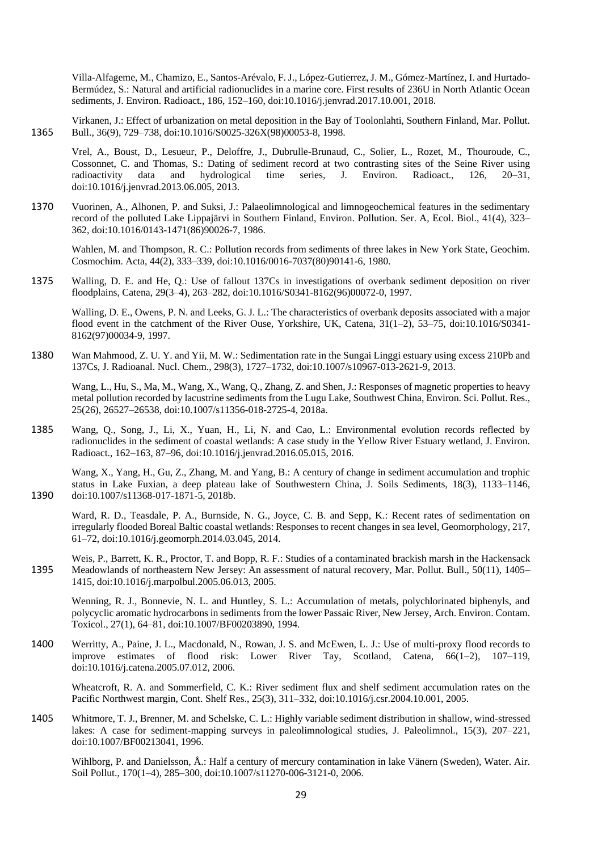Villa-Alfageme, M., Chamizo, E., Santos-Arévalo, F. J., López-Gutierrez, J. M., Gómez-Martínez, I. and Hurtado-Bermúdez, S.: Natural and artificial radionuclides in a marine core. First results of 236U in North Atlantic Ocean sediments, J. Environ. Radioact., 186, 152–160, doi:10.1016/j.jenvrad.2017.10.001, 2018.

Virkanen, J.: Effect of urbanization on metal deposition in the Bay of Toolonlahti, Southern Finland, Mar. Pollut. 1365 Bull., 36(9), 729–738, doi:10.1016/S0025-326X(98)00053-8, 1998.

Vrel, A., Boust, D., Lesueur, P., Deloffre, J., Dubrulle-Brunaud, C., Solier, L., Rozet, M., Thouroude, C., Cossonnet, C. and Thomas, S.: Dating of sediment record at two contrasting sites of the Seine River using radioactivity data and hydrological time series, J. Environ. Radioact., 126, 20–31, doi:10.1016/j.jenvrad.2013.06.005, 2013.

1370 Vuorinen, A., Alhonen, P. and Suksi, J.: Palaeolimnological and limnogeochemical features in the sedimentary record of the polluted Lake Lippajärvi in Southern Finland, Environ. Pollution. Ser. A, Ecol. Biol., 41(4), 323– 362, doi:10.1016/0143-1471(86)90026-7, 1986.

Wahlen, M. and Thompson, R. C.: Pollution records from sediments of three lakes in New York State, Geochim. Cosmochim. Acta, 44(2), 333–339, doi:10.1016/0016-7037(80)90141-6, 1980.

1375 Walling, D. E. and He, Q.: Use of fallout 137Cs in investigations of overbank sediment deposition on river floodplains, Catena, 29(3–4), 263–282, doi:10.1016/S0341-8162(96)00072-0, 1997.

Walling, D. E., Owens, P. N. and Leeks, G. J. L.: The characteristics of overbank deposits associated with a major flood event in the catchment of the River Ouse, Yorkshire, UK, Catena, 31(1–2), 53–75, doi:10.1016/S0341-8162(97)00034-9, 1997.

1380 Wan Mahmood, Z. U. Y. and Yii, M. W.: Sedimentation rate in the Sungai Linggi estuary using excess 210Pb and 137Cs, J. Radioanal. Nucl. Chem., 298(3), 1727–1732, doi:10.1007/s10967-013-2621-9, 2013.

Wang, L., Hu, S., Ma, M., Wang, X., Wang, Q., Zhang, Z. and Shen, J.: Responses of magnetic properties to heavy metal pollution recorded by lacustrine sediments from the Lugu Lake, Southwest China, Environ. Sci. Pollut. Res., 25(26), 26527–26538, doi:10.1007/s11356-018-2725-4, 2018a.

1385 Wang, Q., Song, J., Li, X., Yuan, H., Li, N. and Cao, L.: Environmental evolution records reflected by radionuclides in the sediment of coastal wetlands: A case study in the Yellow River Estuary wetland, J. Environ. Radioact., 162–163, 87–96, doi:10.1016/j.jenvrad.2016.05.015, 2016.

Wang, X., Yang, H., Gu, Z., Zhang, M. and Yang, B.: A century of change in sediment accumulation and trophic status in Lake Fuxian, a deep plateau lake of Southwestern China, J. Soils Sediments, 18(3), 1133–1146, 1390 doi:10.1007/s11368-017-1871-5, 2018b.

Ward, R. D., Teasdale, P. A., Burnside, N. G., Joyce, C. B. and Sepp, K.: Recent rates of sedimentation on irregularly flooded Boreal Baltic coastal wetlands: Responses to recent changes in sea level, Geomorphology, 217, 61–72, doi:10.1016/j.geomorph.2014.03.045, 2014.

Weis, P., Barrett, K. R., Proctor, T. and Bopp, R. F.: Studies of a contaminated brackish marsh in the Hackensack 1395 Meadowlands of northeastern New Jersey: An assessment of natural recovery, Mar. Pollut. Bull., 50(11), 1405– 1415, doi:10.1016/j.marpolbul.2005.06.013, 2005.

Wenning, R. J., Bonnevie, N. L. and Huntley, S. L.: Accumulation of metals, polychlorinated biphenyls, and polycyclic aromatic hydrocarbons in sediments from the lower Passaic River, New Jersey, Arch. Environ. Contam. Toxicol., 27(1), 64–81, doi:10.1007/BF00203890, 1994.

1400 Werritty, A., Paine, J. L., Macdonald, N., Rowan, J. S. and McEwen, L. J.: Use of multi-proxy flood records to improve estimates of flood risk: Lower River Tay, Scotland, Catena, 66(1–2), 107–119, doi:10.1016/j.catena.2005.07.012, 2006.

Wheatcroft, R. A. and Sommerfield, C. K.: River sediment flux and shelf sediment accumulation rates on the Pacific Northwest margin, Cont. Shelf Res., 25(3), 311–332, doi:10.1016/j.csr.2004.10.001, 2005.

1405 Whitmore, T. J., Brenner, M. and Schelske, C. L.: Highly variable sediment distribution in shallow, wind-stressed lakes: A case for sediment-mapping surveys in paleolimnological studies, J. Paleolimnol., 15(3), 207–221, doi:10.1007/BF00213041, 1996.

Wihlborg, P. and Danielsson, Å.: Half a century of mercury contamination in lake Vänern (Sweden), Water. Air. Soil Pollut., 170(1–4), 285–300, doi:10.1007/s11270-006-3121-0, 2006.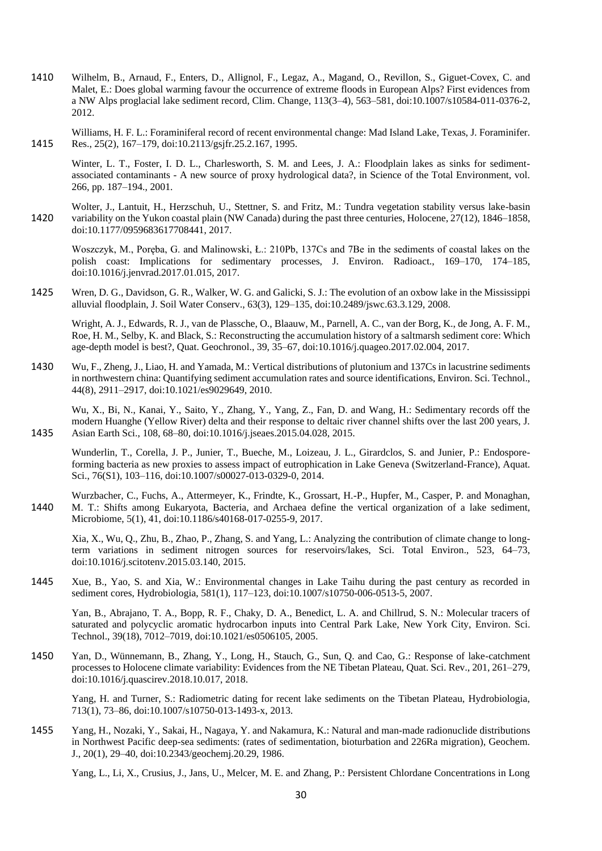- 1410 Wilhelm, B., Arnaud, F., Enters, D., Allignol, F., Legaz, A., Magand, O., Revillon, S., Giguet-Covex, C. and Malet, E.: Does global warming favour the occurrence of extreme floods in European Alps? First evidences from a NW Alps proglacial lake sediment record, Clim. Change, 113(3–4), 563–581, doi:10.1007/s10584-011-0376-2, 2012.
- Williams, H. F. L.: Foraminiferal record of recent environmental change: Mad Island Lake, Texas, J. Foraminifer. 1415 Res., 25(2), 167–179, doi:10.2113/gsjfr.25.2.167, 1995.

Winter, L. T., Foster, I. D. L., Charlesworth, S. M. and Lees, J. A.: Floodplain lakes as sinks for sedimentassociated contaminants - A new source of proxy hydrological data?, in Science of the Total Environment, vol. 266, pp. 187–194., 2001.

Wolter, J., Lantuit, H., Herzschuh, U., Stettner, S. and Fritz, M.: Tundra vegetation stability versus lake-basin 1420 variability on the Yukon coastal plain (NW Canada) during the past three centuries, Holocene, 27(12), 1846–1858, doi:10.1177/0959683617708441, 2017.

Woszczyk, M., Poręba, G. and Malinowski, Ł.: 210Pb, 137Cs and 7Be in the sediments of coastal lakes on the polish coast: Implications for sedimentary processes, J. Environ. Radioact., 169–170, 174–185, doi:10.1016/j.jenvrad.2017.01.015, 2017.

1425 Wren, D. G., Davidson, G. R., Walker, W. G. and Galicki, S. J.: The evolution of an oxbow lake in the Mississippi alluvial floodplain, J. Soil Water Conserv., 63(3), 129–135, doi:10.2489/jswc.63.3.129, 2008.

Wright, A. J., Edwards, R. J., van de Plassche, O., Blaauw, M., Parnell, A. C., van der Borg, K., de Jong, A. F. M., Roe, H. M., Selby, K. and Black, S.: Reconstructing the accumulation history of a saltmarsh sediment core: Which age-depth model is best?, Quat. Geochronol., 39, 35–67, doi:10.1016/j.quageo.2017.02.004, 2017.

1430 Wu, F., Zheng, J., Liao, H. and Yamada, M.: Vertical distributions of plutonium and 137Cs in lacustrine sediments in northwestern china: Quantifying sediment accumulation rates and source identifications, Environ. Sci. Technol., 44(8), 2911–2917, doi:10.1021/es9029649, 2010.

Wu, X., Bi, N., Kanai, Y., Saito, Y., Zhang, Y., Yang, Z., Fan, D. and Wang, H.: Sedimentary records off the modern Huanghe (Yellow River) delta and their response to deltaic river channel shifts over the last 200 years, J. 1435 Asian Earth Sci., 108, 68–80, doi:10.1016/j.jseaes.2015.04.028, 2015.

Wunderlin, T., Corella, J. P., Junier, T., Bueche, M., Loizeau, J. L., Girardclos, S. and Junier, P.: Endosporeforming bacteria as new proxies to assess impact of eutrophication in Lake Geneva (Switzerland-France), Aquat. Sci., 76(S1), 103–116, doi:10.1007/s00027-013-0329-0, 2014.

Wurzbacher, C., Fuchs, A., Attermeyer, K., Frindte, K., Grossart, H.-P., Hupfer, M., Casper, P. and Monaghan, 1440 M. T.: Shifts among Eukaryota, Bacteria, and Archaea define the vertical organization of a lake sediment, Microbiome, 5(1), 41, doi:10.1186/s40168-017-0255-9, 2017.

Xia, X., Wu, Q., Zhu, B., Zhao, P., Zhang, S. and Yang, L.: Analyzing the contribution of climate change to longterm variations in sediment nitrogen sources for reservoirs/lakes, Sci. Total Environ., 523, 64–73, doi:10.1016/j.scitotenv.2015.03.140, 2015.

1445 Xue, B., Yao, S. and Xia, W.: Environmental changes in Lake Taihu during the past century as recorded in sediment cores, Hydrobiologia, 581(1), 117–123, doi:10.1007/s10750-006-0513-5, 2007.

Yan, B., Abrajano, T. A., Bopp, R. F., Chaky, D. A., Benedict, L. A. and Chillrud, S. N.: Molecular tracers of saturated and polycyclic aromatic hydrocarbon inputs into Central Park Lake, New York City, Environ. Sci. Technol., 39(18), 7012–7019, doi:10.1021/es0506105, 2005.

1450 Yan, D., Wünnemann, B., Zhang, Y., Long, H., Stauch, G., Sun, Q. and Cao, G.: Response of lake-catchment processes to Holocene climate variability: Evidences from the NE Tibetan Plateau, Quat. Sci. Rev., 201, 261–279, doi:10.1016/j.quascirev.2018.10.017, 2018.

Yang, H. and Turner, S.: Radiometric dating for recent lake sediments on the Tibetan Plateau, Hydrobiologia, 713(1), 73–86, doi:10.1007/s10750-013-1493-x, 2013.

1455 Yang, H., Nozaki, Y., Sakai, H., Nagaya, Y. and Nakamura, K.: Natural and man-made radionuclide distributions in Northwest Pacific deep-sea sediments: (rates of sedimentation, bioturbation and 226Ra migration), Geochem. J., 20(1), 29–40, doi:10.2343/geochemj.20.29, 1986.

Yang, L., Li, X., Crusius, J., Jans, U., Melcer, M. E. and Zhang, P.: Persistent Chlordane Concentrations in Long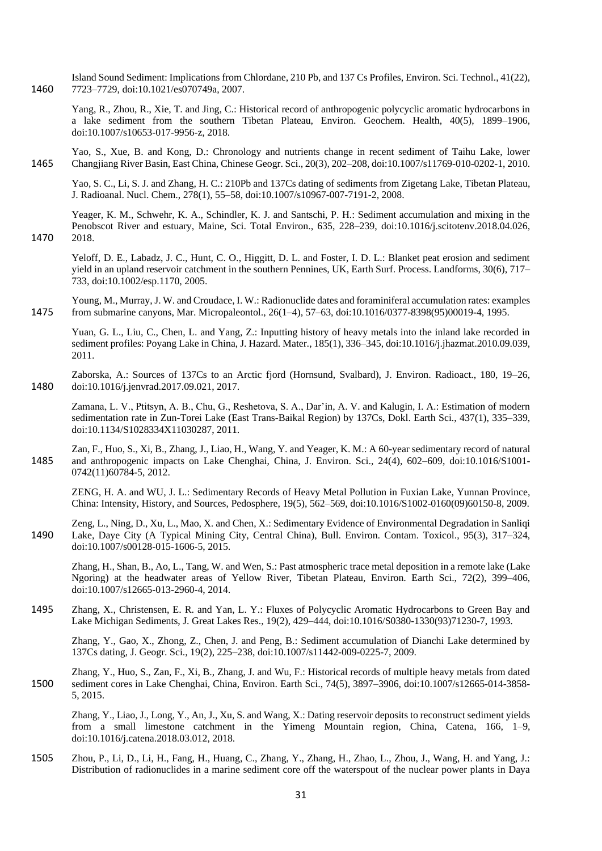Island Sound Sediment: Implications from Chlordane, 210 Pb, and 137 Cs Profiles, Environ. Sci. Technol., 41(22), 1460 7723–7729, doi:10.1021/es070749a, 2007.

Yang, R., Zhou, R., Xie, T. and Jing, C.: Historical record of anthropogenic polycyclic aromatic hydrocarbons in a lake sediment from the southern Tibetan Plateau, Environ. Geochem. Health, 40(5), 1899–1906, doi:10.1007/s10653-017-9956-z, 2018.

Yao, S., Xue, B. and Kong, D.: Chronology and nutrients change in recent sediment of Taihu Lake, lower 1465 Changjiang River Basin, East China, Chinese Geogr. Sci., 20(3), 202–208, doi:10.1007/s11769-010-0202-1, 2010.

Yao, S. C., Li, S. J. and Zhang, H. C.: 210Pb and 137Cs dating of sediments from Zigetang Lake, Tibetan Plateau, J. Radioanal. Nucl. Chem., 278(1), 55–58, doi:10.1007/s10967-007-7191-2, 2008.

Yeager, K. M., Schwehr, K. A., Schindler, K. J. and Santschi, P. H.: Sediment accumulation and mixing in the Penobscot River and estuary, Maine, Sci. Total Environ., 635, 228–239, doi:10.1016/j.scitotenv.2018.04.026, 1470 2018.

Yeloff, D. E., Labadz, J. C., Hunt, C. O., Higgitt, D. L. and Foster, I. D. L.: Blanket peat erosion and sediment yield in an upland reservoir catchment in the southern Pennines, UK, Earth Surf. Process. Landforms, 30(6), 717– 733, doi:10.1002/esp.1170, 2005.

Young, M., Murray, J. W. and Croudace, I. W.: Radionuclide dates and foraminiferal accumulation rates: examples 1475 from submarine canyons, Mar. Micropaleontol., 26(1–4), 57–63, doi:10.1016/0377-8398(95)00019-4, 1995.

Yuan, G. L., Liu, C., Chen, L. and Yang, Z.: Inputting history of heavy metals into the inland lake recorded in sediment profiles: Poyang Lake in China, J. Hazard. Mater., 185(1), 336–345, doi:10.1016/j.jhazmat.2010.09.039, 2011.

Zaborska, A.: Sources of 137Cs to an Arctic fjord (Hornsund, Svalbard), J. Environ. Radioact., 180, 19–26, 1480 doi:10.1016/j.jenvrad.2017.09.021, 2017.

Zamana, L. V., Ptitsyn, A. B., Chu, G., Reshetova, S. A., Dar'in, A. V. and Kalugin, I. A.: Estimation of modern sedimentation rate in Zun-Torei Lake (East Trans-Baikal Region) by 137Cs, Dokl. Earth Sci., 437(1), 335–339, doi:10.1134/S1028334X11030287, 2011.

Zan, F., Huo, S., Xi, B., Zhang, J., Liao, H., Wang, Y. and Yeager, K. M.: A 60-year sedimentary record of natural 1485 and anthropogenic impacts on Lake Chenghai, China, J. Environ. Sci., 24(4), 602–609, doi:10.1016/S1001- 0742(11)60784-5, 2012.

ZENG, H. A. and WU, J. L.: Sedimentary Records of Heavy Metal Pollution in Fuxian Lake, Yunnan Province, China: Intensity, History, and Sources, Pedosphere, 19(5), 562–569, doi:10.1016/S1002-0160(09)60150-8, 2009.

Zeng, L., Ning, D., Xu, L., Mao, X. and Chen, X.: Sedimentary Evidence of Environmental Degradation in Sanliqi 1490 Lake, Daye City (A Typical Mining City, Central China), Bull. Environ. Contam. Toxicol., 95(3), 317–324, doi:10.1007/s00128-015-1606-5, 2015.

Zhang, H., Shan, B., Ao, L., Tang, W. and Wen, S.: Past atmospheric trace metal deposition in a remote lake (Lake Ngoring) at the headwater areas of Yellow River, Tibetan Plateau, Environ. Earth Sci., 72(2), 399–406, doi:10.1007/s12665-013-2960-4, 2014.

1495 Zhang, X., Christensen, E. R. and Yan, L. Y.: Fluxes of Polycyclic Aromatic Hydrocarbons to Green Bay and Lake Michigan Sediments, J. Great Lakes Res., 19(2), 429–444, doi:10.1016/S0380-1330(93)71230-7, 1993.

Zhang, Y., Gao, X., Zhong, Z., Chen, J. and Peng, B.: Sediment accumulation of Dianchi Lake determined by 137Cs dating, J. Geogr. Sci., 19(2), 225–238, doi:10.1007/s11442-009-0225-7, 2009.

Zhang, Y., Huo, S., Zan, F., Xi, B., Zhang, J. and Wu, F.: Historical records of multiple heavy metals from dated 1500 sediment cores in Lake Chenghai, China, Environ. Earth Sci., 74(5), 3897–3906, doi:10.1007/s12665-014-3858- 5, 2015.

Zhang, Y., Liao, J., Long, Y., An, J., Xu, S. and Wang, X.: Dating reservoir deposits to reconstruct sediment yields from a small limestone catchment in the Yimeng Mountain region, China, Catena, 166, 1–9, doi:10.1016/j.catena.2018.03.012, 2018.

1505 Zhou, P., Li, D., Li, H., Fang, H., Huang, C., Zhang, Y., Zhang, H., Zhao, L., Zhou, J., Wang, H. and Yang, J.: Distribution of radionuclides in a marine sediment core off the waterspout of the nuclear power plants in Daya